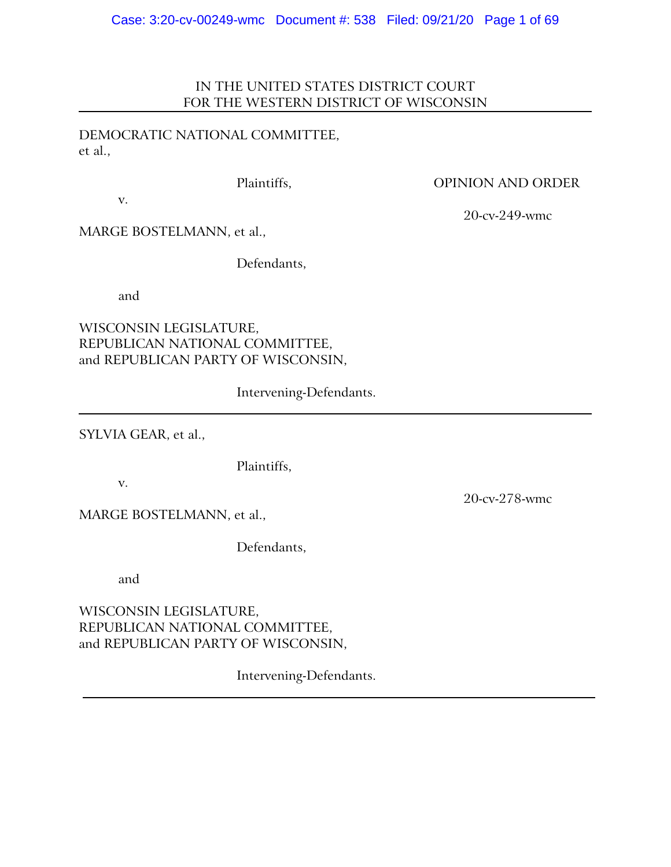# IN THE UNITED STATES DISTRICT COURT FOR THE WESTERN DISTRICT OF WISCONSIN

DEMOCRATIC NATIONAL COMMITTEE, et al.,

# Plaintiffs, OPINION AND ORDER

20-cv-249-wmc

v.

MARGE BOSTELMANN, et al.,

Defendants,

and

WISCONSIN LEGISLATURE, REPUBLICAN NATIONAL COMMITTEE, and REPUBLICAN PARTY OF WISCONSIN,

Intervening-Defendants.

SYLVIA GEAR, et al.,

Plaintiffs,

v.

MARGE BOSTELMANN, et al.,

Defendants,

and

WISCONSIN LEGISLATURE, REPUBLICAN NATIONAL COMMITTEE, and REPUBLICAN PARTY OF WISCONSIN,

Intervening-Defendants.

20-cv-278-wmc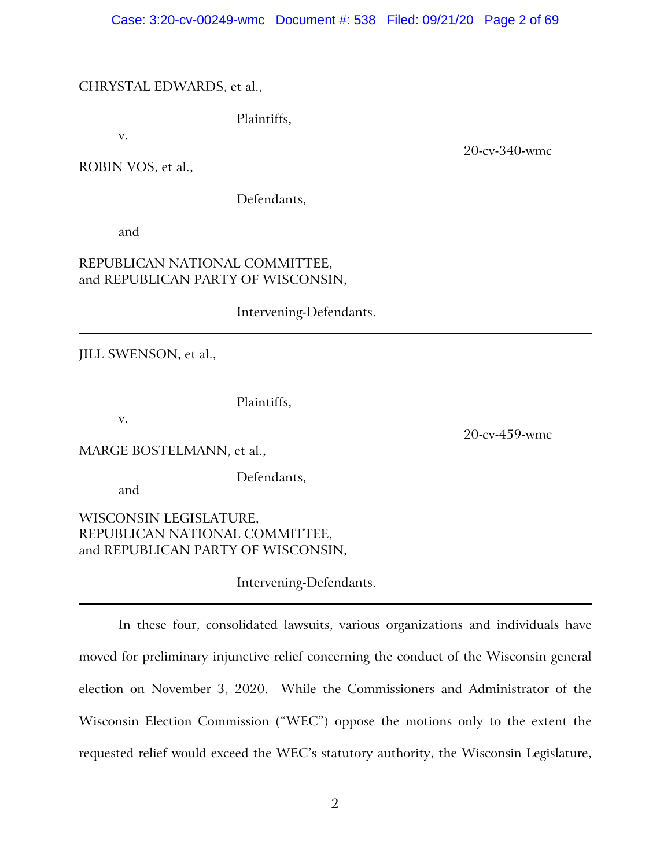# CHRYSTAL EDWARDS, et al.,

Plaintiffs,

v.

20-cv-340-wmc

20-cv-459-wmc

ROBIN VOS, et al.,

Defendants,

and

# REPUBLICAN NATIONAL COMMITTEE, and REPUBLICAN PARTY OF WISCONSIN,

Intervening-Defendants.

JILL SWENSON, et al.,

Plaintiffs,

v.

MARGE BOSTELMANN, et al.,

and

Defendants,

WISCONSIN LEGISLATURE, REPUBLICAN NATIONAL COMMITTEE, and REPUBLICAN PARTY OF WISCONSIN,

Intervening-Defendants.

In these four, consolidated lawsuits, various organizations and individuals have moved for preliminary injunctive relief concerning the conduct of the Wisconsin general election on November 3, 2020. While the Commissioners and Administrator of the Wisconsin Election Commission ("WEC") oppose the motions only to the extent the requested relief would exceed the WEC's statutory authority, the Wisconsin Legislature,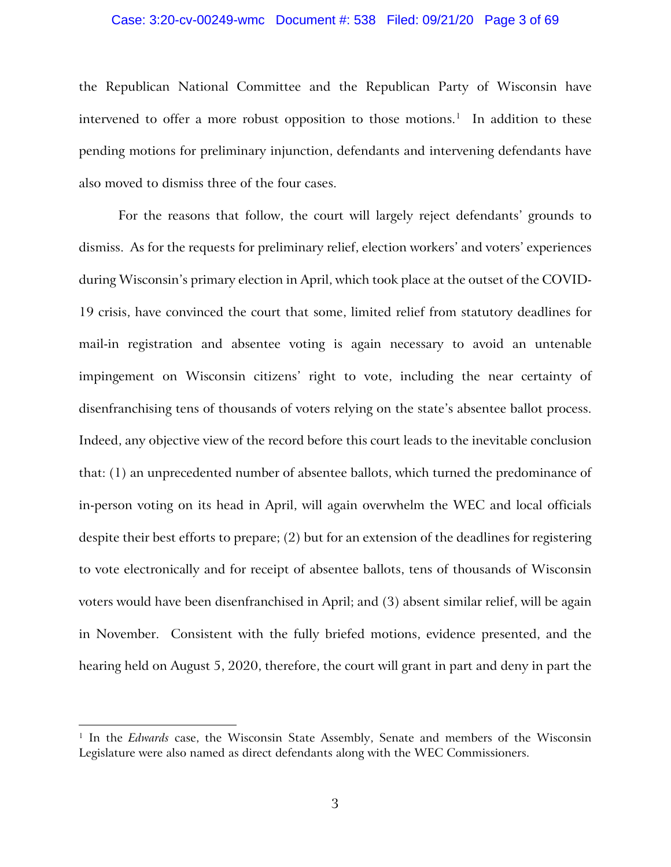### Case: 3:20-cv-00249-wmc Document #: 538 Filed: 09/21/20 Page 3 of 69

the Republican National Committee and the Republican Party of Wisconsin have intervened to offer a more robust opposition to those motions.<sup>[1](#page-2-0)</sup> In addition to these pending motions for preliminary injunction, defendants and intervening defendants have also moved to dismiss three of the four cases.

For the reasons that follow, the court will largely reject defendants' grounds to dismiss. As for the requests for preliminary relief, election workers' and voters' experiences during Wisconsin's primary election in April, which took place at the outset of the COVID-19 crisis, have convinced the court that some, limited relief from statutory deadlines for mail-in registration and absentee voting is again necessary to avoid an untenable impingement on Wisconsin citizens' right to vote, including the near certainty of disenfranchising tens of thousands of voters relying on the state's absentee ballot process. Indeed, any objective view of the record before this court leads to the inevitable conclusion that: (1) an unprecedented number of absentee ballots, which turned the predominance of in-person voting on its head in April, will again overwhelm the WEC and local officials despite their best efforts to prepare; (2) but for an extension of the deadlines for registering to vote electronically and for receipt of absentee ballots, tens of thousands of Wisconsin voters would have been disenfranchised in April; and (3) absent similar relief, will be again in November. Consistent with the fully briefed motions, evidence presented, and the hearing held on August 5, 2020, therefore, the court will grant in part and deny in part the

<span id="page-2-0"></span><sup>&</sup>lt;sup>1</sup> In the *Edwards* case, the Wisconsin State Assembly, Senate and members of the Wisconsin Legislature were also named as direct defendants along with the WEC Commissioners.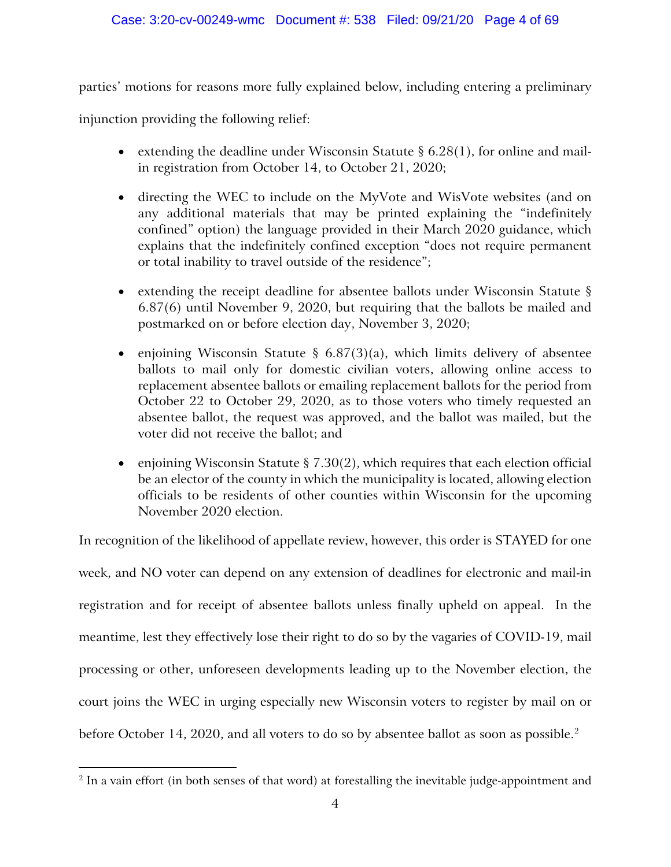parties' motions for reasons more fully explained below, including entering a preliminary

injunction providing the following relief:

- extending the deadline under Wisconsin Statute  $\S 6.28(1)$ , for online and mailin registration from October 14, to October 21, 2020;
- directing the WEC to include on the MyVote and WisVote websites (and on any additional materials that may be printed explaining the "indefinitely confined" option) the language provided in their March 2020 guidance, which explains that the indefinitely confined exception "does not require permanent or total inability to travel outside of the residence";
- extending the receipt deadline for absentee ballots under Wisconsin Statute § 6.87(6) until November 9, 2020, but requiring that the ballots be mailed and postmarked on or before election day, November 3, 2020;
- enjoining Wisconsin Statute §  $6.87(3)(a)$ , which limits delivery of absentee ballots to mail only for domestic civilian voters, allowing online access to replacement absentee ballots or emailing replacement ballots for the period from October 22 to October 29, 2020, as to those voters who timely requested an absentee ballot, the request was approved, and the ballot was mailed, but the voter did not receive the ballot; and
- enjoining Wisconsin Statute  $\S 7.30(2)$ , which requires that each election official be an elector of the county in which the municipality is located, allowing election officials to be residents of other counties within Wisconsin for the upcoming November 2020 election.

In recognition of the likelihood of appellate review, however, this order is STAYED for one week, and NO voter can depend on any extension of deadlines for electronic and mail-in registration and for receipt of absentee ballots unless finally upheld on appeal. In the meantime, lest they effectively lose their right to do so by the vagaries of COVID-19, mail processing or other, unforeseen developments leading up to the November election, the court joins the WEC in urging especially new Wisconsin voters to register by mail on or before October 14, [2](#page-3-0)020, and all voters to do so by absentee ballot as soon as possible.<sup>2</sup>

<span id="page-3-0"></span><sup>&</sup>lt;sup>2</sup> In a vain effort (in both senses of that word) at forestalling the inevitable judge-appointment and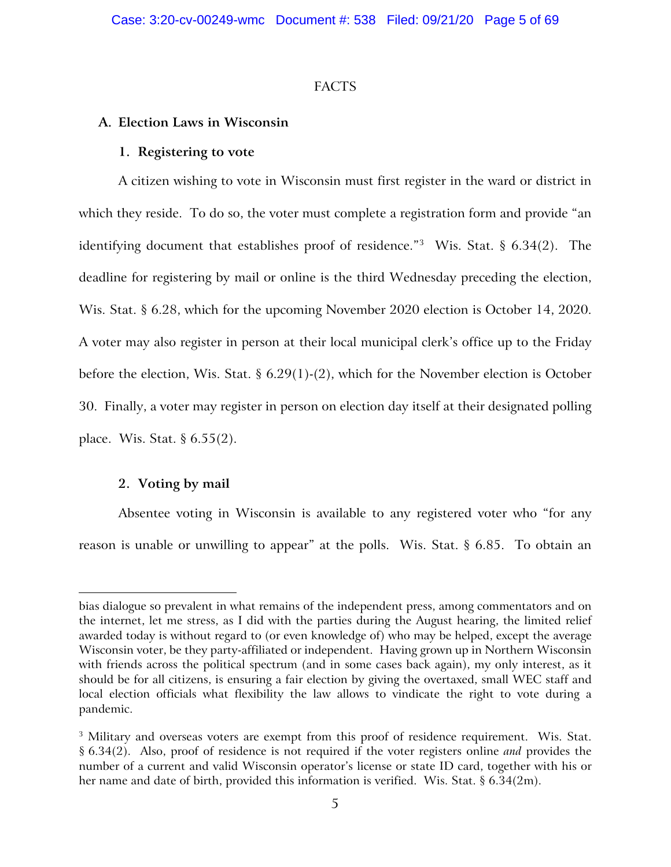# FACTS

# **A. Election Laws in Wisconsin**

# **1. Registering to vote**

A citizen wishing to vote in Wisconsin must first register in the ward or district in which they reside. To do so, the voter must complete a registration form and provide "an identifying document that establishes proof of residence."[3](#page-4-0) Wis. Stat. § 6.34(2). The deadline for registering by mail or online is the third Wednesday preceding the election, Wis. Stat. § 6.28, which for the upcoming November 2020 election is October 14, 2020. A voter may also register in person at their local municipal clerk's office up to the Friday before the election, Wis. Stat. § 6.29(1)-(2), which for the November election is October 30. Finally, a voter may register in person on election day itself at their designated polling place. Wis. Stat. § 6.55(2).

# **2. Voting by mail**

Absentee voting in Wisconsin is available to any registered voter who "for any reason is unable or unwilling to appear" at the polls. Wis. Stat. § 6.85. To obtain an

bias dialogue so prevalent in what remains of the independent press, among commentators and on the internet, let me stress, as I did with the parties during the August hearing, the limited relief awarded today is without regard to (or even knowledge of) who may be helped, except the average Wisconsin voter, be they party-affiliated or independent. Having grown up in Northern Wisconsin with friends across the political spectrum (and in some cases back again), my only interest, as it should be for all citizens, is ensuring a fair election by giving the overtaxed, small WEC staff and local election officials what flexibility the law allows to vindicate the right to vote during a pandemic.

<span id="page-4-0"></span><sup>&</sup>lt;sup>3</sup> Military and overseas voters are exempt from this proof of residence requirement. Wis. Stat. § 6.34(2). Also, proof of residence is not required if the voter registers online *and* provides the number of a current and valid Wisconsin operator's license or state ID card, together with his or her name and date of birth, provided this information is verified. Wis. Stat.  $\S 6.34(2m)$ .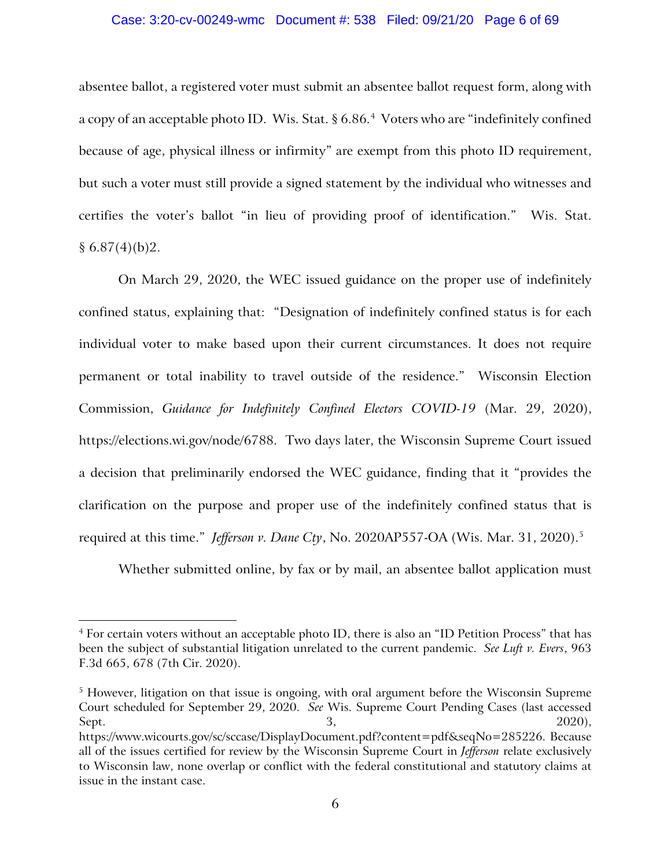### Case: 3:20-cv-00249-wmc Document #: 538 Filed: 09/21/20 Page 6 of 69

absentee ballot, a registered voter must submit an absentee ballot request form, along with a copy of an acceptable photo ID. Wis. Stat. § 6.86.<sup>[4](#page-5-0)</sup> Voters who are "indefinitely confined because of age, physical illness or infirmity" are exempt from this photo ID requirement, but such a voter must still provide a signed statement by the individual who witnesses and certifies the voter's ballot "in lieu of providing proof of identification." Wis. Stat.  $§ 6.87(4)(b)2.$ 

On March 29, 2020, the WEC issued guidance on the proper use of indefinitely confined status, explaining that: "Designation of indefinitely confined status is for each individual voter to make based upon their current circumstances. It does not require permanent or total inability to travel outside of the residence." Wisconsin Election Commission, *Guidance for Indefinitely Confined Electors COVID-19* (Mar. 29, 2020), https://elections.wi.gov/node/6788. Two days later, the Wisconsin Supreme Court issued a decision that preliminarily endorsed the WEC guidance, finding that it "provides the clarification on the purpose and proper use of the indefinitely confined status that is required at this time." *Jefferson v. Dane Cty*, No. 2020AP557-OA (Wis. Mar. 31, 2020).[5](#page-5-1)

Whether submitted online, by fax or by mail, an absentee ballot application must

<span id="page-5-1"></span><sup>5</sup> However, litigation on that issue is ongoing, with oral argument before the Wisconsin Supreme Court scheduled for September 29, 2020. *See* Wis. Supreme Court Pending Cases (last accessed Sept. 2020), 2020, 2020, 2020, 2020, 2020, 2020, 2020, 2020, 2020, 2020, 2020, 2020, 2020, 2020, 2020, 2020, 20 https://www.wicourts.gov/sc/sccase/DisplayDocument.pdf?content=pdf&seqNo=285226. Because all of the issues certified for review by the Wisconsin Supreme Court in *Jefferson* relate exclusively to Wisconsin law, none overlap or conflict with the federal constitutional and statutory claims at issue in the instant case.

<span id="page-5-0"></span><sup>&</sup>lt;sup>4</sup> For certain voters without an acceptable photo ID, there is also an "ID Petition Process" that has been the subject of substantial litigation unrelated to the current pandemic. *See Luft v. Evers*, 963 F.3d 665, 678 (7th Cir. 2020).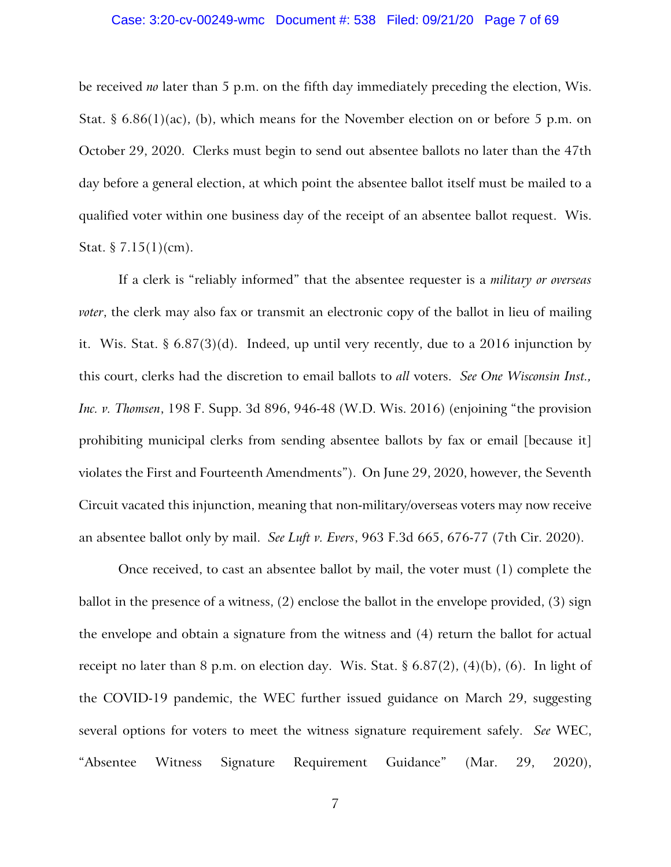be received *no* later than 5 p.m. on the fifth day immediately preceding the election, Wis. Stat. § 6.86(1)(ac), (b), which means for the November election on or before 5 p.m. on October 29, 2020. Clerks must begin to send out absentee ballots no later than the 47th day before a general election, at which point the absentee ballot itself must be mailed to a qualified voter within one business day of the receipt of an absentee ballot request. Wis. Stat.  $\S 7.15(1)(cm)$ .

If a clerk is "reliably informed" that the absentee requester is a *military or overseas voter*, the clerk may also fax or transmit an electronic copy of the ballot in lieu of mailing it. Wis. Stat. § 6.87(3)(d). Indeed, up until very recently, due to a 2016 injunction by this court, clerks had the discretion to email ballots to *all* voters. *See One Wisconsin Inst., Inc. v. Thomsen*, 198 F. Supp. 3d 896, 946-48 (W.D. Wis. 2016) (enjoining "the provision prohibiting municipal clerks from sending absentee ballots by fax or email [because it] violates the First and Fourteenth Amendments"). On June 29, 2020, however, the Seventh Circuit vacated this injunction, meaning that non-military/overseas voters may now receive an absentee ballot only by mail. *See Luft v. Evers*, 963 F.3d 665, 676-77 (7th Cir. 2020).

Once received, to cast an absentee ballot by mail, the voter must (1) complete the ballot in the presence of a witness, (2) enclose the ballot in the envelope provided, (3) sign the envelope and obtain a signature from the witness and (4) return the ballot for actual receipt no later than 8 p.m. on election day. Wis. Stat. §  $6.87(2)$ ,  $(4)(b)$ ,  $(6)$ . In light of the COVID-19 pandemic, the WEC further issued guidance on March 29, suggesting several options for voters to meet the witness signature requirement safely. *See* WEC, "Absentee Witness Signature Requirement Guidance" (Mar. 29, 2020),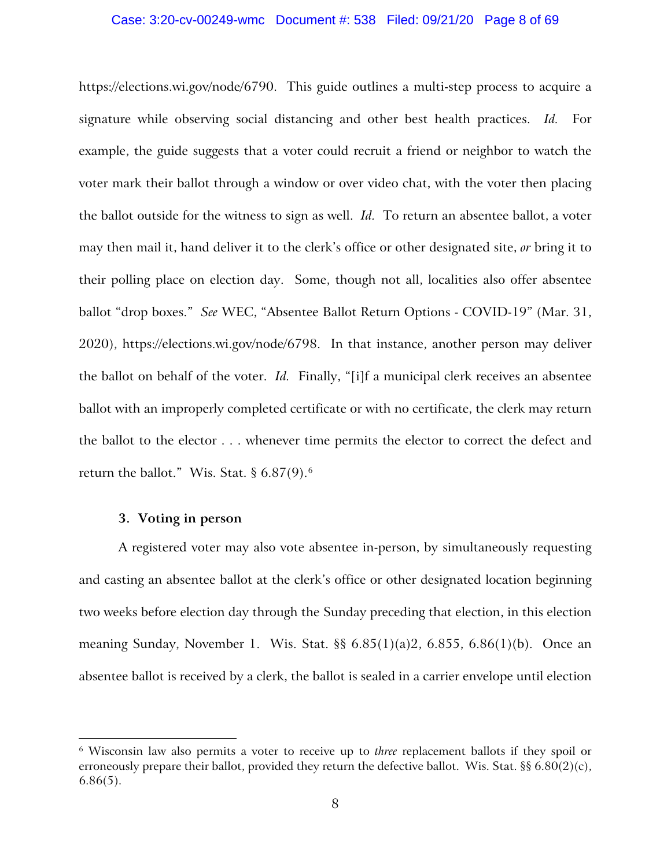### Case: 3:20-cv-00249-wmc Document #: 538 Filed: 09/21/20 Page 8 of 69

https://elections.wi.gov/node/6790. This guide outlines a multi-step process to acquire a signature while observing social distancing and other best health practices. *Id.* For example, the guide suggests that a voter could recruit a friend or neighbor to watch the voter mark their ballot through a window or over video chat, with the voter then placing the ballot outside for the witness to sign as well. *Id.* To return an absentee ballot, a voter may then mail it, hand deliver it to the clerk's office or other designated site, *or* bring it to their polling place on election day. Some, though not all, localities also offer absentee ballot "drop boxes." *See* WEC, "Absentee Ballot Return Options - COVID-19" (Mar. 31, 2020), https://elections.wi.gov/node/6798. In that instance, another person may deliver the ballot on behalf of the voter. *Id.* Finally, "[i]f a municipal clerk receives an absentee ballot with an improperly completed certificate or with no certificate, the clerk may return the ballot to the elector . . . whenever time permits the elector to correct the defect and return the ballot." Wis. Stat.  $§ 6.87(9).$  $§ 6.87(9).$  $§ 6.87(9).$ <sup>6</sup>

# **3. Voting in person**

A registered voter may also vote absentee in-person, by simultaneously requesting and casting an absentee ballot at the clerk's office or other designated location beginning two weeks before election day through the Sunday preceding that election, in this election meaning Sunday, November 1. Wis. Stat. §§ 6.85(1)(a)2, 6.855, 6.86(1)(b). Once an absentee ballot is received by a clerk, the ballot is sealed in a carrier envelope until election

<span id="page-7-0"></span><sup>6</sup> Wisconsin law also permits a voter to receive up to *three* replacement ballots if they spoil or erroneously prepare their ballot, provided they return the defective ballot. Wis. Stat.  $\S$  6.80(2)(c),  $6.86(5)$ .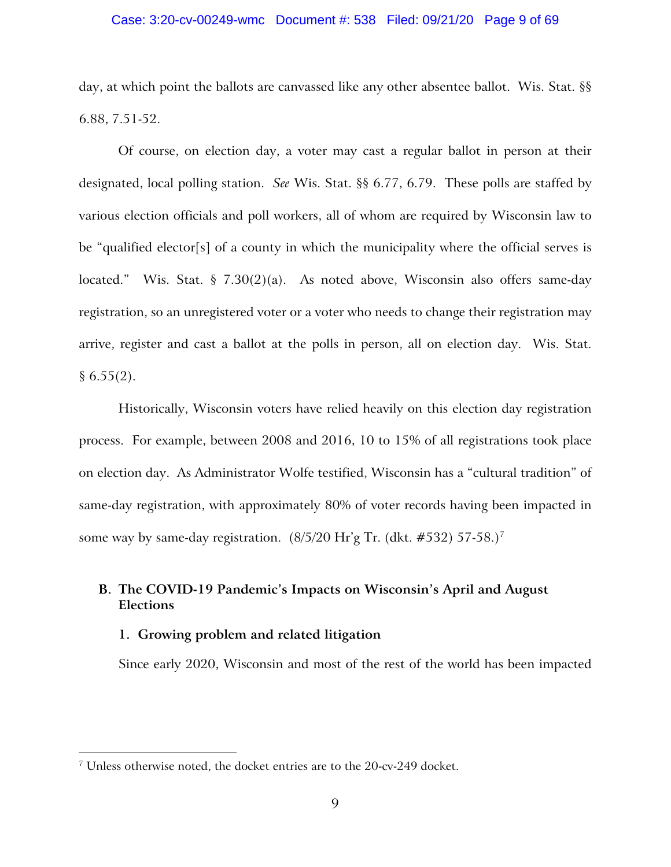### Case: 3:20-cv-00249-wmc Document #: 538 Filed: 09/21/20 Page 9 of 69

day, at which point the ballots are canvassed like any other absentee ballot. Wis. Stat. §§ 6.88, 7.51-52.

Of course, on election day, a voter may cast a regular ballot in person at their designated, local polling station. *See* Wis. Stat. §§ 6.77, 6.79. These polls are staffed by various election officials and poll workers, all of whom are required by Wisconsin law to be "qualified elector[s] of a county in which the municipality where the official serves is located." Wis. Stat. § 7.30(2)(a). As noted above, Wisconsin also offers same-day registration, so an unregistered voter or a voter who needs to change their registration may arrive, register and cast a ballot at the polls in person, all on election day. Wis. Stat.  $§ 6.55(2).$ 

Historically, Wisconsin voters have relied heavily on this election day registration process. For example, between 2008 and 2016, 10 to 15% of all registrations took place on election day. As Administrator Wolfe testified, Wisconsin has a "cultural tradition" of same-day registration, with approximately 80% of voter records having been impacted in some way by same-day registration. (8/5/20 Hr'g Tr. (dkt. #532) 57-58.)[7](#page-8-0)

# **B. The COVID-19 Pandemic's Impacts on Wisconsin's April and August Elections**

### **1. Growing problem and related litigation**

Since early 2020, Wisconsin and most of the rest of the world has been impacted

<span id="page-8-0"></span><sup>7</sup> Unless otherwise noted, the docket entries are to the 20-cv-249 docket.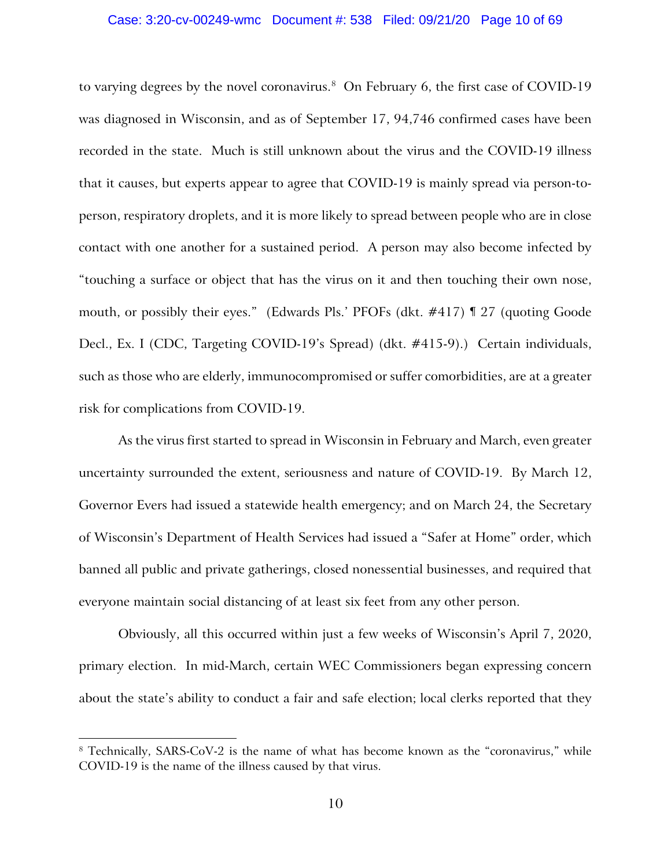### Case: 3:20-cv-00249-wmc Document #: 538 Filed: 09/21/20 Page 10 of 69

to varying degrees by the novel coronavirus.<sup>8</sup> On February 6, the first case of COVID-19 was diagnosed in Wisconsin, and as of September 17, 94,746 confirmed cases have been recorded in the state. Much is still unknown about the virus and the COVID-19 illness that it causes, but experts appear to agree that COVID-19 is mainly spread via person-toperson, respiratory droplets, and it is more likely to spread between people who are in close contact with one another for a sustained period. A person may also become infected by "touching a surface or object that has the virus on it and then touching their own nose, mouth, or possibly their eyes." (Edwards Pls.' PFOFs (dkt. #417) ¶ 27 (quoting Goode Decl., Ex. I (CDC, Targeting COVID-19's Spread) (dkt. #415-9).) Certain individuals, such as those who are elderly, immunocompromised or suffer comorbidities, are at a greater risk for complications from COVID-19.

As the virus first started to spread in Wisconsin in February and March, even greater uncertainty surrounded the extent, seriousness and nature of COVID-19. By March 12, Governor Evers had issued a statewide health emergency; and on March 24, the Secretary of Wisconsin's Department of Health Services had issued a "Safer at Home" order, which banned all public and private gatherings, closed nonessential businesses, and required that everyone maintain social distancing of at least six feet from any other person.

Obviously, all this occurred within just a few weeks of Wisconsin's April 7, 2020, primary election. In mid-March, certain WEC Commissioners began expressing concern about the state's ability to conduct a fair and safe election; local clerks reported that they

<span id="page-9-0"></span><sup>8</sup> Technically, SARS-CoV-2 is the name of what has become known as the "coronavirus," while COVID-19 is the name of the illness caused by that virus.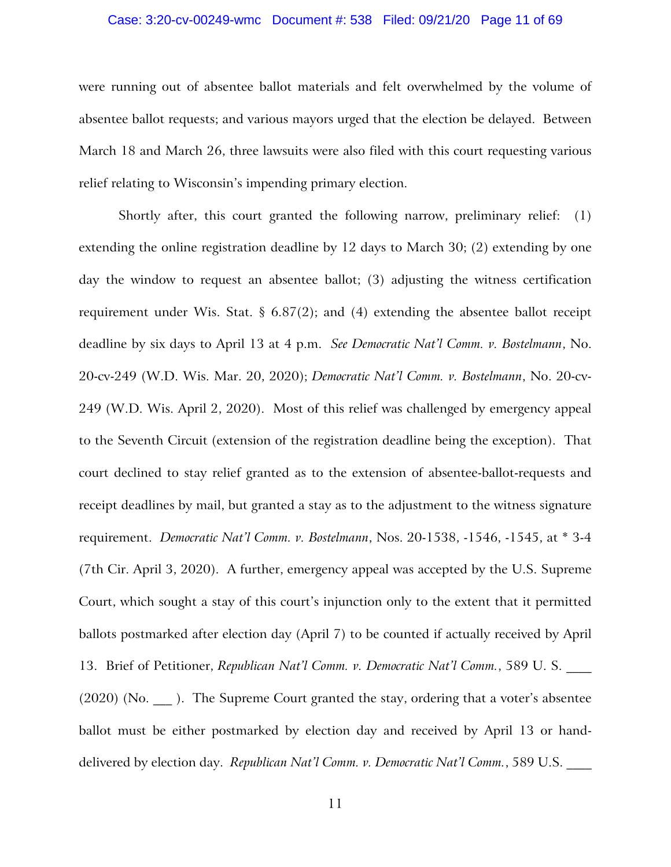### Case: 3:20-cv-00249-wmc Document #: 538 Filed: 09/21/20 Page 11 of 69

were running out of absentee ballot materials and felt overwhelmed by the volume of absentee ballot requests; and various mayors urged that the election be delayed. Between March 18 and March 26, three lawsuits were also filed with this court requesting various relief relating to Wisconsin's impending primary election.

Shortly after, this court granted the following narrow, preliminary relief: (1) extending the online registration deadline by 12 days to March 30; (2) extending by one day the window to request an absentee ballot; (3) adjusting the witness certification requirement under Wis. Stat. §  $6.87(2)$ ; and  $(4)$  extending the absentee ballot receipt deadline by six days to April 13 at 4 p.m. *See Democratic Nat'l Comm. v. Bostelmann*, No. 20-cv-249 (W.D. Wis. Mar. 20, 2020); *Democratic Nat'l Comm. v. Bostelmann*, No. 20-cv-249 (W.D. Wis. April 2, 2020). Most of this relief was challenged by emergency appeal to the Seventh Circuit (extension of the registration deadline being the exception). That court declined to stay relief granted as to the extension of absentee-ballot-requests and receipt deadlines by mail, but granted a stay as to the adjustment to the witness signature requirement. *Democratic Nat'l Comm. v. Bostelmann*, Nos. 20-1538, -1546, -1545, at \* 3-4 (7th Cir. April 3, 2020). A further, emergency appeal was accepted by the U.S. Supreme Court, which sought a stay of this court's injunction only to the extent that it permitted ballots postmarked after election day (April 7) to be counted if actually received by April 13. Brief of Petitioner, *Republican Nat'l Comm. v. Democratic Nat'l Comm.*, 589 U. S.  $(2020)$  (No.  $\blacksquare$ ). The Supreme Court granted the stay, ordering that a voter's absentee ballot must be either postmarked by election day and received by April 13 or handdelivered by election day. *Republican Nat'l Comm. v. Democratic Nat'l Comm.*, 589 U.S. \_\_\_\_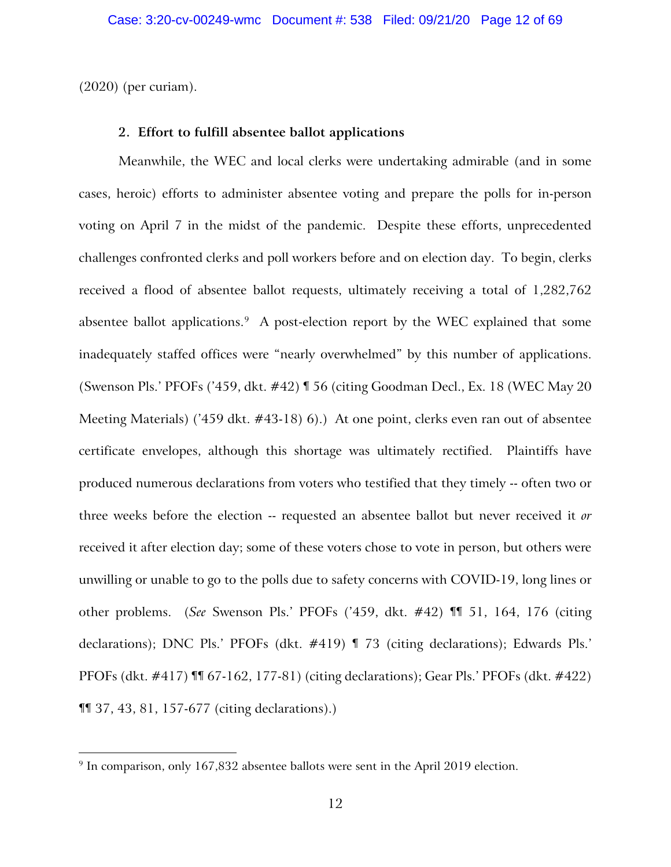(2020) (per curiam).

# **2. Effort to fulfill absentee ballot applications**

Meanwhile, the WEC and local clerks were undertaking admirable (and in some cases, heroic) efforts to administer absentee voting and prepare the polls for in-person voting on April 7 in the midst of the pandemic. Despite these efforts, unprecedented challenges confronted clerks and poll workers before and on election day. To begin, clerks received a flood of absentee ballot requests, ultimately receiving a total of 1,282,762 absentee ballot applications. [9](#page-11-0) A post-election report by the WEC explained that some inadequately staffed offices were "nearly overwhelmed" by this number of applications. (Swenson Pls.' PFOFs ('459, dkt. #42) ¶ 56 (citing Goodman Decl., Ex. 18 (WEC May 20 Meeting Materials) ('459 dkt. #43-18) 6).) At one point, clerks even ran out of absentee certificate envelopes, although this shortage was ultimately rectified. Plaintiffs have produced numerous declarations from voters who testified that they timely -- often two or three weeks before the election -- requested an absentee ballot but never received it *or* received it after election day; some of these voters chose to vote in person, but others were unwilling or unable to go to the polls due to safety concerns with COVID-19, long lines or other problems. (*See* Swenson Pls.' PFOFs ('459, dkt. #42) ¶¶ 51, 164, 176 (citing declarations); DNC Pls.' PFOFs (dkt. #419) ¶ 73 (citing declarations); Edwards Pls.' PFOFs (dkt. #417) ¶¶ 67-162, 177-81) (citing declarations); Gear Pls.' PFOFs (dkt. #422) ¶¶ 37, 43, 81, 157-677 (citing declarations).)

<span id="page-11-0"></span> $9$  In comparison, only 167,832 absentee ballots were sent in the April 2019 election.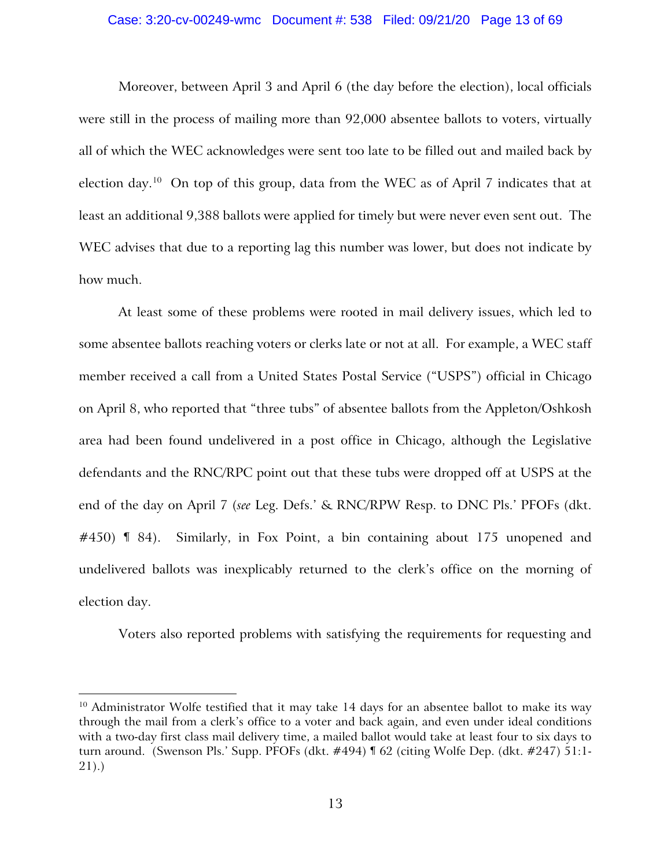### Case: 3:20-cv-00249-wmc Document #: 538 Filed: 09/21/20 Page 13 of 69

Moreover, between April 3 and April 6 (the day before the election), local officials were still in the process of mailing more than 92,000 absentee ballots to voters, virtually all of which the WEC acknowledges were sent too late to be filled out and mailed back by election day.<sup>[10](#page-12-0)</sup> On top of this group, data from the WEC as of April 7 indicates that at least an additional 9,388 ballots were applied for timely but were never even sent out. The WEC advises that due to a reporting lag this number was lower, but does not indicate by how much.

At least some of these problems were rooted in mail delivery issues, which led to some absentee ballots reaching voters or clerks late or not at all. For example, a WEC staff member received a call from a United States Postal Service ("USPS") official in Chicago on April 8, who reported that "three tubs" of absentee ballots from the Appleton/Oshkosh area had been found undelivered in a post office in Chicago, although the Legislative defendants and the RNC/RPC point out that these tubs were dropped off at USPS at the end of the day on April 7 (*see* Leg. Defs.' & RNC/RPW Resp. to DNC Pls.' PFOFs (dkt. #450) ¶ 84). Similarly, in Fox Point, a bin containing about 175 unopened and undelivered ballots was inexplicably returned to the clerk's office on the morning of election day.

Voters also reported problems with satisfying the requirements for requesting and

<span id="page-12-0"></span><sup>&</sup>lt;sup>10</sup> Administrator Wolfe testified that it may take 14 days for an absentee ballot to make its way through the mail from a clerk's office to a voter and back again, and even under ideal conditions with a two-day first class mail delivery time, a mailed ballot would take at least four to six days to turn around. (Swenson Pls.' Supp. PFOFs (dkt. #494) ¶ 62 (citing Wolfe Dep. (dkt. #247) 51:1- 21).)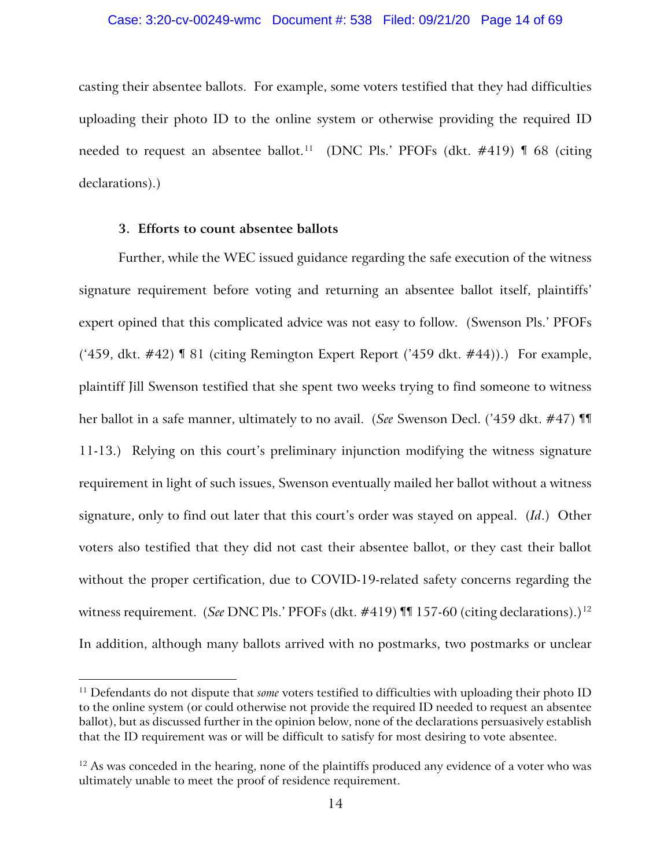casting their absentee ballots. For example, some voters testified that they had difficulties uploading their photo ID to the online system or otherwise providing the required ID needed to request an absentee ballot.<sup>[11](#page-13-0)</sup> (DNC Pls.' PFOFs (dkt.  $\#419$ )  $\P$  68 (citing declarations).)

## **3. Efforts to count absentee ballots**

Further, while the WEC issued guidance regarding the safe execution of the witness signature requirement before voting and returning an absentee ballot itself, plaintiffs' expert opined that this complicated advice was not easy to follow. (Swenson Pls.' PFOFs ('459, dkt. #42) ¶ 81 (citing Remington Expert Report ('459 dkt. #44)).) For example, plaintiff Jill Swenson testified that she spent two weeks trying to find someone to witness her ballot in a safe manner, ultimately to no avail. (*See* Swenson Decl. ('459 dkt. #47) ¶¶ 11-13.) Relying on this court's preliminary injunction modifying the witness signature requirement in light of such issues, Swenson eventually mailed her ballot without a witness signature, only to find out later that this court's order was stayed on appeal. (*Id*.) Other voters also testified that they did not cast their absentee ballot, or they cast their ballot without the proper certification, due to COVID-19-related safety concerns regarding the witness requirement. (*See DNC Pls.' PFOFs* (dkt. #419) **¶1** 157-60 (citing declarations).)<sup>[12](#page-13-1)</sup> In addition, although many ballots arrived with no postmarks, two postmarks or unclear

<span id="page-13-0"></span><sup>&</sup>lt;sup>11</sup> Defendants do not dispute that *some* voters testified to difficulties with uploading their photo ID to the online system (or could otherwise not provide the required ID needed to request an absentee ballot), but as discussed further in the opinion below, none of the declarations persuasively establish that the ID requirement was or will be difficult to satisfy for most desiring to vote absentee.

<span id="page-13-1"></span> $12$  As was conceded in the hearing, none of the plaintiffs produced any evidence of a voter who was ultimately unable to meet the proof of residence requirement.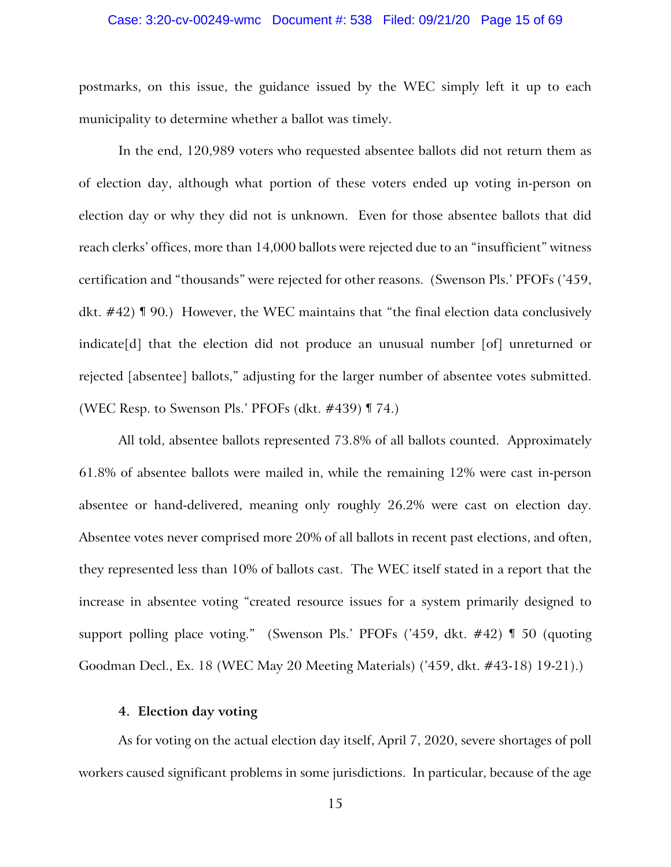### Case: 3:20-cv-00249-wmc Document #: 538 Filed: 09/21/20 Page 15 of 69

postmarks, on this issue, the guidance issued by the WEC simply left it up to each municipality to determine whether a ballot was timely.

In the end, 120,989 voters who requested absentee ballots did not return them as of election day, although what portion of these voters ended up voting in-person on election day or why they did not is unknown. Even for those absentee ballots that did reach clerks' offices, more than 14,000 ballots were rejected due to an "insufficient" witness certification and "thousands" were rejected for other reasons. (Swenson Pls.' PFOFs ('459, dkt. #42) ¶ 90.) However, the WEC maintains that "the final election data conclusively indicate[d] that the election did not produce an unusual number [of] unreturned or rejected [absentee] ballots," adjusting for the larger number of absentee votes submitted. (WEC Resp. to Swenson Pls.' PFOFs (dkt. #439) ¶ 74.)

All told, absentee ballots represented 73.8% of all ballots counted. Approximately 61.8% of absentee ballots were mailed in, while the remaining 12% were cast in-person absentee or hand-delivered, meaning only roughly 26.2% were cast on election day. Absentee votes never comprised more 20% of all ballots in recent past elections, and often, they represented less than 10% of ballots cast. The WEC itself stated in a report that the increase in absentee voting "created resource issues for a system primarily designed to support polling place voting." (Swenson Pls.' PFOFs ('459, dkt. #42) ¶ 50 (quoting Goodman Decl., Ex. 18 (WEC May 20 Meeting Materials) ('459, dkt. #43-18) 19-21).)

# **4. Election day voting**

As for voting on the actual election day itself, April 7, 2020, severe shortages of poll workers caused significant problems in some jurisdictions. In particular, because of the age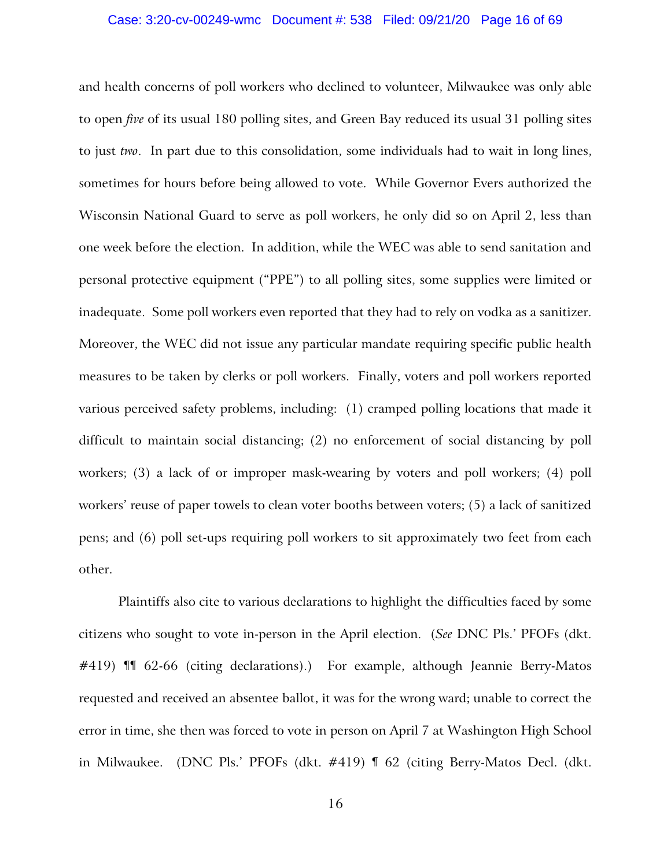### Case: 3:20-cv-00249-wmc Document #: 538 Filed: 09/21/20 Page 16 of 69

and health concerns of poll workers who declined to volunteer, Milwaukee was only able to open *five* of its usual 180 polling sites, and Green Bay reduced its usual 31 polling sites to just *two*. In part due to this consolidation, some individuals had to wait in long lines, sometimes for hours before being allowed to vote. While Governor Evers authorized the Wisconsin National Guard to serve as poll workers, he only did so on April 2, less than one week before the election. In addition, while the WEC was able to send sanitation and personal protective equipment ("PPE") to all polling sites, some supplies were limited or inadequate. Some poll workers even reported that they had to rely on vodka as a sanitizer. Moreover, the WEC did not issue any particular mandate requiring specific public health measures to be taken by clerks or poll workers. Finally, voters and poll workers reported various perceived safety problems, including: (1) cramped polling locations that made it difficult to maintain social distancing; (2) no enforcement of social distancing by poll workers; (3) a lack of or improper mask-wearing by voters and poll workers; (4) poll workers' reuse of paper towels to clean voter booths between voters; (5) a lack of sanitized pens; and (6) poll set-ups requiring poll workers to sit approximately two feet from each other.

Plaintiffs also cite to various declarations to highlight the difficulties faced by some citizens who sought to vote in-person in the April election. (*See* DNC Pls.' PFOFs (dkt. #419) **II** 62-66 (citing declarations).) For example, although Jeannie Berry-Matos requested and received an absentee ballot, it was for the wrong ward; unable to correct the error in time, she then was forced to vote in person on April 7 at Washington High School in Milwaukee. (DNC Pls.' PFOFs (dkt. #419) ¶ 62 (citing Berry-Matos Decl. (dkt.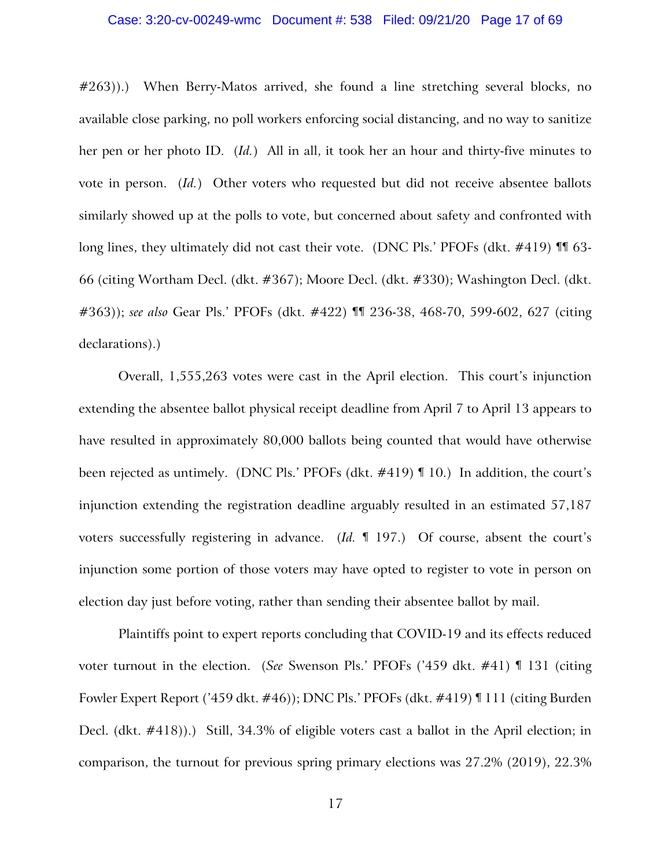### Case: 3:20-cv-00249-wmc Document #: 538 Filed: 09/21/20 Page 17 of 69

#263)).) When Berry-Matos arrived, she found a line stretching several blocks, no available close parking, no poll workers enforcing social distancing, and no way to sanitize her pen or her photo ID. (*Id.*) All in all, it took her an hour and thirty-five minutes to vote in person. (*Id.*) Other voters who requested but did not receive absentee ballots similarly showed up at the polls to vote, but concerned about safety and confronted with long lines, they ultimately did not cast their vote. (DNC Pls.' PFOFs (dkt. #419) II 63-66 (citing Wortham Decl. (dkt. #367); Moore Decl. (dkt. #330); Washington Decl. (dkt. #363)); *see also* Gear Pls.' PFOFs (dkt. #422) ¶¶ 236-38, 468-70, 599-602, 627 (citing declarations).)

Overall, 1,555,263 votes were cast in the April election. This court's injunction extending the absentee ballot physical receipt deadline from April 7 to April 13 appears to have resulted in approximately 80,000 ballots being counted that would have otherwise been rejected as untimely. (DNC Pls.' PFOFs (dkt. #419) ¶ 10.) In addition, the court's injunction extending the registration deadline arguably resulted in an estimated 57,187 voters successfully registering in advance. (*Id.* ¶ 197.) Of course, absent the court's injunction some portion of those voters may have opted to register to vote in person on election day just before voting, rather than sending their absentee ballot by mail.

Plaintiffs point to expert reports concluding that COVID-19 and its effects reduced voter turnout in the election. (*See* Swenson Pls.' PFOFs ('459 dkt. #41) ¶ 131 (citing Fowler Expert Report ('459 dkt. #46)); DNC Pls.' PFOFs (dkt. #419) ¶ 111 (citing Burden Decl. (dkt. #418)).) Still, 34.3% of eligible voters cast a ballot in the April election; in comparison, the turnout for previous spring primary elections was 27.2% (2019), 22.3%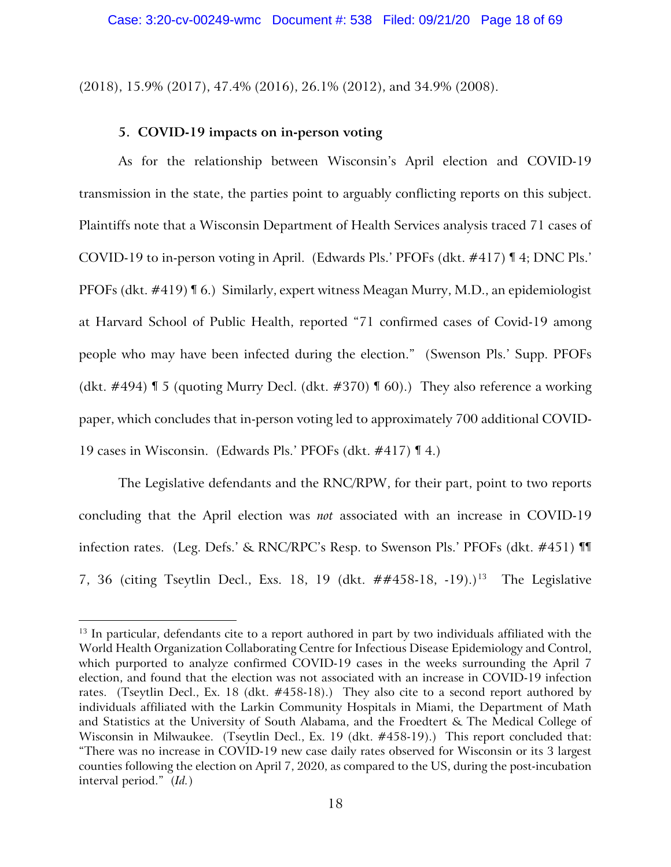(2018), 15.9% (2017), 47.4% (2016), 26.1% (2012), and 34.9% (2008).

# **5. COVID-19 impacts on in-person voting**

As for the relationship between Wisconsin's April election and COVID-19 transmission in the state, the parties point to arguably conflicting reports on this subject. Plaintiffs note that a Wisconsin Department of Health Services analysis traced 71 cases of COVID-19 to in-person voting in April. (Edwards Pls.' PFOFs (dkt. #417) ¶ 4; DNC Pls.' PFOFs (dkt. #419) ¶ 6.) Similarly, expert witness Meagan Murry, M.D., an epidemiologist at Harvard School of Public Health, reported "71 confirmed cases of Covid-19 among people who may have been infected during the election." (Swenson Pls.' Supp. PFOFs (dkt.  $\#494$ ) **[5** (quoting Murry Decl. (dkt.  $\#370$ ) **[60)**.) They also reference a working paper, which concludes that in-person voting led to approximately 700 additional COVID-19 cases in Wisconsin. (Edwards Pls.' PFOFs (dkt. #417) ¶ 4.)

The Legislative defendants and the RNC/RPW, for their part, point to two reports concluding that the April election was *not* associated with an increase in COVID-19 infection rates. (Leg. Defs.' & RNC/RPC's Resp. to Swenson Pls.' PFOFs (dkt. #451) ¶¶ 7, 36 (citing Tseytlin Decl., Exs. 18, 19 (dkt.  $\#4458-18$ ,  $-19$ ).)<sup>[13](#page-17-0)</sup> The Legislative

<span id="page-17-0"></span><sup>&</sup>lt;sup>13</sup> In particular, defendants cite to a report authored in part by two individuals affiliated with the World Health Organization Collaborating Centre for Infectious Disease Epidemiology and Control, which purported to analyze confirmed COVID-19 cases in the weeks surrounding the April 7 election, and found that the election was not associated with an increase in COVID-19 infection rates. (Tseytlin Decl., Ex. 18 (dkt. #458-18).) They also cite to a second report authored by individuals affiliated with the Larkin Community Hospitals in Miami, the Department of Math and Statistics at the University of South Alabama, and the Froedtert & The Medical College of Wisconsin in Milwaukee. (Tseytlin Decl., Ex. 19 (dkt. #458-19).) This report concluded that: "There was no increase in COVID-19 new case daily rates observed for Wisconsin or its 3 largest counties following the election on April 7, 2020, as compared to the US, during the post-incubation interval period." (*Id.*)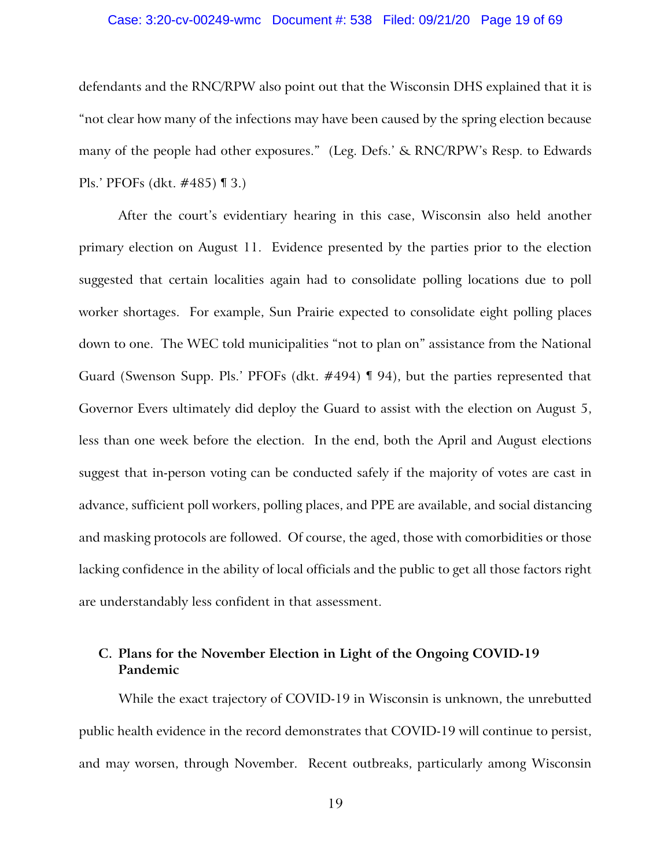### Case: 3:20-cv-00249-wmc Document #: 538 Filed: 09/21/20 Page 19 of 69

defendants and the RNC/RPW also point out that the Wisconsin DHS explained that it is "not clear how many of the infections may have been caused by the spring election because many of the people had other exposures." (Leg. Defs.' & RNC/RPW's Resp. to Edwards Pls.' PFOFs (dkt. #485) ¶ 3.)

After the court's evidentiary hearing in this case, Wisconsin also held another primary election on August 11. Evidence presented by the parties prior to the election suggested that certain localities again had to consolidate polling locations due to poll worker shortages. For example, Sun Prairie expected to consolidate eight polling places down to one. The WEC told municipalities "not to plan on" assistance from the National Guard (Swenson Supp. Pls.' PFOFs (dkt. #494) ¶ 94), but the parties represented that Governor Evers ultimately did deploy the Guard to assist with the election on August 5, less than one week before the election. In the end, both the April and August elections suggest that in-person voting can be conducted safely if the majority of votes are cast in advance, sufficient poll workers, polling places, and PPE are available, and social distancing and masking protocols are followed. Of course, the aged, those with comorbidities or those lacking confidence in the ability of local officials and the public to get all those factors right are understandably less confident in that assessment.

# **C. Plans for the November Election in Light of the Ongoing COVID-19 Pandemic**

While the exact trajectory of COVID-19 in Wisconsin is unknown, the unrebutted public health evidence in the record demonstrates that COVID-19 will continue to persist, and may worsen, through November. Recent outbreaks, particularly among Wisconsin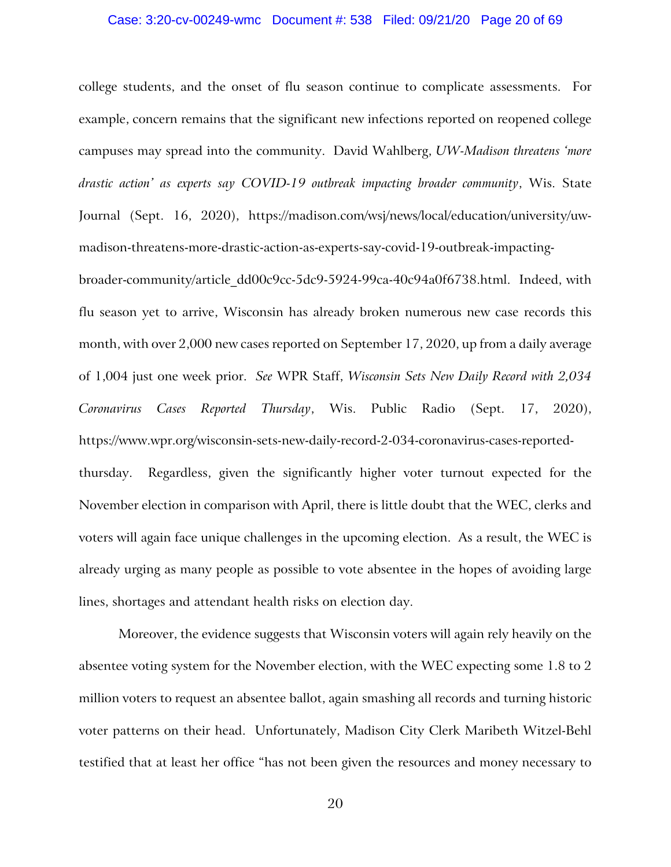#### Case: 3:20-cv-00249-wmc Document #: 538 Filed: 09/21/20 Page 20 of 69

college students, and the onset of flu season continue to complicate assessments. For example, concern remains that the significant new infections reported on reopened college campuses may spread into the community. David Wahlberg, *UW-Madison threatens 'more drastic action' as experts say COVID-19 outbreak impacting broader community*, Wis. State Journal (Sept. 16, 2020), https://madison.com/wsj/news/local/education/university/uwmadison-threatens-more-drastic-action-as-experts-say-covid-19-outbreak-impacting-

broader-community/article\_dd00c9cc-5dc9-5924-99ca-40c94a0f6738.html. Indeed, with flu season yet to arrive, Wisconsin has already broken numerous new case records this month, with over 2,000 new cases reported on September 17, 2020, up from a daily average of 1,004 just one week prior. *See* WPR Staff, *Wisconsin Sets New Daily Record with 2,034 Coronavirus Cases Reported Thursday*, Wis. Public Radio (Sept. 17, 2020), https://www.wpr.org/wisconsin-sets-new-daily-record-2-034-coronavirus-cases-reportedthursday. Regardless, given the significantly higher voter turnout expected for the November election in comparison with April, there is little doubt that the WEC, clerks and voters will again face unique challenges in the upcoming election. As a result, the WEC is already urging as many people as possible to vote absentee in the hopes of avoiding large lines, shortages and attendant health risks on election day.

Moreover, the evidence suggests that Wisconsin voters will again rely heavily on the absentee voting system for the November election, with the WEC expecting some 1.8 to 2 million voters to request an absentee ballot, again smashing all records and turning historic voter patterns on their head. Unfortunately, Madison City Clerk Maribeth Witzel-Behl testified that at least her office "has not been given the resources and money necessary to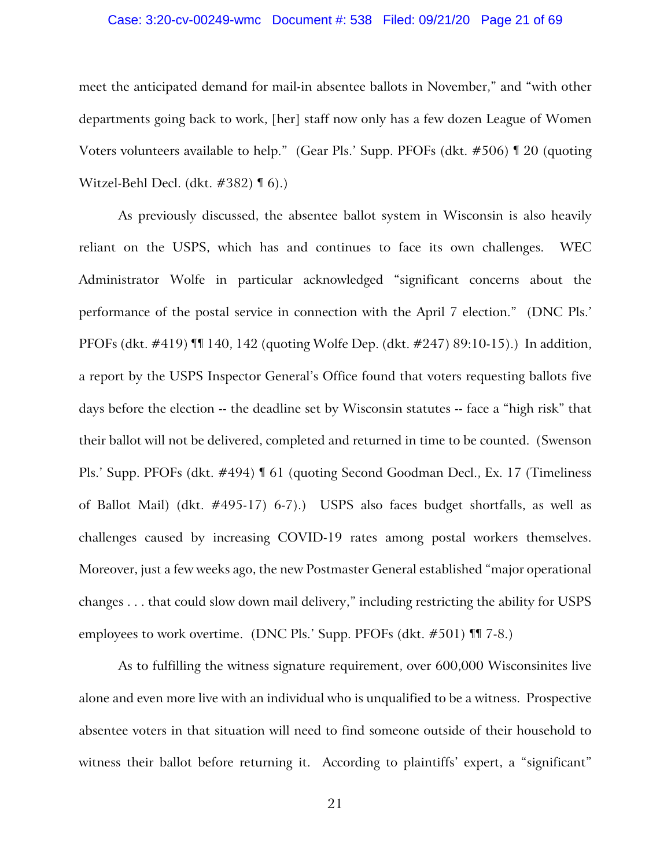## Case: 3:20-cv-00249-wmc Document #: 538 Filed: 09/21/20 Page 21 of 69

meet the anticipated demand for mail-in absentee ballots in November," and "with other departments going back to work, [her] staff now only has a few dozen League of Women Voters volunteers available to help." (Gear Pls.' Supp. PFOFs (dkt. #506) ¶ 20 (quoting Witzel-Behl Decl. (dkt. #382) ¶ 6).)

As previously discussed, the absentee ballot system in Wisconsin is also heavily reliant on the USPS, which has and continues to face its own challenges. WEC Administrator Wolfe in particular acknowledged "significant concerns about the performance of the postal service in connection with the April 7 election." (DNC Pls.' PFOFs (dkt. #419) ¶¶ 140, 142 (quoting Wolfe Dep. (dkt. #247) 89:10-15).) In addition, a report by the USPS Inspector General's Office found that voters requesting ballots five days before the election -- the deadline set by Wisconsin statutes -- face a "high risk" that their ballot will not be delivered, completed and returned in time to be counted. (Swenson Pls.' Supp. PFOFs (dkt. #494) ¶ 61 (quoting Second Goodman Decl., Ex. 17 (Timeliness of Ballot Mail) (dkt. #495-17) 6-7).) USPS also faces budget shortfalls, as well as challenges caused by increasing COVID-19 rates among postal workers themselves. Moreover, just a few weeks ago, the new Postmaster General established "major operational changes . . . that could slow down mail delivery," including restricting the ability for USPS employees to work overtime. (DNC Pls.' Supp. PFOFs (dkt. #501) ¶¶ 7-8.)

As to fulfilling the witness signature requirement, over 600,000 Wisconsinites live alone and even more live with an individual who is unqualified to be a witness. Prospective absentee voters in that situation will need to find someone outside of their household to witness their ballot before returning it. According to plaintiffs' expert, a "significant"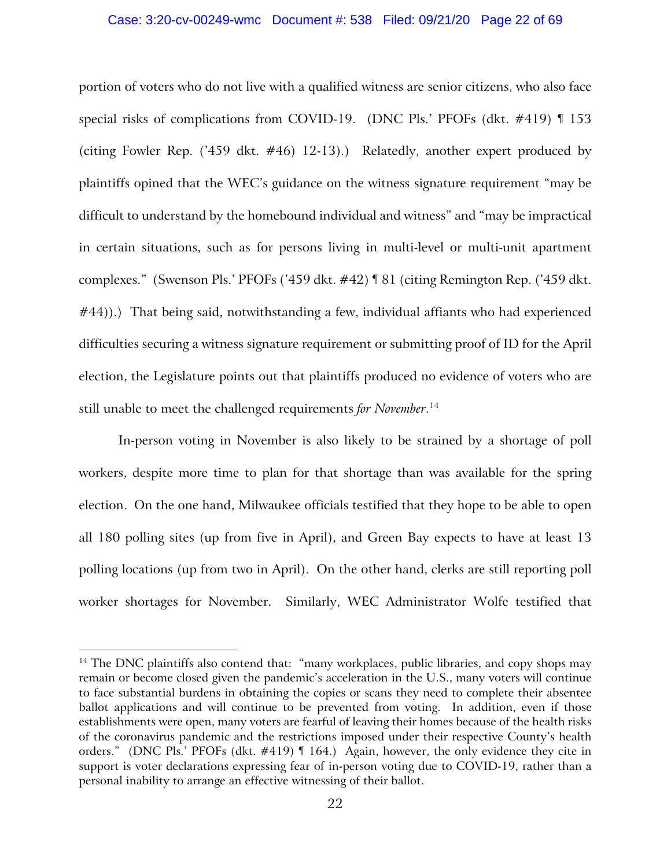### Case: 3:20-cv-00249-wmc Document #: 538 Filed: 09/21/20 Page 22 of 69

portion of voters who do not live with a qualified witness are senior citizens, who also face special risks of complications from COVID-19. (DNC Pls.' PFOFs (dkt. #419) ¶ 153 (citing Fowler Rep. ('459 dkt. #46) 12-13).) Relatedly, another expert produced by plaintiffs opined that the WEC's guidance on the witness signature requirement "may be difficult to understand by the homebound individual and witness" and "may be impractical in certain situations, such as for persons living in multi-level or multi-unit apartment complexes." (Swenson Pls.' PFOFs ('459 dkt. #42) ¶ 81 (citing Remington Rep. ('459 dkt. #44)).) That being said, notwithstanding a few, individual affiants who had experienced difficulties securing a witness signature requirement or submitting proof of ID for the April election, the Legislature points out that plaintiffs produced no evidence of voters who are still unable to meet the challenged requirements *for November*. [14](#page-21-0)

In-person voting in November is also likely to be strained by a shortage of poll workers, despite more time to plan for that shortage than was available for the spring election. On the one hand, Milwaukee officials testified that they hope to be able to open all 180 polling sites (up from five in April), and Green Bay expects to have at least 13 polling locations (up from two in April). On the other hand, clerks are still reporting poll worker shortages for November. Similarly, WEC Administrator Wolfe testified that

<span id="page-21-0"></span><sup>&</sup>lt;sup>14</sup> The DNC plaintiffs also contend that: "many workplaces, public libraries, and copy shops may remain or become closed given the pandemic's acceleration in the U.S., many voters will continue to face substantial burdens in obtaining the copies or scans they need to complete their absentee ballot applications and will continue to be prevented from voting. In addition, even if those establishments were open, many voters are fearful of leaving their homes because of the health risks of the coronavirus pandemic and the restrictions imposed under their respective County's health orders." (DNC Pls.' PFOFs (dkt. #419) ¶ 164.) Again, however, the only evidence they cite in support is voter declarations expressing fear of in-person voting due to COVID-19, rather than a personal inability to arrange an effective witnessing of their ballot.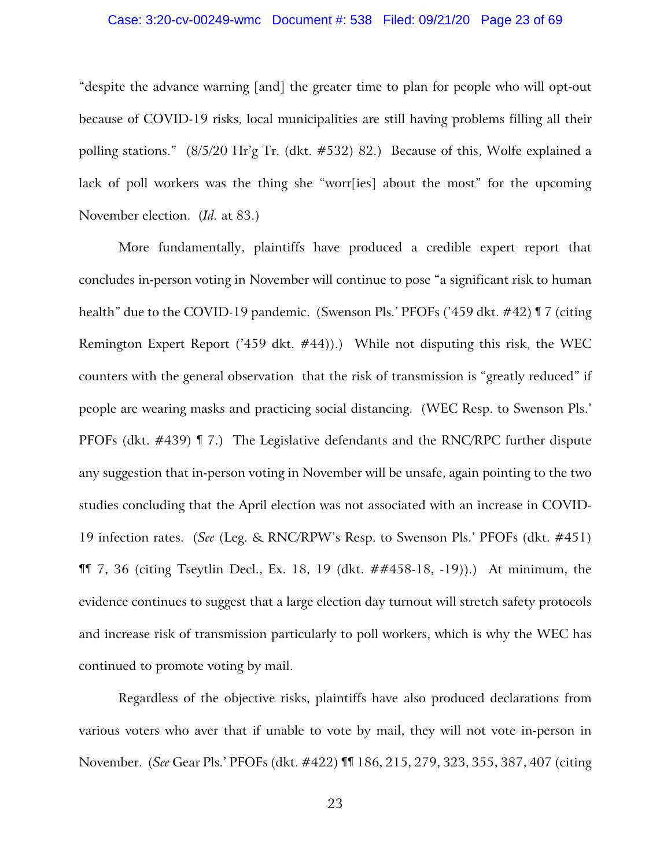### Case: 3:20-cv-00249-wmc Document #: 538 Filed: 09/21/20 Page 23 of 69

"despite the advance warning [and] the greater time to plan for people who will opt-out because of COVID-19 risks, local municipalities are still having problems filling all their polling stations." (8/5/20 Hr'g Tr. (dkt. #532) 82.) Because of this, Wolfe explained a lack of poll workers was the thing she "worr[ies] about the most" for the upcoming November election. (*Id.* at 83.)

More fundamentally, plaintiffs have produced a credible expert report that concludes in-person voting in November will continue to pose "a significant risk to human health" due to the COVID-19 pandemic. (Swenson Pls.' PFOFs ('459 dkt. #42) ¶ 7 (citing Remington Expert Report ('459 dkt. #44)).) While not disputing this risk, the WEC counters with the general observation that the risk of transmission is "greatly reduced" if people are wearing masks and practicing social distancing. (WEC Resp. to Swenson Pls.' PFOFs (dkt. #439) ¶ 7.) The Legislative defendants and the RNC/RPC further dispute any suggestion that in-person voting in November will be unsafe, again pointing to the two studies concluding that the April election was not associated with an increase in COVID-19 infection rates. (*See* (Leg. & RNC/RPW's Resp. to Swenson Pls.' PFOFs (dkt. #451) ¶¶ 7, 36 (citing Tseytlin Decl., Ex. 18, 19 (dkt. ##458-18, -19)).) At minimum, the evidence continues to suggest that a large election day turnout will stretch safety protocols and increase risk of transmission particularly to poll workers, which is why the WEC has continued to promote voting by mail.

Regardless of the objective risks, plaintiffs have also produced declarations from various voters who aver that if unable to vote by mail, they will not vote in-person in November. (*See* Gear Pls.' PFOFs (dkt. #422) ¶¶ 186, 215, 279, 323, 355, 387, 407 (citing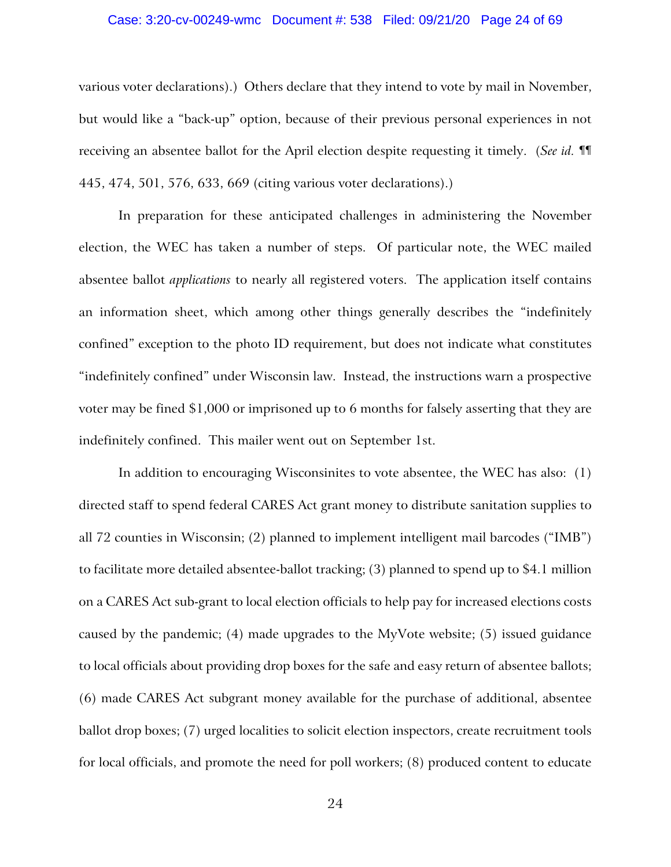### Case: 3:20-cv-00249-wmc Document #: 538 Filed: 09/21/20 Page 24 of 69

various voter declarations).) Others declare that they intend to vote by mail in November, but would like a "back-up" option, because of their previous personal experiences in not receiving an absentee ballot for the April election despite requesting it timely. (*See id.* ¶¶ 445, 474, 501, 576, 633, 669 (citing various voter declarations).)

In preparation for these anticipated challenges in administering the November election, the WEC has taken a number of steps. Of particular note, the WEC mailed absentee ballot *applications* to nearly all registered voters. The application itself contains an information sheet, which among other things generally describes the "indefinitely confined" exception to the photo ID requirement, but does not indicate what constitutes "indefinitely confined" under Wisconsin law. Instead, the instructions warn a prospective voter may be fined \$1,000 or imprisoned up to 6 months for falsely asserting that they are indefinitely confined. This mailer went out on September 1st.

In addition to encouraging Wisconsinites to vote absentee, the WEC has also: (1) directed staff to spend federal CARES Act grant money to distribute sanitation supplies to all 72 counties in Wisconsin; (2) planned to implement intelligent mail barcodes ("IMB") to facilitate more detailed absentee-ballot tracking; (3) planned to spend up to \$4.1 million on a CARES Act sub-grant to local election officials to help pay for increased elections costs caused by the pandemic; (4) made upgrades to the MyVote website; (5) issued guidance to local officials about providing drop boxes for the safe and easy return of absentee ballots; (6) made CARES Act subgrant money available for the purchase of additional, absentee ballot drop boxes; (7) urged localities to solicit election inspectors, create recruitment tools for local officials, and promote the need for poll workers; (8) produced content to educate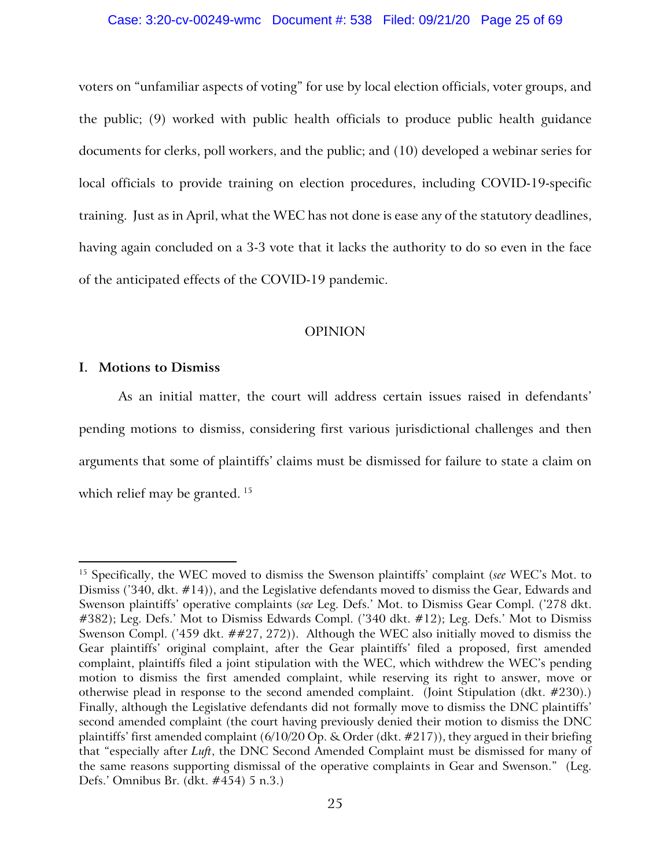### Case: 3:20-cv-00249-wmc Document #: 538 Filed: 09/21/20 Page 25 of 69

voters on "unfamiliar aspects of voting" for use by local election officials, voter groups, and the public; (9) worked with public health officials to produce public health guidance documents for clerks, poll workers, and the public; and (10) developed a webinar series for local officials to provide training on election procedures, including COVID-19-specific training. Just as in April, what the WEC has not done is ease any of the statutory deadlines, having again concluded on a 3-3 vote that it lacks the authority to do so even in the face of the anticipated effects of the COVID-19 pandemic.

# OPINION

# **I. Motions to Dismiss**

As an initial matter, the court will address certain issues raised in defendants' pending motions to dismiss, considering first various jurisdictional challenges and then arguments that some of plaintiffs' claims must be dismissed for failure to state a claim on which relief may be granted.<sup>[15](#page-24-0)</sup>

<span id="page-24-0"></span><sup>15</sup> Specifically, the WEC moved to dismiss the Swenson plaintiffs' complaint (*see* WEC's Mot. to Dismiss ('340, dkt. #14)), and the Legislative defendants moved to dismiss the Gear, Edwards and Swenson plaintiffs' operative complaints (*see* Leg. Defs.' Mot. to Dismiss Gear Compl. ('278 dkt. #382); Leg. Defs.' Mot to Dismiss Edwards Compl. ('340 dkt. #12); Leg. Defs.' Mot to Dismiss Swenson Compl. ('459 dkt. ##27, 272)). Although the WEC also initially moved to dismiss the Gear plaintiffs' original complaint, after the Gear plaintiffs' filed a proposed, first amended complaint, plaintiffs filed a joint stipulation with the WEC, which withdrew the WEC's pending motion to dismiss the first amended complaint, while reserving its right to answer, move or otherwise plead in response to the second amended complaint. (Joint Stipulation (dkt. #230).) Finally, although the Legislative defendants did not formally move to dismiss the DNC plaintiffs' second amended complaint (the court having previously denied their motion to dismiss the DNC plaintiffs' first amended complaint  $(6/10/20$  Op. & Order (dkt.  $\#217$ )), they argued in their briefing that "especially after *Luft*, the DNC Second Amended Complaint must be dismissed for many of the same reasons supporting dismissal of the operative complaints in Gear and Swenson." (Leg. Defs.' Omnibus Br. (dkt. #454) 5 n.3.)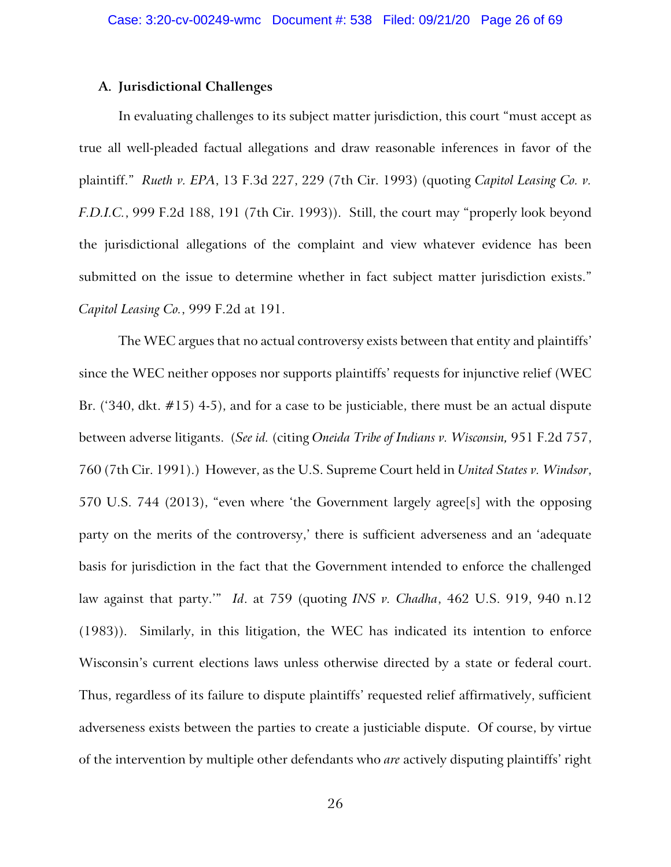# **A. Jurisdictional Challenges**

In evaluating challenges to its subject matter jurisdiction, this court "must accept as true all well-pleaded factual allegations and draw reasonable inferences in favor of the plaintiff." *Rueth v. EPA*, 13 F.3d 227, 229 (7th Cir. 1993) (quoting *Capitol Leasing Co. v. F.D.I.C.*, 999 F.2d 188, 191 (7th Cir. 1993)). Still, the court may "properly look beyond the jurisdictional allegations of the complaint and view whatever evidence has been submitted on the issue to determine whether in fact subject matter jurisdiction exists." *Capitol Leasing Co.*, 999 F.2d at 191.

The WEC argues that no actual controversy exists between that entity and plaintiffs' since the WEC neither opposes nor supports plaintiffs' requests for injunctive relief (WEC Br. ('340, dkt. #15) 4-5), and for a case to be justiciable, there must be an actual dispute between adverse litigants. (*See id.* (citing *Oneida Tribe of Indians v. Wisconsin,* 951 F.2d 757, 760 (7th Cir. 1991).) However, as the U.S. Supreme Court held in *United States v. Windsor*, 570 U.S. 744 (2013), "even where 'the Government largely agree[s] with the opposing party on the merits of the controversy,' there is sufficient adverseness and an 'adequate basis for jurisdiction in the fact that the Government intended to enforce the challenged law against that party.'" *Id*. at 759 (quoting *INS v. Chadha*, 462 U.S. 919, 940 n.12 (1983)). Similarly, in this litigation, the WEC has indicated its intention to enforce Wisconsin's current elections laws unless otherwise directed by a state or federal court. Thus, regardless of its failure to dispute plaintiffs' requested relief affirmatively, sufficient adverseness exists between the parties to create a justiciable dispute. Of course, by virtue of the intervention by multiple other defendants who *are* actively disputing plaintiffs' right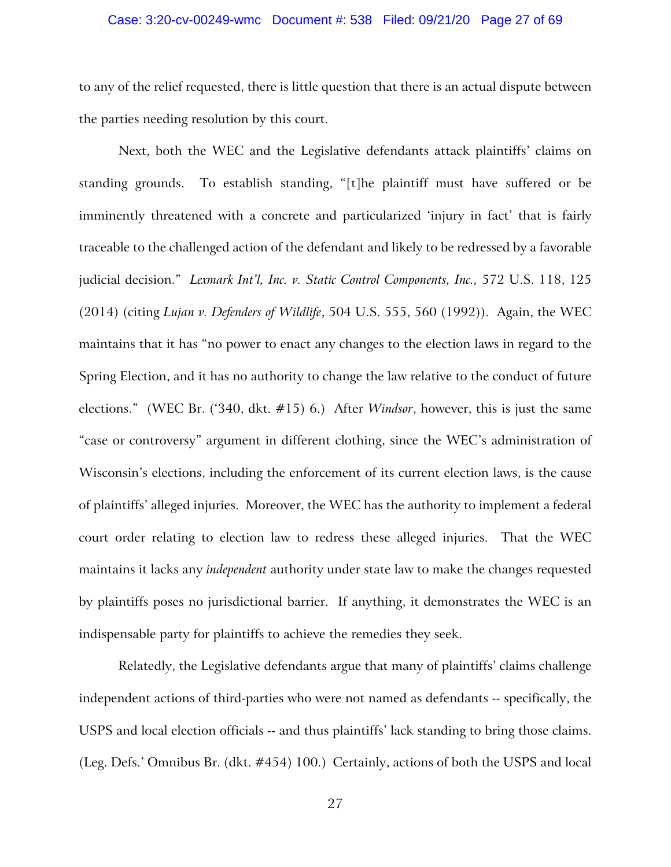### Case: 3:20-cv-00249-wmc Document #: 538 Filed: 09/21/20 Page 27 of 69

to any of the relief requested, there is little question that there is an actual dispute between the parties needing resolution by this court.

Next, both the WEC and the Legislative defendants attack plaintiffs' claims on standing grounds. To establish standing, "[t]he plaintiff must have suffered or be imminently threatened with a concrete and particularized 'injury in fact' that is fairly traceable to the challenged action of the defendant and likely to be redressed by a favorable judicial decision." *Lexmark Int'l, Inc. v. Static Control Components, Inc.,* 572 U.S. 118, 125 (2014) (citing *Lujan v. Defenders of Wildlife*, 504 U.S. 555, 560 (1992)). Again, the WEC maintains that it has "no power to enact any changes to the election laws in regard to the Spring Election, and it has no authority to change the law relative to the conduct of future elections." (WEC Br. ('340, dkt. #15) 6.) After *Windsor*, however, this is just the same "case or controversy" argument in different clothing, since the WEC's administration of Wisconsin's elections, including the enforcement of its current election laws, is the cause of plaintiffs' alleged injuries. Moreover, the WEC has the authority to implement a federal court order relating to election law to redress these alleged injuries. That the WEC maintains it lacks any *independent* authority under state law to make the changes requested by plaintiffs poses no jurisdictional barrier. If anything, it demonstrates the WEC is an indispensable party for plaintiffs to achieve the remedies they seek.

Relatedly, the Legislative defendants argue that many of plaintiffs' claims challenge independent actions of third-parties who were not named as defendants -- specifically, the USPS and local election officials -- and thus plaintiffs' lack standing to bring those claims. (Leg. Defs.' Omnibus Br. (dkt. #454) 100.) Certainly, actions of both the USPS and local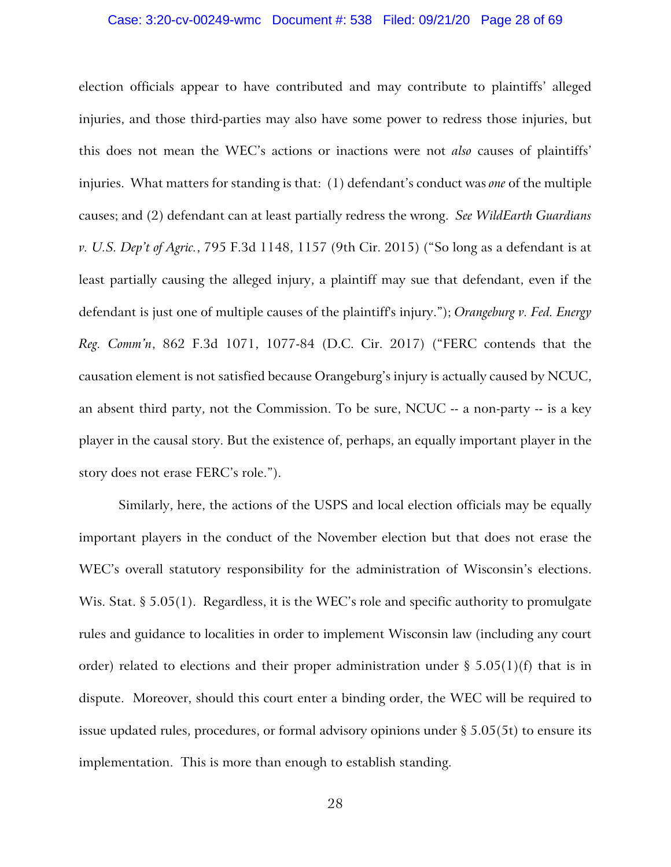### Case: 3:20-cv-00249-wmc Document #: 538 Filed: 09/21/20 Page 28 of 69

election officials appear to have contributed and may contribute to plaintiffs' alleged injuries, and those third-parties may also have some power to redress those injuries, but this does not mean the WEC's actions or inactions were not *also* causes of plaintiffs' injuries. What matters for standing is that: (1) defendant's conduct was *one* of the multiple causes; and (2) defendant can at least partially redress the wrong. *See WildEarth Guardians v. U.S. Dep't of Agric.*, 795 F.3d 1148, 1157 (9th Cir. 2015) ("So long as a defendant is at least partially causing the alleged injury, a plaintiff may sue that defendant, even if the defendant is just one of multiple causes of the plaintiff's injury."); *Orangeburg v. Fed. Energy Reg. Comm'n*, 862 F.3d 1071, 1077-84 (D.C. Cir. 2017) ("FERC contends that the causation element is not satisfied because Orangeburg's injury is actually caused by NCUC, an absent third party, not the Commission. To be sure, NCUC -- a non-party -- is a key player in the causal story. But the existence of, perhaps, an equally important player in the story does not erase FERC's role.").

Similarly, here, the actions of the USPS and local election officials may be equally important players in the conduct of the November election but that does not erase the WEC's overall statutory responsibility for the administration of Wisconsin's elections. Wis. Stat. § 5.05(1). Regardless, it is the WEC's role and specific authority to promulgate rules and guidance to localities in order to implement Wisconsin law (including any court order) related to elections and their proper administration under  $\S$  5.05(1)(f) that is in dispute. Moreover, should this court enter a binding order, the WEC will be required to issue updated rules, procedures, or formal advisory opinions under  $\S 5.05(5t)$  to ensure its implementation. This is more than enough to establish standing.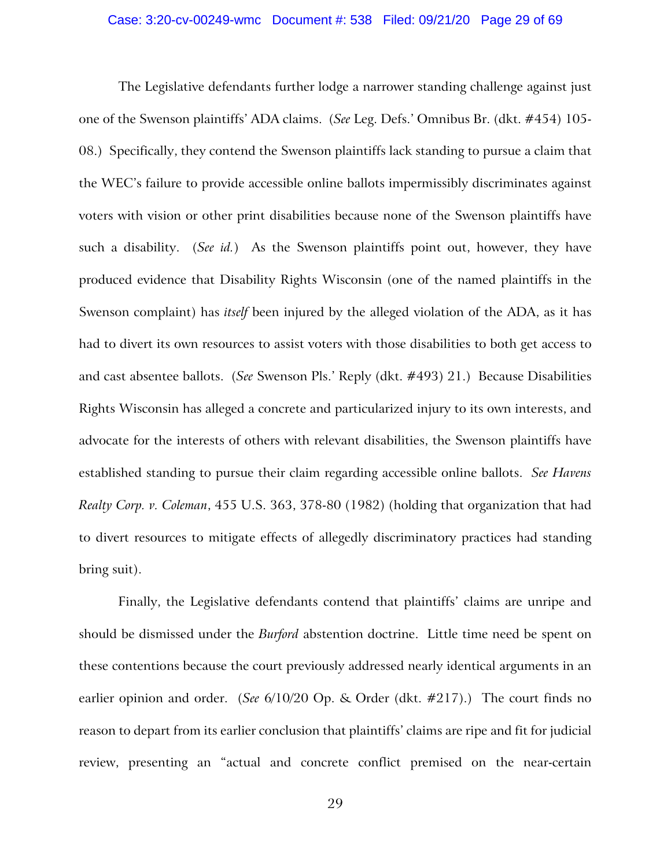The Legislative defendants further lodge a narrower standing challenge against just one of the Swenson plaintiffs' ADA claims. (*See* Leg. Defs.' Omnibus Br. (dkt. #454) 105- 08.) Specifically, they contend the Swenson plaintiffs lack standing to pursue a claim that the WEC's failure to provide accessible online ballots impermissibly discriminates against voters with vision or other print disabilities because none of the Swenson plaintiffs have such a disability. (*See id.*) As the Swenson plaintiffs point out, however, they have produced evidence that Disability Rights Wisconsin (one of the named plaintiffs in the Swenson complaint) has *itself* been injured by the alleged violation of the ADA, as it has had to divert its own resources to assist voters with those disabilities to both get access to and cast absentee ballots. (*See* Swenson Pls.' Reply (dkt. #493) 21.) Because Disabilities Rights Wisconsin has alleged a concrete and particularized injury to its own interests, and advocate for the interests of others with relevant disabilities, the Swenson plaintiffs have established standing to pursue their claim regarding accessible online ballots. *See Havens Realty Corp. v. Coleman*, 455 U.S. 363, 378-80 (1982) (holding that organization that had to divert resources to mitigate effects of allegedly discriminatory practices had standing bring suit).

Finally, the Legislative defendants contend that plaintiffs' claims are unripe and should be dismissed under the *Burford* abstention doctrine. Little time need be spent on these contentions because the court previously addressed nearly identical arguments in an earlier opinion and order. (*See* 6/10/20 Op. & Order (dkt. #217).) The court finds no reason to depart from its earlier conclusion that plaintiffs' claims are ripe and fit for judicial review, presenting an "actual and concrete conflict premised on the near-certain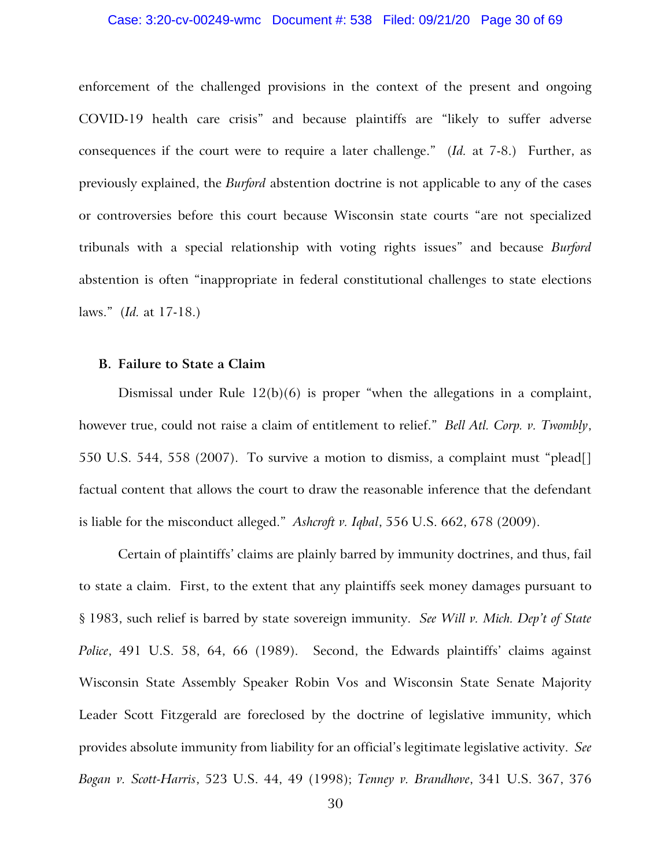### Case: 3:20-cv-00249-wmc Document #: 538 Filed: 09/21/20 Page 30 of 69

enforcement of the challenged provisions in the context of the present and ongoing COVID-19 health care crisis" and because plaintiffs are "likely to suffer adverse consequences if the court were to require a later challenge." (*Id.* at 7-8.) Further, as previously explained, the *Burford* abstention doctrine is not applicable to any of the cases or controversies before this court because Wisconsin state courts "are not specialized tribunals with a special relationship with voting rights issues" and because *Burford*  abstention is often "inappropriate in federal constitutional challenges to state elections laws." (*Id.* at 17-18.)

## **B. Failure to State a Claim**

Dismissal under Rule 12(b)(6) is proper "when the allegations in a complaint, however true, could not raise a claim of entitlement to relief." *Bell Atl. Corp. v. Twombly*, 550 U.S. 544, 558 (2007). To survive a motion to dismiss, a complaint must "plead[] factual content that allows the court to draw the reasonable inference that the defendant is liable for the misconduct alleged." *Ashcroft v. Iqbal*, 556 U.S. 662, 678 (2009).

Certain of plaintiffs' claims are plainly barred by immunity doctrines, and thus, fail to state a claim. First, to the extent that any plaintiffs seek money damages pursuant to § 1983, such relief is barred by state sovereign immunity. *See Will v. Mich. Dep't of State Police*, 491 U.S. 58, 64, 66 (1989). Second, the Edwards plaintiffs' claims against Wisconsin State Assembly Speaker Robin Vos and Wisconsin State Senate Majority Leader Scott Fitzgerald are foreclosed by the doctrine of legislative immunity, which provides absolute immunity from liability for an official's legitimate legislative activity. *See Bogan v. Scott-Harris*, 523 U.S. 44, 49 (1998); *Tenney v. Brandhove*, 341 U.S. 367, 376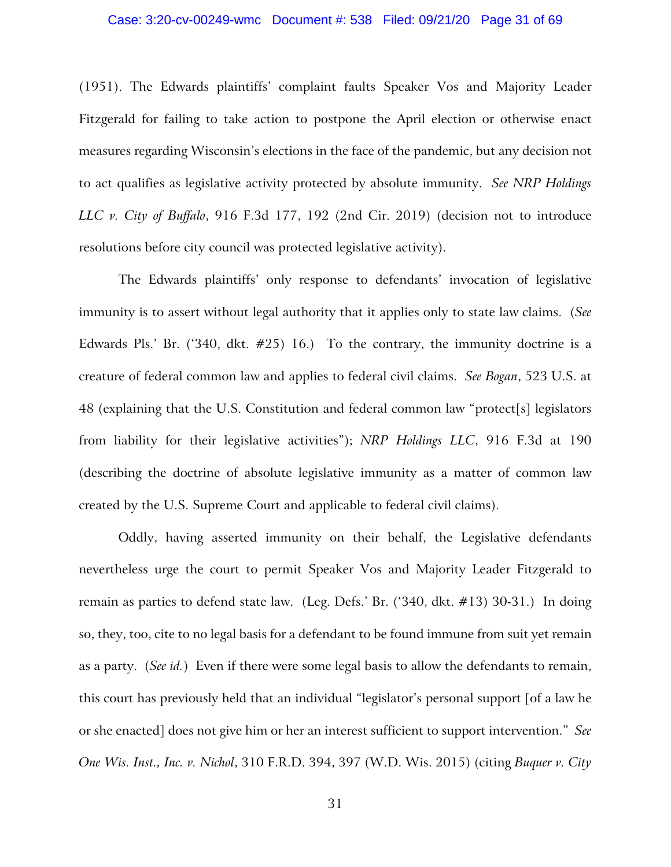### Case: 3:20-cv-00249-wmc Document #: 538 Filed: 09/21/20 Page 31 of 69

(1951). The Edwards plaintiffs' complaint faults Speaker Vos and Majority Leader Fitzgerald for failing to take action to postpone the April election or otherwise enact measures regarding Wisconsin's elections in the face of the pandemic, but any decision not to act qualifies as legislative activity protected by absolute immunity. *See NRP Holdings LLC v. City of Buffalo*, 916 F.3d 177, 192 (2nd Cir. 2019) (decision not to introduce resolutions before city council was protected legislative activity).

The Edwards plaintiffs' only response to defendants' invocation of legislative immunity is to assert without legal authority that it applies only to state law claims. (*See* Edwards Pls.' Br. ('340, dkt.  $\#25$ ) 16.) To the contrary, the immunity doctrine is a creature of federal common law and applies to federal civil claims. *See Bogan*, 523 U.S. at 48 (explaining that the U.S. Constitution and federal common law "protect[s] legislators from liability for their legislative activities"); *NRP Holdings LLC*, 916 F.3d at 190 (describing the doctrine of absolute legislative immunity as a matter of common law created by the U.S. Supreme Court and applicable to federal civil claims).

Oddly, having asserted immunity on their behalf, the Legislative defendants nevertheless urge the court to permit Speaker Vos and Majority Leader Fitzgerald to remain as parties to defend state law. (Leg. Defs.' Br. ('340, dkt. #13) 30-31.) In doing so, they, too, cite to no legal basis for a defendant to be found immune from suit yet remain as a party. (*See id.*) Even if there were some legal basis to allow the defendants to remain, this court has previously held that an individual "legislator's personal support [of a law he or she enacted] does not give him or her an interest sufficient to support intervention." *See One Wis. Inst., Inc. v. Nichol*, 310 F.R.D. 394, 397 (W.D. Wis. 2015) (citing *Buquer v. City*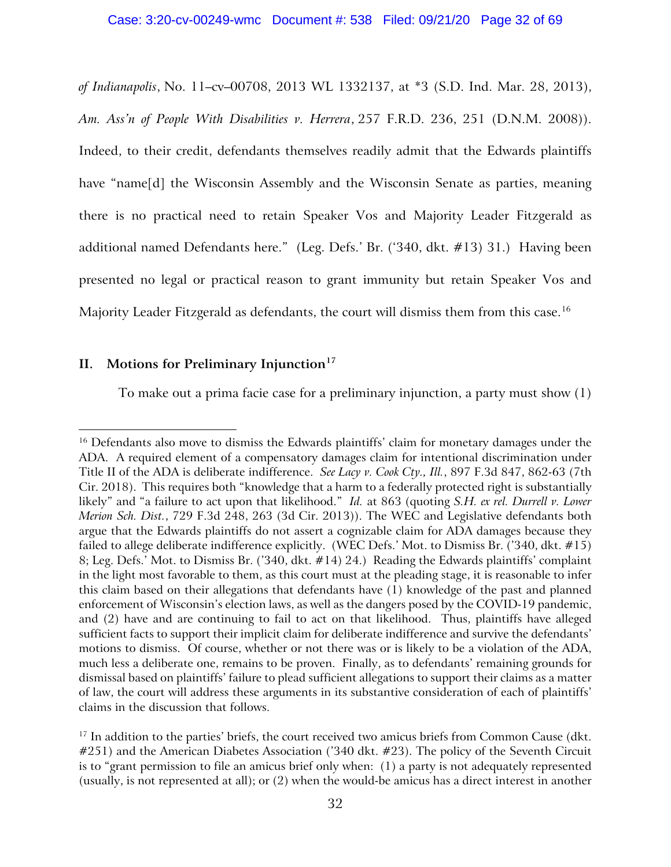*of Indianapolis*, No. 11–cv–00708, 2013 WL 1332137, at \*3 (S.D. Ind. Mar. 28, 2013), *Am. Ass'n of People With Disabilities v. Herrera*, 257 F.R.D. 236, 251 (D.N.M. 2008)). Indeed, to their credit, defendants themselves readily admit that the Edwards plaintiffs have "name<sup>[d]</sup> the Wisconsin Assembly and the Wisconsin Senate as parties, meaning there is no practical need to retain Speaker Vos and Majority Leader Fitzgerald as additional named Defendants here." (Leg. Defs.' Br. ('340, dkt. #13) 31.) Having been presented no legal or practical reason to grant immunity but retain Speaker Vos and Majority Leader Fitzgerald as defendants, the court will dismiss them from this case.<sup>[16](#page-31-0)</sup>

# **II. Motions for Preliminary Injunction[17](#page-31-1)**

To make out a prima facie case for a preliminary injunction, a party must show (1)

<span id="page-31-0"></span><sup>&</sup>lt;sup>16</sup> Defendants also move to dismiss the Edwards plaintiffs' claim for monetary damages under the ADA. A required element of a compensatory damages claim for intentional discrimination under Title II of the ADA is deliberate indifference. *See Lacy v. Cook Cty., Ill.*, 897 F.3d 847, 862-63 (7th Cir. 2018). This requires both "knowledge that a harm to a federally protected right is substantially likely" and "a failure to act upon that likelihood." *Id.* at 863 (quoting *S.H. ex rel. Durrell v. Lower Merion Sch. Dist.*, 729 F.3d 248, 263 (3d Cir. 2013)). The WEC and Legislative defendants both argue that the Edwards plaintiffs do not assert a cognizable claim for ADA damages because they failed to allege deliberate indifference explicitly. (WEC Defs.' Mot. to Dismiss Br. ('340, dkt. #15) 8; Leg. Defs.' Mot. to Dismiss Br. ('340, dkt. #14) 24.) Reading the Edwards plaintiffs' complaint in the light most favorable to them, as this court must at the pleading stage, it is reasonable to infer this claim based on their allegations that defendants have (1) knowledge of the past and planned enforcement of Wisconsin's election laws, as well as the dangers posed by the COVID-19 pandemic, and (2) have and are continuing to fail to act on that likelihood. Thus, plaintiffs have alleged sufficient facts to support their implicit claim for deliberate indifference and survive the defendants' motions to dismiss. Of course, whether or not there was or is likely to be a violation of the ADA, much less a deliberate one, remains to be proven. Finally, as to defendants' remaining grounds for dismissal based on plaintiffs' failure to plead sufficient allegations to support their claims as a matter of law, the court will address these arguments in its substantive consideration of each of plaintiffs' claims in the discussion that follows.

<span id="page-31-1"></span> $17$  In addition to the parties' briefs, the court received two amicus briefs from Common Cause (dkt. #251) and the American Diabetes Association ('340 dkt. #23). The policy of the Seventh Circuit is to "grant permission to file an amicus brief only when: (1) a party is not adequately represented (usually, is not represented at all); or (2) when the would-be amicus has a direct interest in another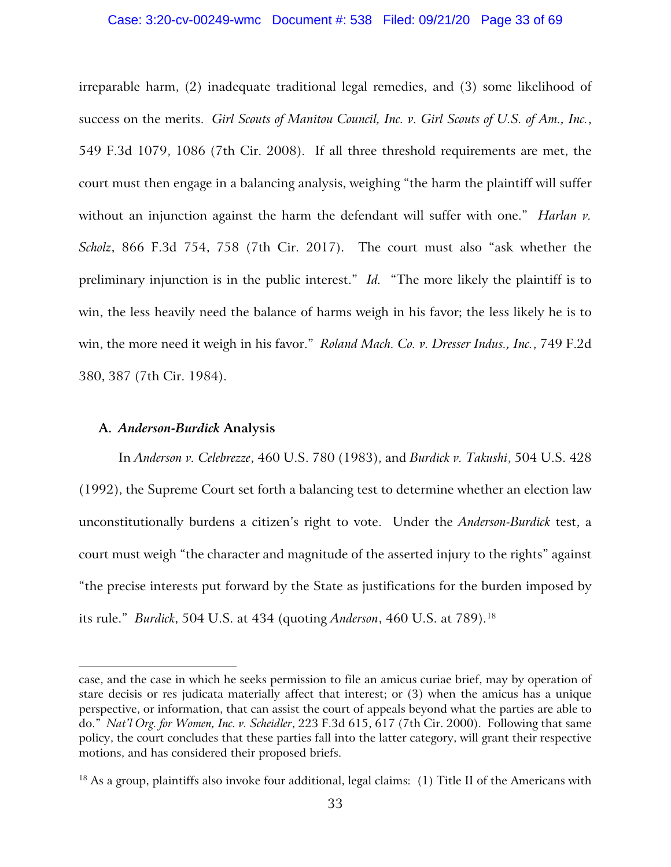### Case: 3:20-cv-00249-wmc Document #: 538 Filed: 09/21/20 Page 33 of 69

irreparable harm, (2) inadequate traditional legal remedies, and (3) some likelihood of success on the merits. *Girl Scouts of Manitou Council, Inc. v. Girl Scouts of U.S. of Am., Inc.*, 549 F.3d 1079, 1086 (7th Cir. 2008). If all three threshold requirements are met, the court must then engage in a balancing analysis, weighing "the harm the plaintiff will suffer without an injunction against the harm the defendant will suffer with one." *Harlan v*. *Scholz*, 866 F.3d 754, 758 (7th Cir. 2017). The court must also "ask whether the preliminary injunction is in the public interest." *Id.* "The more likely the plaintiff is to win, the less heavily need the balance of harms weigh in his favor; the less likely he is to win, the more need it weigh in his favor." *Roland Mach. Co. v. Dresser Indus., Inc.*, 749 F.2d 380, 387 (7th Cir. 1984).

## **A.** *Anderson-Burdick* **Analysis**

In *Anderson v. Celebrezze*, 460 U.S. 780 (1983), and *Burdick v. Takushi*, 504 U.S. 428 (1992), the Supreme Court set forth a balancing test to determine whether an election law unconstitutionally burdens a citizen's right to vote. Under the *Anderson-Burdick* test, a court must weigh "the character and magnitude of the asserted injury to the rights" against "the precise interests put forward by the State as justifications for the burden imposed by its rule." *Burdick*, 504 U.S. at 434 (quoting *Anderson*, 460 U.S. at 789)[.18](#page-32-0)

case, and the case in which he seeks permission to file an amicus curiae brief, may by operation of stare decisis or res judicata materially affect that interest; or (3) when the amicus has a unique perspective, or information, that can assist the court of appeals beyond what the parties are able to do." *Nat'l Org. for Women, Inc. v. Scheidler*, 223 F.3d 615, 617 (7th Cir. 2000). Following that same policy, the court concludes that these parties fall into the latter category, will grant their respective motions, and has considered their proposed briefs.

<span id="page-32-0"></span><sup>&</sup>lt;sup>18</sup> As a group, plaintiffs also invoke four additional, legal claims: (1) Title II of the Americans with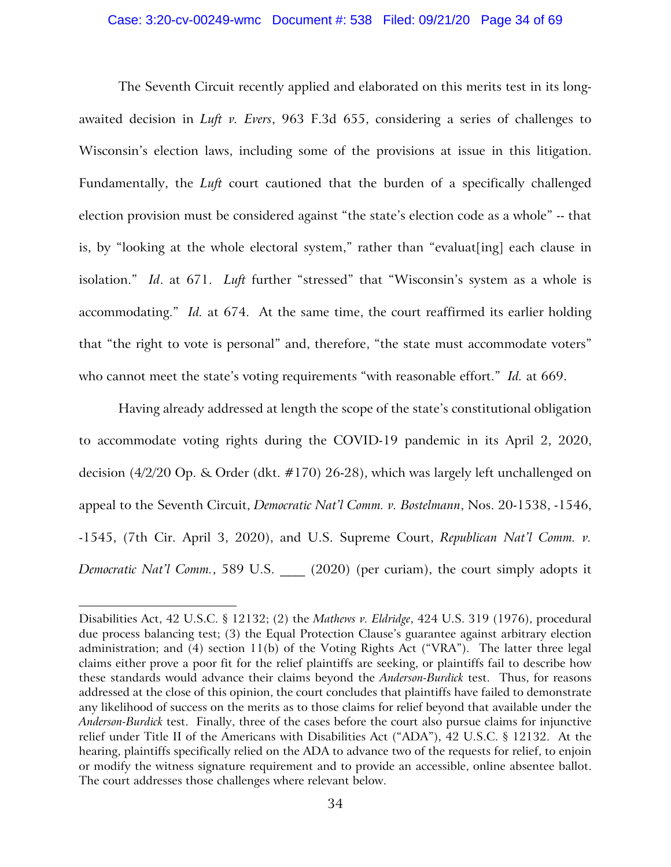### Case: 3:20-cv-00249-wmc Document #: 538 Filed: 09/21/20 Page 34 of 69

The Seventh Circuit recently applied and elaborated on this merits test in its longawaited decision in *Luft v. Evers*, 963 F.3d 655, considering a series of challenges to Wisconsin's election laws, including some of the provisions at issue in this litigation. Fundamentally, the *Luft* court cautioned that the burden of a specifically challenged election provision must be considered against "the state's election code as a whole" -- that is, by "looking at the whole electoral system," rather than "evaluat[ing] each clause in isolation." *Id*. at 671. *Luft* further "stressed" that "Wisconsin's system as a whole is accommodating." *Id.* at 674. At the same time, the court reaffirmed its earlier holding that "the right to vote is personal" and, therefore, "the state must accommodate voters" who cannot meet the state's voting requirements "with reasonable effort." *Id.* at 669.

Having already addressed at length the scope of the state's constitutional obligation to accommodate voting rights during the COVID-19 pandemic in its April 2, 2020, decision (4/2/20 Op. & Order (dkt. #170) 26-28), which was largely left unchallenged on appeal to the Seventh Circuit, *Democratic Nat'l Comm. v. Bostelmann*, Nos. 20-1538, -1546, -1545, (7th Cir. April 3, 2020), and U.S. Supreme Court, *Republican Nat'l Comm. v. Democratic Nat'l Comm.*, 589 U.S. \_\_\_\_ (2020) (per curiam), the court simply adopts it

Disabilities Act, 42 U.S.C. § 12132; (2) the *Mathews v. Eldridge*, 424 U.S. 319 (1976), procedural due process balancing test; (3) the Equal Protection Clause's guarantee against arbitrary election administration; and (4) section 11(b) of the Voting Rights Act ("VRA"). The latter three legal claims either prove a poor fit for the relief plaintiffs are seeking, or plaintiffs fail to describe how these standards would advance their claims beyond the *Anderson-Burdick* test. Thus, for reasons addressed at the close of this opinion, the court concludes that plaintiffs have failed to demonstrate any likelihood of success on the merits as to those claims for relief beyond that available under the *Anderson-Burdick* test. Finally, three of the cases before the court also pursue claims for injunctive relief under Title II of the Americans with Disabilities Act ("ADA"), 42 U.S.C. § 12132. At the hearing, plaintiffs specifically relied on the ADA to advance two of the requests for relief, to enjoin or modify the witness signature requirement and to provide an accessible, online absentee ballot. The court addresses those challenges where relevant below.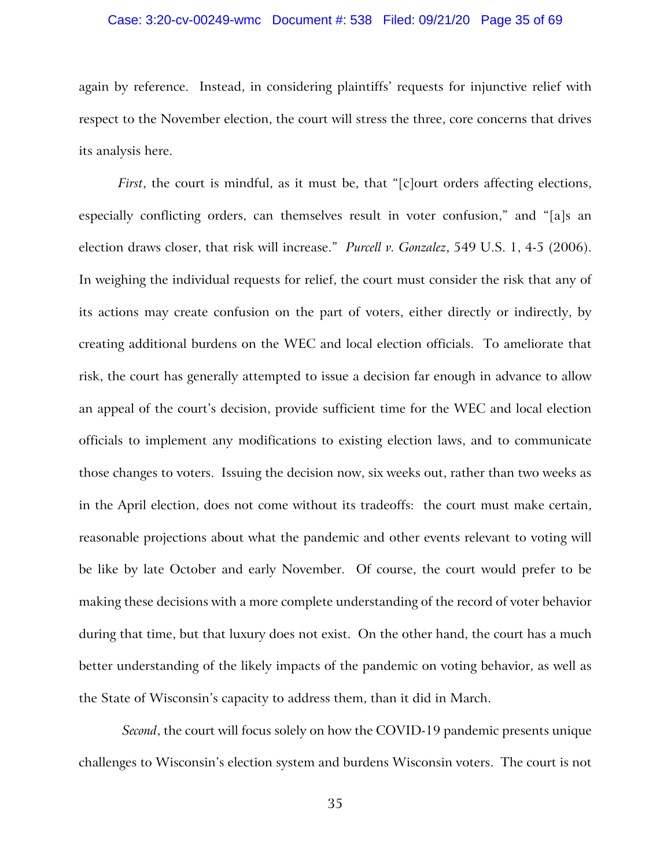### Case: 3:20-cv-00249-wmc Document #: 538 Filed: 09/21/20 Page 35 of 69

again by reference. Instead, in considering plaintiffs' requests for injunctive relief with respect to the November election, the court will stress the three, core concerns that drives its analysis here.

*First*, the court is mindful, as it must be, that "[c]ourt orders affecting elections, especially conflicting orders, can themselves result in voter confusion," and "[a]s an election draws closer, that risk will increase." *Purcell v. Gonzalez*, 549 U.S. 1, 4-5 (2006). In weighing the individual requests for relief, the court must consider the risk that any of its actions may create confusion on the part of voters, either directly or indirectly, by creating additional burdens on the WEC and local election officials. To ameliorate that risk, the court has generally attempted to issue a decision far enough in advance to allow an appeal of the court's decision, provide sufficient time for the WEC and local election officials to implement any modifications to existing election laws, and to communicate those changes to voters. Issuing the decision now, six weeks out, rather than two weeks as in the April election, does not come without its tradeoffs: the court must make certain, reasonable projections about what the pandemic and other events relevant to voting will be like by late October and early November. Of course, the court would prefer to be making these decisions with a more complete understanding of the record of voter behavior during that time, but that luxury does not exist. On the other hand, the court has a much better understanding of the likely impacts of the pandemic on voting behavior, as well as the State of Wisconsin's capacity to address them, than it did in March.

*Second*, the court will focus solely on how the COVID-19 pandemic presents unique challenges to Wisconsin's election system and burdens Wisconsin voters. The court is not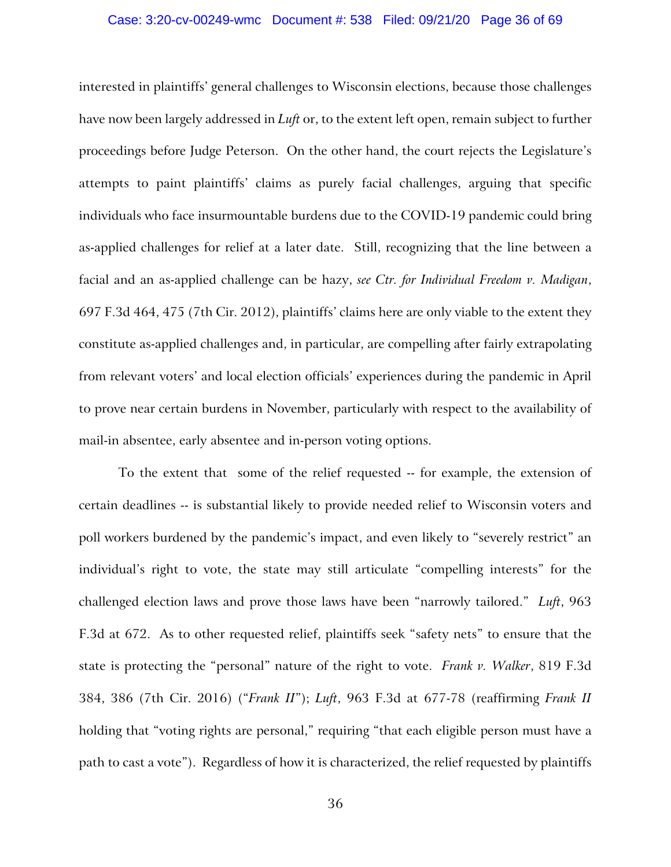### Case: 3:20-cv-00249-wmc Document #: 538 Filed: 09/21/20 Page 36 of 69

interested in plaintiffs' general challenges to Wisconsin elections, because those challenges have now been largely addressed in *Luft* or, to the extent left open, remain subject to further proceedings before Judge Peterson. On the other hand, the court rejects the Legislature's attempts to paint plaintiffs' claims as purely facial challenges, arguing that specific individuals who face insurmountable burdens due to the COVID-19 pandemic could bring as-applied challenges for relief at a later date. Still, recognizing that the line between a facial and an as-applied challenge can be hazy, *see Ctr. for Individual Freedom v. Madigan*, 697 F.3d 464, 475 (7th Cir. 2012), plaintiffs' claims here are only viable to the extent they constitute as-applied challenges and, in particular, are compelling after fairly extrapolating from relevant voters' and local election officials' experiences during the pandemic in April to prove near certain burdens in November, particularly with respect to the availability of mail-in absentee, early absentee and in-person voting options.

To the extent that some of the relief requested -- for example, the extension of certain deadlines -- is substantial likely to provide needed relief to Wisconsin voters and poll workers burdened by the pandemic's impact, and even likely to "severely restrict" an individual's right to vote, the state may still articulate "compelling interests" for the challenged election laws and prove those laws have been "narrowly tailored." *Luft*, 963 F.3d at 672. As to other requested relief, plaintiffs seek "safety nets" to ensure that the state is protecting the "personal" nature of the right to vote. *Frank v. Walker*, 819 F.3d 384, 386 (7th Cir. 2016) ("*Frank II*"); *Luft*, 963 F.3d at 677-78 (reaffirming *Frank II* holding that "voting rights are personal," requiring "that each eligible person must have a path to cast a vote"). Regardless of how it is characterized, the relief requested by plaintiffs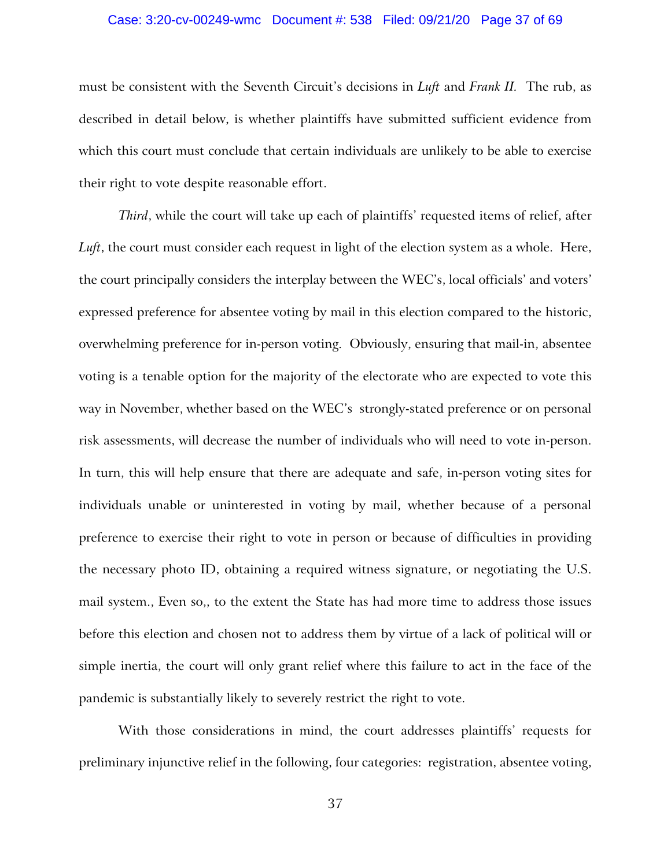### Case: 3:20-cv-00249-wmc Document #: 538 Filed: 09/21/20 Page 37 of 69

must be consistent with the Seventh Circuit's decisions in *Luft* and *Frank II.* The rub, as described in detail below, is whether plaintiffs have submitted sufficient evidence from which this court must conclude that certain individuals are unlikely to be able to exercise their right to vote despite reasonable effort.

*Third*, while the court will take up each of plaintiffs' requested items of relief, after *Luft*, the court must consider each request in light of the election system as a whole. Here, the court principally considers the interplay between the WEC's, local officials' and voters' expressed preference for absentee voting by mail in this election compared to the historic, overwhelming preference for in-person voting. Obviously, ensuring that mail-in, absentee voting is a tenable option for the majority of the electorate who are expected to vote this way in November, whether based on the WEC's strongly-stated preference or on personal risk assessments, will decrease the number of individuals who will need to vote in-person. In turn, this will help ensure that there are adequate and safe, in-person voting sites for individuals unable or uninterested in voting by mail, whether because of a personal preference to exercise their right to vote in person or because of difficulties in providing the necessary photo ID, obtaining a required witness signature, or negotiating the U.S. mail system., Even so,, to the extent the State has had more time to address those issues before this election and chosen not to address them by virtue of a lack of political will or simple inertia, the court will only grant relief where this failure to act in the face of the pandemic is substantially likely to severely restrict the right to vote.

With those considerations in mind, the court addresses plaintiffs' requests for preliminary injunctive relief in the following, four categories: registration, absentee voting,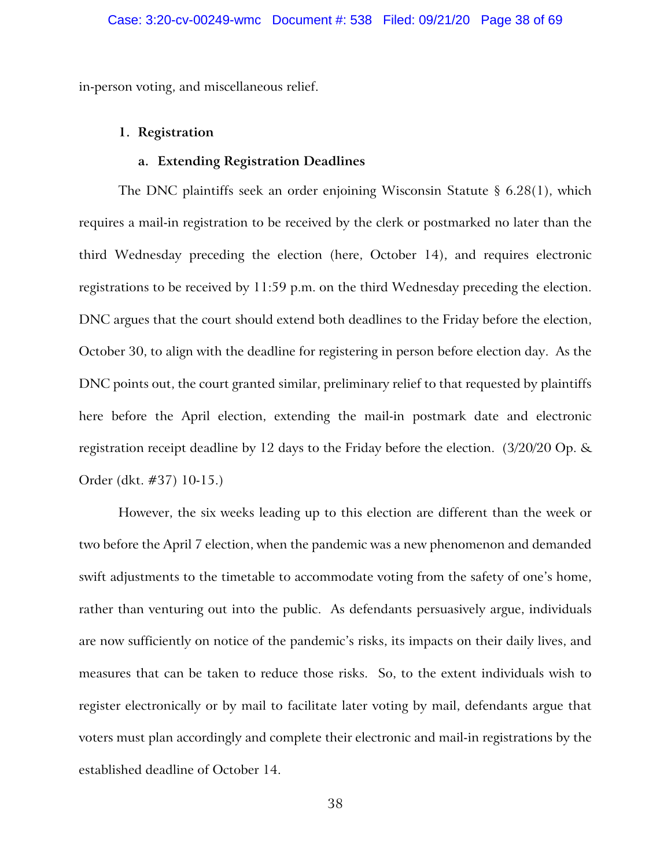in-person voting, and miscellaneous relief.

# **1. Registration**

# **a. Extending Registration Deadlines**

The DNC plaintiffs seek an order enjoining Wisconsin Statute § 6.28(1), which requires a mail-in registration to be received by the clerk or postmarked no later than the third Wednesday preceding the election (here, October 14), and requires electronic registrations to be received by 11:59 p.m. on the third Wednesday preceding the election. DNC argues that the court should extend both deadlines to the Friday before the election, October 30, to align with the deadline for registering in person before election day. As the DNC points out, the court granted similar, preliminary relief to that requested by plaintiffs here before the April election, extending the mail-in postmark date and electronic registration receipt deadline by 12 days to the Friday before the election. (3/20/20 Op. & Order (dkt. #37) 10-15.)

However, the six weeks leading up to this election are different than the week or two before the April 7 election, when the pandemic was a new phenomenon and demanded swift adjustments to the timetable to accommodate voting from the safety of one's home, rather than venturing out into the public. As defendants persuasively argue, individuals are now sufficiently on notice of the pandemic's risks, its impacts on their daily lives, and measures that can be taken to reduce those risks. So, to the extent individuals wish to register electronically or by mail to facilitate later voting by mail, defendants argue that voters must plan accordingly and complete their electronic and mail-in registrations by the established deadline of October 14.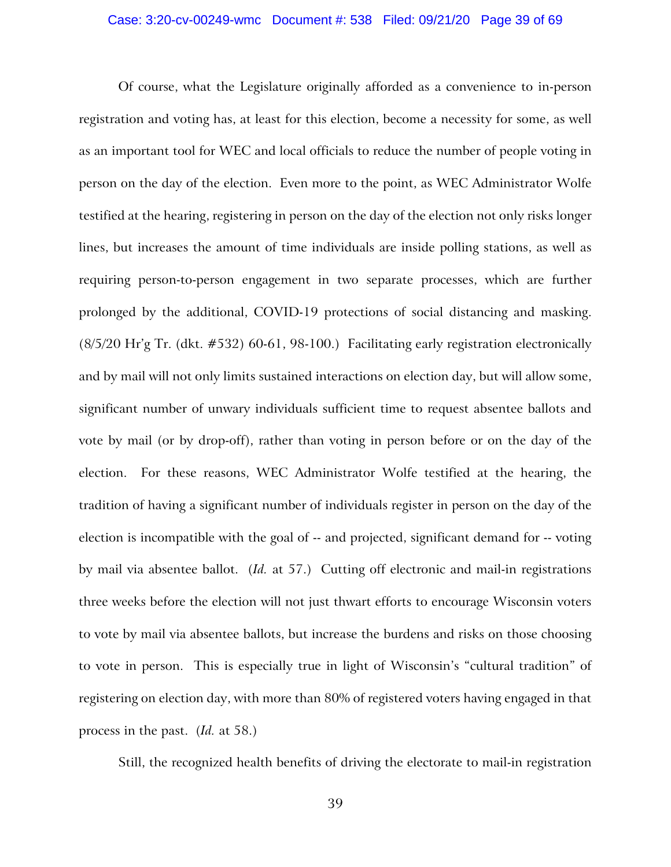### Case: 3:20-cv-00249-wmc Document #: 538 Filed: 09/21/20 Page 39 of 69

Of course, what the Legislature originally afforded as a convenience to in-person registration and voting has, at least for this election, become a necessity for some, as well as an important tool for WEC and local officials to reduce the number of people voting in person on the day of the election. Even more to the point, as WEC Administrator Wolfe testified at the hearing, registering in person on the day of the election not only risks longer lines, but increases the amount of time individuals are inside polling stations, as well as requiring person-to-person engagement in two separate processes, which are further prolonged by the additional, COVID-19 protections of social distancing and masking. (8/5/20 Hr'g Tr. (dkt. #532) 60-61, 98-100.) Facilitating early registration electronically and by mail will not only limits sustained interactions on election day, but will allow some, significant number of unwary individuals sufficient time to request absentee ballots and vote by mail (or by drop-off), rather than voting in person before or on the day of the election. For these reasons, WEC Administrator Wolfe testified at the hearing, the tradition of having a significant number of individuals register in person on the day of the election is incompatible with the goal of -- and projected, significant demand for -- voting by mail via absentee ballot. (*Id.* at 57.) Cutting off electronic and mail-in registrations three weeks before the election will not just thwart efforts to encourage Wisconsin voters to vote by mail via absentee ballots, but increase the burdens and risks on those choosing to vote in person. This is especially true in light of Wisconsin's "cultural tradition" of registering on election day, with more than 80% of registered voters having engaged in that process in the past. (*Id.* at 58.)

Still, the recognized health benefits of driving the electorate to mail-in registration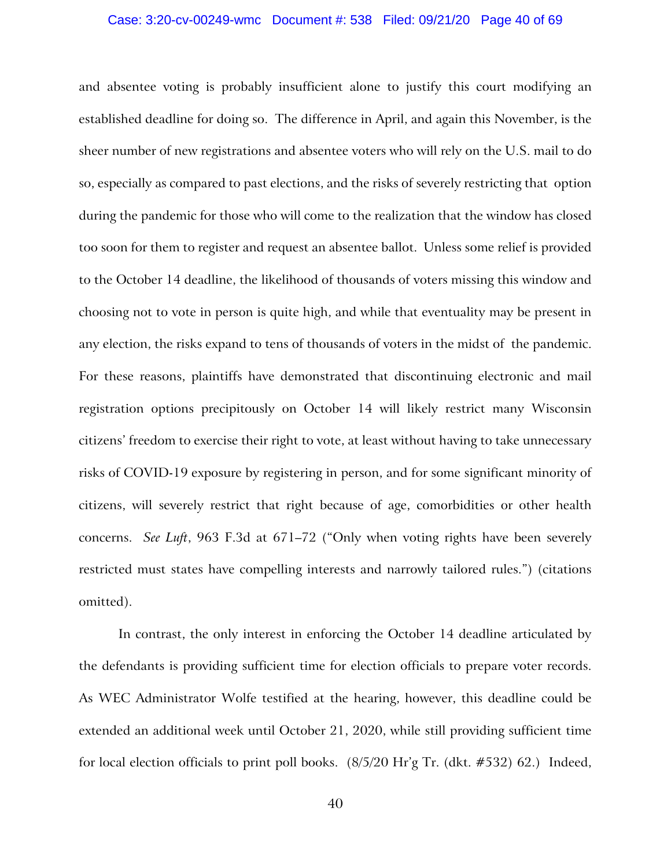### Case: 3:20-cv-00249-wmc Document #: 538 Filed: 09/21/20 Page 40 of 69

and absentee voting is probably insufficient alone to justify this court modifying an established deadline for doing so. The difference in April, and again this November, is the sheer number of new registrations and absentee voters who will rely on the U.S. mail to do so, especially as compared to past elections, and the risks of severely restricting that option during the pandemic for those who will come to the realization that the window has closed too soon for them to register and request an absentee ballot. Unless some relief is provided to the October 14 deadline, the likelihood of thousands of voters missing this window and choosing not to vote in person is quite high, and while that eventuality may be present in any election, the risks expand to tens of thousands of voters in the midst of the pandemic. For these reasons, plaintiffs have demonstrated that discontinuing electronic and mail registration options precipitously on October 14 will likely restrict many Wisconsin citizens' freedom to exercise their right to vote, at least without having to take unnecessary risks of COVID-19 exposure by registering in person, and for some significant minority of citizens, will severely restrict that right because of age, comorbidities or other health concerns. *See Luft*, 963 F.3d at 671–72 ("Only when voting rights have been severely restricted must states have compelling interests and narrowly tailored rules.") (citations omitted).

In contrast, the only interest in enforcing the October 14 deadline articulated by the defendants is providing sufficient time for election officials to prepare voter records. As WEC Administrator Wolfe testified at the hearing, however, this deadline could be extended an additional week until October 21, 2020, while still providing sufficient time for local election officials to print poll books. (8/5/20 Hr'g Tr. (dkt. #532) 62.) Indeed,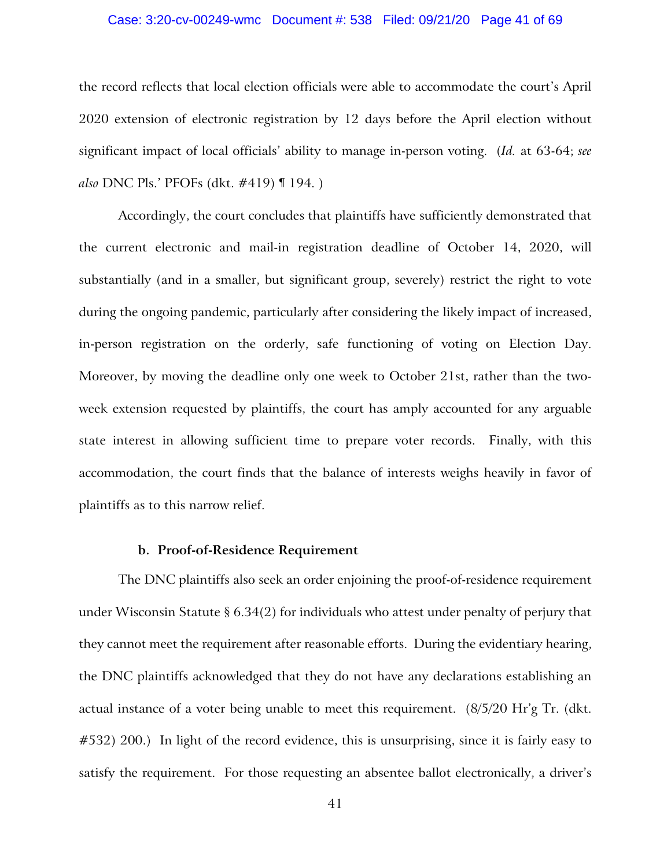### Case: 3:20-cv-00249-wmc Document #: 538 Filed: 09/21/20 Page 41 of 69

the record reflects that local election officials were able to accommodate the court's April 2020 extension of electronic registration by 12 days before the April election without significant impact of local officials' ability to manage in-person voting. (*Id.* at 63-64; *see also* DNC Pls.' PFOFs (dkt. #419) ¶ 194. )

Accordingly, the court concludes that plaintiffs have sufficiently demonstrated that the current electronic and mail-in registration deadline of October 14, 2020, will substantially (and in a smaller, but significant group, severely) restrict the right to vote during the ongoing pandemic, particularly after considering the likely impact of increased, in-person registration on the orderly, safe functioning of voting on Election Day. Moreover, by moving the deadline only one week to October 21st, rather than the twoweek extension requested by plaintiffs, the court has amply accounted for any arguable state interest in allowing sufficient time to prepare voter records. Finally, with this accommodation, the court finds that the balance of interests weighs heavily in favor of plaintiffs as to this narrow relief.

## **b. Proof-of-Residence Requirement**

The DNC plaintiffs also seek an order enjoining the proof-of-residence requirement under Wisconsin Statute § 6.34(2) for individuals who attest under penalty of perjury that they cannot meet the requirement after reasonable efforts. During the evidentiary hearing, the DNC plaintiffs acknowledged that they do not have any declarations establishing an actual instance of a voter being unable to meet this requirement. (8/5/20 Hr'g Tr. (dkt. #532) 200.) In light of the record evidence, this is unsurprising, since it is fairly easy to satisfy the requirement. For those requesting an absentee ballot electronically, a driver's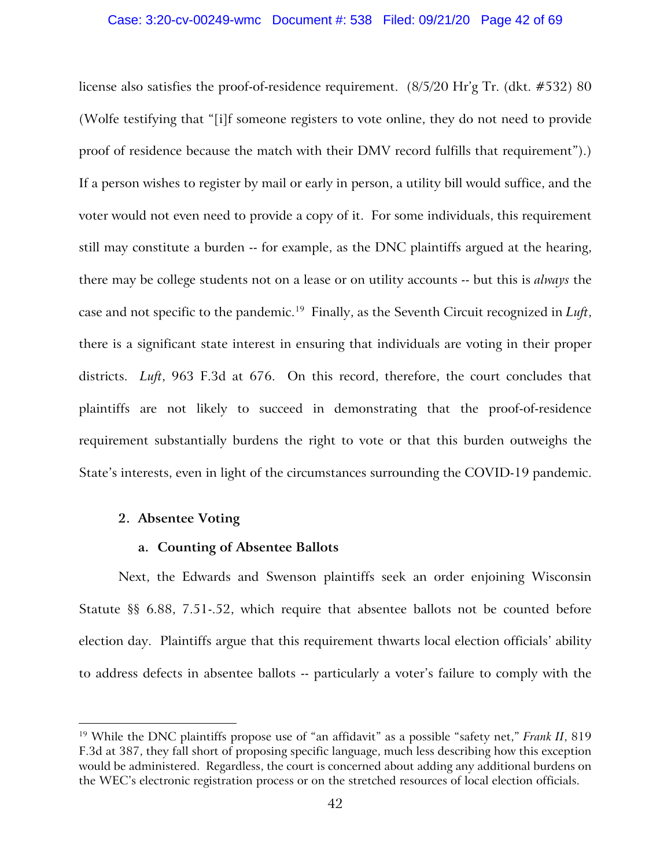### Case: 3:20-cv-00249-wmc Document #: 538 Filed: 09/21/20 Page 42 of 69

license also satisfies the proof-of-residence requirement. (8/5/20 Hr'g Tr. (dkt. #532) 80 (Wolfe testifying that "[i]f someone registers to vote online, they do not need to provide proof of residence because the match with their DMV record fulfills that requirement").) If a person wishes to register by mail or early in person, a utility bill would suffice, and the voter would not even need to provide a copy of it. For some individuals, this requirement still may constitute a burden -- for example, as the DNC plaintiffs argued at the hearing, there may be college students not on a lease or on utility accounts -- but this is *always* the case and not specific to the pandemic.[19](#page-41-0) Finally, as the Seventh Circuit recognized in *Luft*, there is a significant state interest in ensuring that individuals are voting in their proper districts. *Luft*, 963 F.3d at 676. On this record, therefore, the court concludes that plaintiffs are not likely to succeed in demonstrating that the proof-of-residence requirement substantially burdens the right to vote or that this burden outweighs the State's interests, even in light of the circumstances surrounding the COVID-19 pandemic.

### **2. Absentee Voting**

# **a. Counting of Absentee Ballots**

Next, the Edwards and Swenson plaintiffs seek an order enjoining Wisconsin Statute §§ 6.88, 7.51-.52, which require that absentee ballots not be counted before election day. Plaintiffs argue that this requirement thwarts local election officials' ability to address defects in absentee ballots -- particularly a voter's failure to comply with the

<span id="page-41-0"></span><sup>19</sup> While the DNC plaintiffs propose use of "an affidavit" as a possible "safety net," *Frank II*, 819 F.3d at 387, they fall short of proposing specific language, much less describing how this exception would be administered. Regardless, the court is concerned about adding any additional burdens on the WEC's electronic registration process or on the stretched resources of local election officials.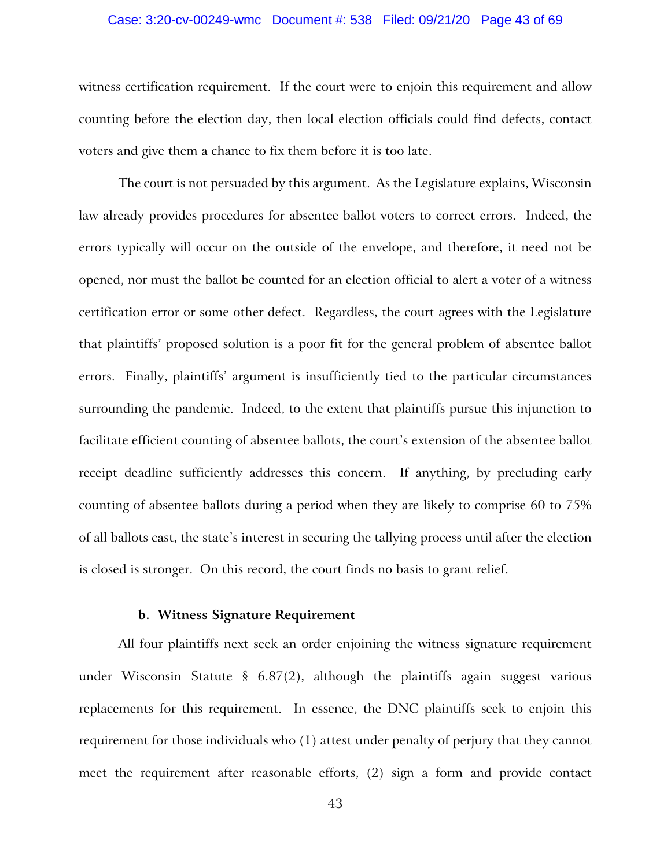### Case: 3:20-cv-00249-wmc Document #: 538 Filed: 09/21/20 Page 43 of 69

witness certification requirement. If the court were to enjoin this requirement and allow counting before the election day, then local election officials could find defects, contact voters and give them a chance to fix them before it is too late.

The court is not persuaded by this argument. As the Legislature explains, Wisconsin law already provides procedures for absentee ballot voters to correct errors. Indeed, the errors typically will occur on the outside of the envelope, and therefore, it need not be opened, nor must the ballot be counted for an election official to alert a voter of a witness certification error or some other defect. Regardless, the court agrees with the Legislature that plaintiffs' proposed solution is a poor fit for the general problem of absentee ballot errors. Finally, plaintiffs' argument is insufficiently tied to the particular circumstances surrounding the pandemic. Indeed, to the extent that plaintiffs pursue this injunction to facilitate efficient counting of absentee ballots, the court's extension of the absentee ballot receipt deadline sufficiently addresses this concern. If anything, by precluding early counting of absentee ballots during a period when they are likely to comprise 60 to 75% of all ballots cast, the state's interest in securing the tallying process until after the election is closed is stronger. On this record, the court finds no basis to grant relief.

## **b. Witness Signature Requirement**

All four plaintiffs next seek an order enjoining the witness signature requirement under Wisconsin Statute § 6.87(2), although the plaintiffs again suggest various replacements for this requirement. In essence, the DNC plaintiffs seek to enjoin this requirement for those individuals who (1) attest under penalty of perjury that they cannot meet the requirement after reasonable efforts, (2) sign a form and provide contact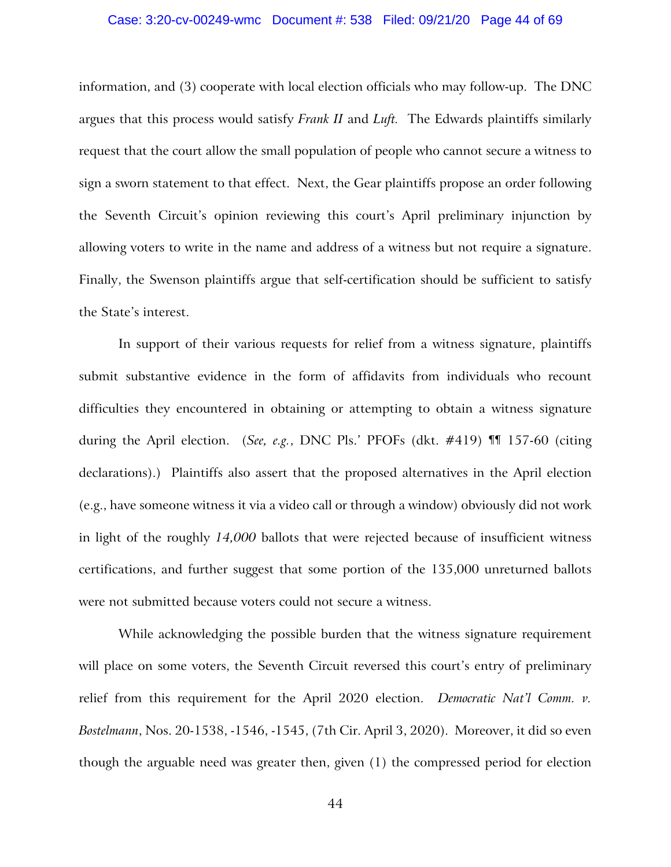### Case: 3:20-cv-00249-wmc Document #: 538 Filed: 09/21/20 Page 44 of 69

information, and (3) cooperate with local election officials who may follow-up. The DNC argues that this process would satisfy *Frank II* and *Luft.* The Edwards plaintiffs similarly request that the court allow the small population of people who cannot secure a witness to sign a sworn statement to that effect. Next, the Gear plaintiffs propose an order following the Seventh Circuit's opinion reviewing this court's April preliminary injunction by allowing voters to write in the name and address of a witness but not require a signature. Finally, the Swenson plaintiffs argue that self-certification should be sufficient to satisfy the State's interest.

In support of their various requests for relief from a witness signature, plaintiffs submit substantive evidence in the form of affidavits from individuals who recount difficulties they encountered in obtaining or attempting to obtain a witness signature during the April election. (*See, e.g.*, DNC Pls.' PFOFs (dkt. #419) ¶¶ 157-60 (citing declarations).) Plaintiffs also assert that the proposed alternatives in the April election (e.g., have someone witness it via a video call or through a window) obviously did not work in light of the roughly *14,000* ballots that were rejected because of insufficient witness certifications, and further suggest that some portion of the 135,000 unreturned ballots were not submitted because voters could not secure a witness.

While acknowledging the possible burden that the witness signature requirement will place on some voters, the Seventh Circuit reversed this court's entry of preliminary relief from this requirement for the April 2020 election. *Democratic Nat'l Comm. v. Bostelmann*, Nos. 20-1538, -1546, -1545, (7th Cir. April 3, 2020). Moreover, it did so even though the arguable need was greater then, given (1) the compressed period for election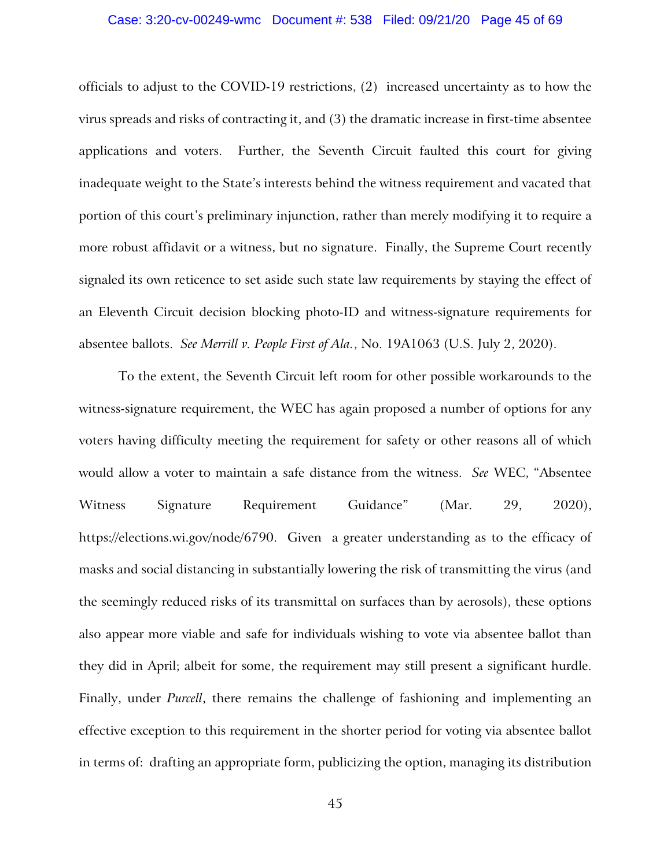### Case: 3:20-cv-00249-wmc Document #: 538 Filed: 09/21/20 Page 45 of 69

officials to adjust to the COVID-19 restrictions, (2) increased uncertainty as to how the virus spreads and risks of contracting it, and (3) the dramatic increase in first-time absentee applications and voters. Further, the Seventh Circuit faulted this court for giving inadequate weight to the State's interests behind the witness requirement and vacated that portion of this court's preliminary injunction, rather than merely modifying it to require a more robust affidavit or a witness, but no signature. Finally, the Supreme Court recently signaled its own reticence to set aside such state law requirements by staying the effect of an Eleventh Circuit decision blocking photo-ID and witness-signature requirements for absentee ballots. *See Merrill v. People First of Ala.*, No. 19A1063 (U.S. July 2, 2020).

To the extent, the Seventh Circuit left room for other possible workarounds to the witness-signature requirement, the WEC has again proposed a number of options for any voters having difficulty meeting the requirement for safety or other reasons all of which would allow a voter to maintain a safe distance from the witness. *See* WEC, "Absentee Witness Signature Requirement Guidance" (Mar. 29, 2020), https://elections.wi.gov/node/6790. Given a greater understanding as to the efficacy of masks and social distancing in substantially lowering the risk of transmitting the virus (and the seemingly reduced risks of its transmittal on surfaces than by aerosols), these options also appear more viable and safe for individuals wishing to vote via absentee ballot than they did in April; albeit for some, the requirement may still present a significant hurdle. Finally, under *Purcell*, there remains the challenge of fashioning and implementing an effective exception to this requirement in the shorter period for voting via absentee ballot in terms of: drafting an appropriate form, publicizing the option, managing its distribution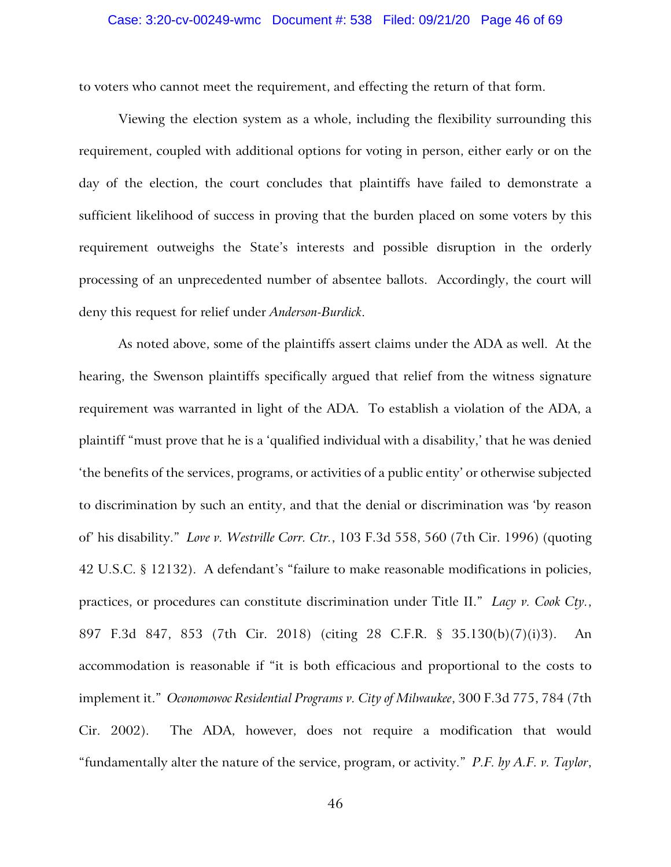to voters who cannot meet the requirement, and effecting the return of that form.

Viewing the election system as a whole, including the flexibility surrounding this requirement, coupled with additional options for voting in person, either early or on the day of the election, the court concludes that plaintiffs have failed to demonstrate a sufficient likelihood of success in proving that the burden placed on some voters by this requirement outweighs the State's interests and possible disruption in the orderly processing of an unprecedented number of absentee ballots. Accordingly, the court will deny this request for relief under *Anderson-Burdick*.

As noted above, some of the plaintiffs assert claims under the ADA as well. At the hearing, the Swenson plaintiffs specifically argued that relief from the witness signature requirement was warranted in light of the ADA. To establish a violation of the ADA, a plaintiff "must prove that he is a 'qualified individual with a disability,' that he was denied 'the benefits of the services, programs, or activities of a public entity' or otherwise subjected to discrimination by such an entity, and that the denial or discrimination was 'by reason of' his disability." *Love v. Westville Corr. Ctr.*, 103 F.3d 558, 560 (7th Cir. 1996) (quoting 42 U.S.C. § 12132). A defendant's "failure to make reasonable modifications in policies, practices, or procedures can constitute discrimination under Title II." *Lacy v. Cook Cty.*, 897 F.3d 847, 853 (7th Cir. 2018) (citing 28 C.F.R. § 35.130(b)(7)(i)3). An accommodation is reasonable if "it is both efficacious and proportional to the costs to implement it." *Oconomowoc Residential Programs v. City of Milwaukee*, 300 F.3d 775, 784 (7th Cir. 2002). The ADA, however, does not require a modification that would "fundamentally alter the nature of the service, program, or activity." *P.F. by A.F. v. Taylor*,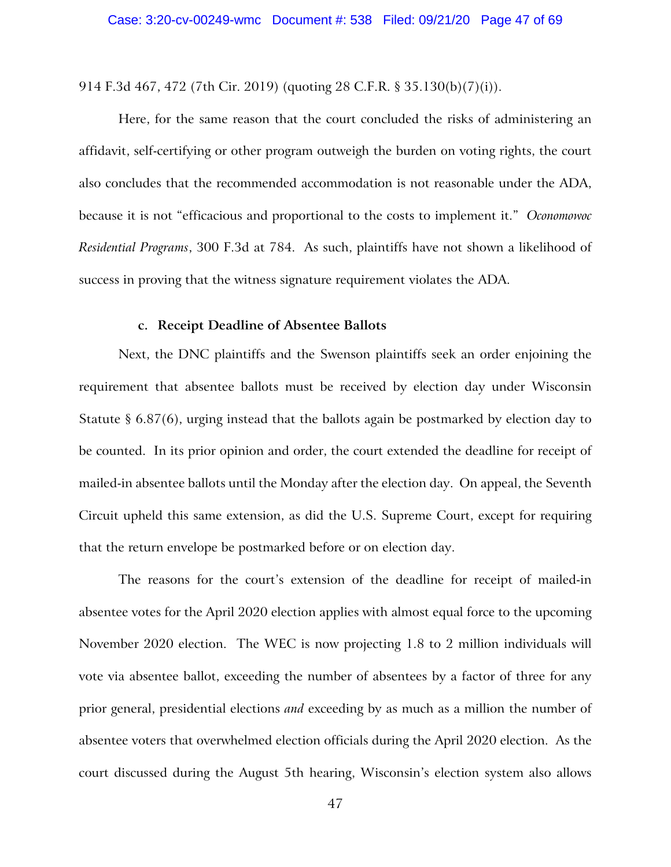914 F.3d 467, 472 (7th Cir. 2019) (quoting 28 C.F.R. § 35.130(b)(7)(i)).

Here, for the same reason that the court concluded the risks of administering an affidavit, self-certifying or other program outweigh the burden on voting rights, the court also concludes that the recommended accommodation is not reasonable under the ADA, because it is not "efficacious and proportional to the costs to implement it." *Oconomowoc Residential Programs*, 300 F.3d at 784. As such, plaintiffs have not shown a likelihood of success in proving that the witness signature requirement violates the ADA.

## **c. Receipt Deadline of Absentee Ballots**

Next, the DNC plaintiffs and the Swenson plaintiffs seek an order enjoining the requirement that absentee ballots must be received by election day under Wisconsin Statute § 6.87(6), urging instead that the ballots again be postmarked by election day to be counted. In its prior opinion and order, the court extended the deadline for receipt of mailed-in absentee ballots until the Monday after the election day. On appeal, the Seventh Circuit upheld this same extension, as did the U.S. Supreme Court, except for requiring that the return envelope be postmarked before or on election day.

The reasons for the court's extension of the deadline for receipt of mailed-in absentee votes for the April 2020 election applies with almost equal force to the upcoming November 2020 election. The WEC is now projecting 1.8 to 2 million individuals will vote via absentee ballot, exceeding the number of absentees by a factor of three for any prior general, presidential elections *and* exceeding by as much as a million the number of absentee voters that overwhelmed election officials during the April 2020 election. As the court discussed during the August 5th hearing, Wisconsin's election system also allows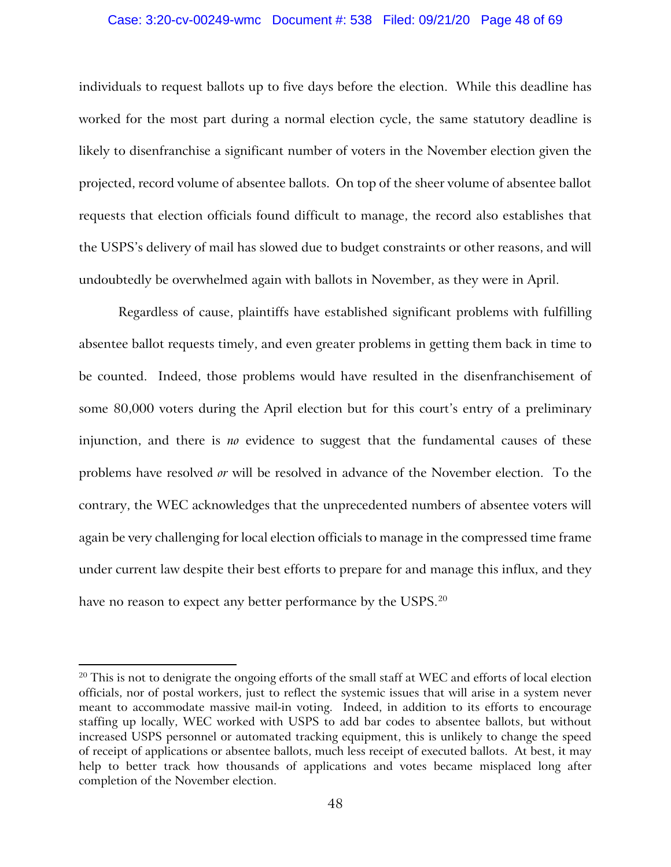### Case: 3:20-cv-00249-wmc Document #: 538 Filed: 09/21/20 Page 48 of 69

individuals to request ballots up to five days before the election. While this deadline has worked for the most part during a normal election cycle, the same statutory deadline is likely to disenfranchise a significant number of voters in the November election given the projected, record volume of absentee ballots. On top of the sheer volume of absentee ballot requests that election officials found difficult to manage, the record also establishes that the USPS's delivery of mail has slowed due to budget constraints or other reasons, and will undoubtedly be overwhelmed again with ballots in November, as they were in April.

Regardless of cause, plaintiffs have established significant problems with fulfilling absentee ballot requests timely, and even greater problems in getting them back in time to be counted. Indeed, those problems would have resulted in the disenfranchisement of some 80,000 voters during the April election but for this court's entry of a preliminary injunction, and there is *no* evidence to suggest that the fundamental causes of these problems have resolved *or* will be resolved in advance of the November election. To the contrary, the WEC acknowledges that the unprecedented numbers of absentee voters will again be very challenging for local election officials to manage in the compressed time frame under current law despite their best efforts to prepare for and manage this influx, and they have no reason to expect any better performance by the USPS. $^{\rm 20}$  $^{\rm 20}$  $^{\rm 20}$ 

<span id="page-47-0"></span><sup>&</sup>lt;sup>20</sup> This is not to denigrate the ongoing efforts of the small staff at WEC and efforts of local election officials, nor of postal workers, just to reflect the systemic issues that will arise in a system never meant to accommodate massive mail-in voting. Indeed, in addition to its efforts to encourage staffing up locally, WEC worked with USPS to add bar codes to absentee ballots, but without increased USPS personnel or automated tracking equipment, this is unlikely to change the speed of receipt of applications or absentee ballots, much less receipt of executed ballots. At best, it may help to better track how thousands of applications and votes became misplaced long after completion of the November election.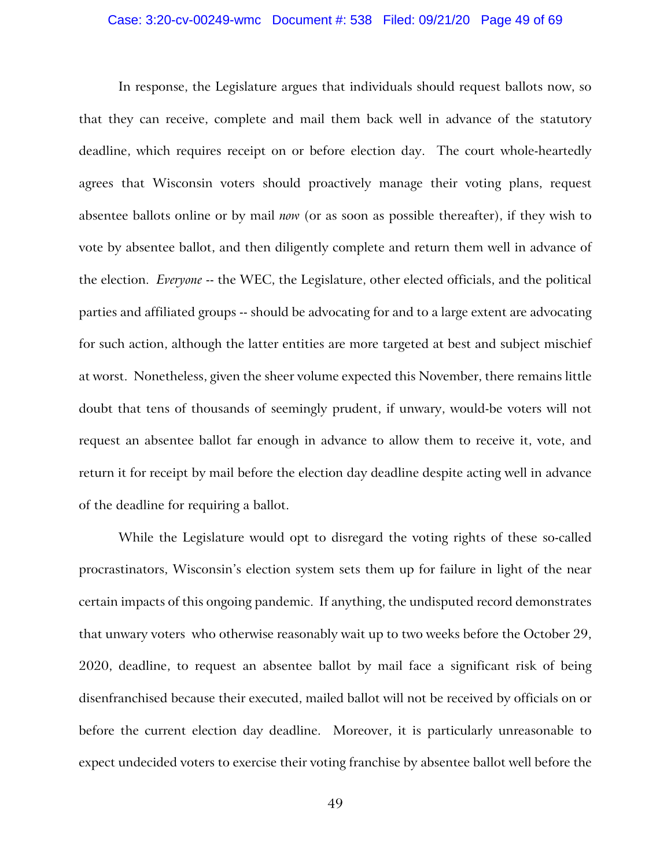### Case: 3:20-cv-00249-wmc Document #: 538 Filed: 09/21/20 Page 49 of 69

In response, the Legislature argues that individuals should request ballots now, so that they can receive, complete and mail them back well in advance of the statutory deadline, which requires receipt on or before election day. The court whole-heartedly agrees that Wisconsin voters should proactively manage their voting plans, request absentee ballots online or by mail *now* (or as soon as possible thereafter), if they wish to vote by absentee ballot, and then diligently complete and return them well in advance of the election. *Everyone* -- the WEC, the Legislature, other elected officials, and the political parties and affiliated groups -- should be advocating for and to a large extent are advocating for such action, although the latter entities are more targeted at best and subject mischief at worst. Nonetheless, given the sheer volume expected this November, there remains little doubt that tens of thousands of seemingly prudent, if unwary, would-be voters will not request an absentee ballot far enough in advance to allow them to receive it, vote, and return it for receipt by mail before the election day deadline despite acting well in advance of the deadline for requiring a ballot.

While the Legislature would opt to disregard the voting rights of these so-called procrastinators, Wisconsin's election system sets them up for failure in light of the near certain impacts of this ongoing pandemic. If anything, the undisputed record demonstrates that unwary voters who otherwise reasonably wait up to two weeks before the October 29, 2020, deadline, to request an absentee ballot by mail face a significant risk of being disenfranchised because their executed, mailed ballot will not be received by officials on or before the current election day deadline. Moreover, it is particularly unreasonable to expect undecided voters to exercise their voting franchise by absentee ballot well before the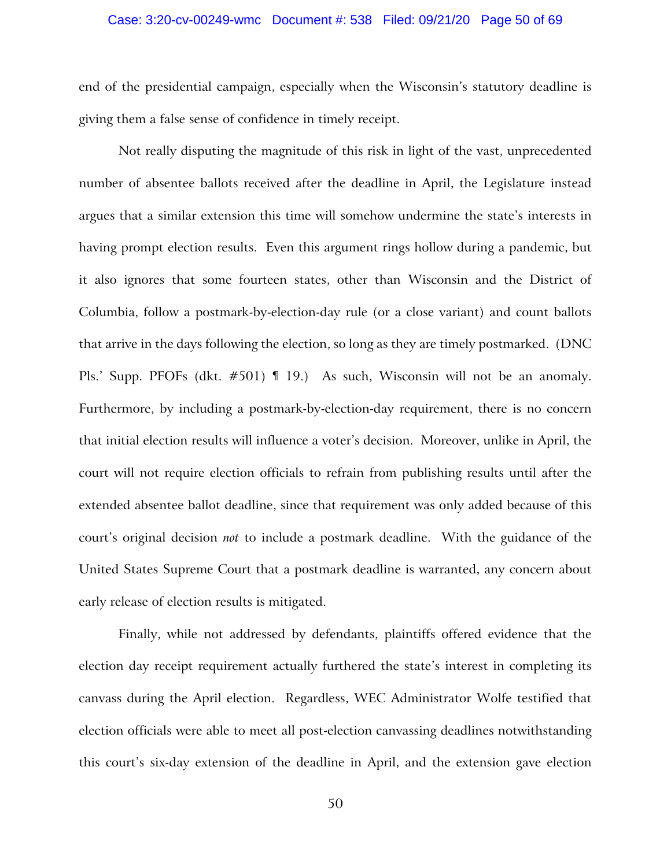### Case: 3:20-cv-00249-wmc Document #: 538 Filed: 09/21/20 Page 50 of 69

end of the presidential campaign, especially when the Wisconsin's statutory deadline is giving them a false sense of confidence in timely receipt.

Not really disputing the magnitude of this risk in light of the vast, unprecedented number of absentee ballots received after the deadline in April, the Legislature instead argues that a similar extension this time will somehow undermine the state's interests in having prompt election results. Even this argument rings hollow during a pandemic, but it also ignores that some fourteen states, other than Wisconsin and the District of Columbia, follow a postmark-by-election-day rule (or a close variant) and count ballots that arrive in the days following the election, so long as they are timely postmarked. (DNC Pls.' Supp. PFOFs (dkt. #501) ¶ 19.) As such, Wisconsin will not be an anomaly. Furthermore, by including a postmark-by-election-day requirement, there is no concern that initial election results will influence a voter's decision. Moreover, unlike in April, the court will not require election officials to refrain from publishing results until after the extended absentee ballot deadline, since that requirement was only added because of this court's original decision *not* to include a postmark deadline. With the guidance of the United States Supreme Court that a postmark deadline is warranted, any concern about early release of election results is mitigated.

Finally, while not addressed by defendants, plaintiffs offered evidence that the election day receipt requirement actually furthered the state's interest in completing its canvass during the April election. Regardless, WEC Administrator Wolfe testified that election officials were able to meet all post-election canvassing deadlines notwithstanding this court's six-day extension of the deadline in April, and the extension gave election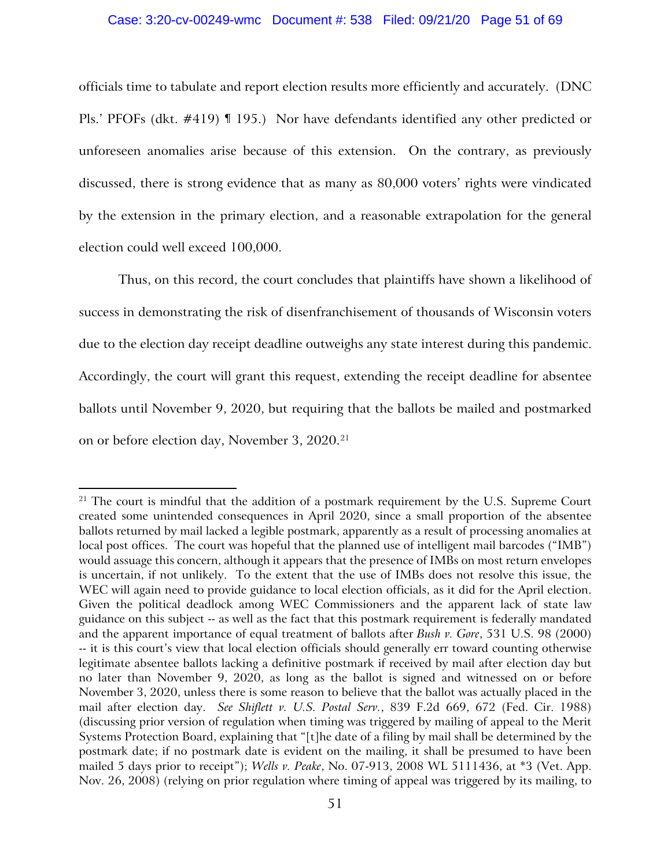### Case: 3:20-cv-00249-wmc Document #: 538 Filed: 09/21/20 Page 51 of 69

officials time to tabulate and report election results more efficiently and accurately. (DNC Pls.' PFOFs (dkt. #419) ¶ 195.) Nor have defendants identified any other predicted or unforeseen anomalies arise because of this extension. On the contrary, as previously discussed, there is strong evidence that as many as 80,000 voters' rights were vindicated by the extension in the primary election, and a reasonable extrapolation for the general election could well exceed 100,000.

Thus, on this record, the court concludes that plaintiffs have shown a likelihood of success in demonstrating the risk of disenfranchisement of thousands of Wisconsin voters due to the election day receipt deadline outweighs any state interest during this pandemic. Accordingly, the court will grant this request, extending the receipt deadline for absentee ballots until November 9, 2020, but requiring that the ballots be mailed and postmarked on or before election day, November 3, 2020.[21](#page-50-0)

<span id="page-50-0"></span> $21$  The court is mindful that the addition of a postmark requirement by the U.S. Supreme Court created some unintended consequences in April 2020, since a small proportion of the absentee ballots returned by mail lacked a legible postmark, apparently as a result of processing anomalies at local post offices. The court was hopeful that the planned use of intelligent mail barcodes ("IMB") would assuage this concern, although it appears that the presence of IMBs on most return envelopes is uncertain, if not unlikely. To the extent that the use of IMBs does not resolve this issue, the WEC will again need to provide guidance to local election officials, as it did for the April election. Given the political deadlock among WEC Commissioners and the apparent lack of state law guidance on this subject -- as well as the fact that this postmark requirement is federally mandated and the apparent importance of equal treatment of ballots after *Bush v. Gore*, 531 U.S. 98 (2000) -- it is this court's view that local election officials should generally err toward counting otherwise legitimate absentee ballots lacking a definitive postmark if received by mail after election day but no later than November 9, 2020, as long as the ballot is signed and witnessed on or before November 3, 2020, unless there is some reason to believe that the ballot was actually placed in the mail after election day. *See Shiflett v. U.S. Postal Serv.*, 839 F.2d 669, 672 (Fed. Cir. 1988) (discussing prior version of regulation when timing was triggered by mailing of appeal to the Merit Systems Protection Board, explaining that "[t]he date of a filing by mail shall be determined by the postmark date; if no postmark date is evident on the mailing, it shall be presumed to have been mailed 5 days prior to receipt"); *Wells v. Peake*, No. 07-913, 2008 WL 5111436, at \*3 (Vet. App. Nov. 26, 2008) (relying on prior regulation where timing of appeal was triggered by its mailing, to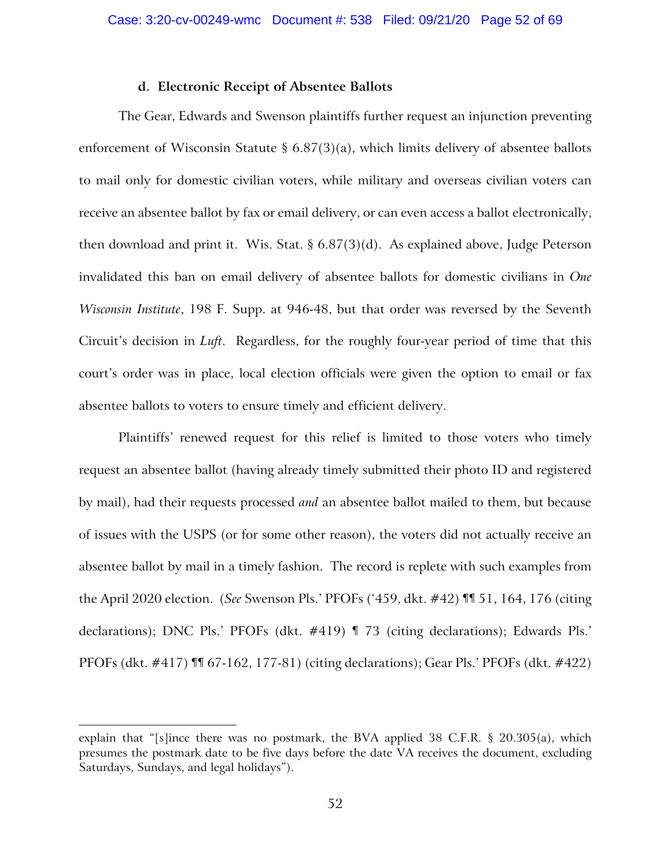# **d. Electronic Receipt of Absentee Ballots**

The Gear, Edwards and Swenson plaintiffs further request an injunction preventing enforcement of Wisconsin Statute § 6.87(3)(a), which limits delivery of absentee ballots to mail only for domestic civilian voters, while military and overseas civilian voters can receive an absentee ballot by fax or email delivery, or can even access a ballot electronically, then download and print it. Wis. Stat.  $\S 6.87(3)(d)$ . As explained above, Judge Peterson invalidated this ban on email delivery of absentee ballots for domestic civilians in *One Wisconsin Institute*, 198 F. Supp. at 946-48, but that order was reversed by the Seventh Circuit's decision in *Luft*. Regardless, for the roughly four-year period of time that this court's order was in place, local election officials were given the option to email or fax absentee ballots to voters to ensure timely and efficient delivery.

Plaintiffs' renewed request for this relief is limited to those voters who timely request an absentee ballot (having already timely submitted their photo ID and registered by mail), had their requests processed *and* an absentee ballot mailed to them, but because of issues with the USPS (or for some other reason), the voters did not actually receive an absentee ballot by mail in a timely fashion. The record is replete with such examples from the April 2020 election. (*See* Swenson Pls.' PFOFs ('459, dkt. #42) ¶¶ 51, 164, 176 (citing declarations); DNC Pls.' PFOFs (dkt. #419) ¶ 73 (citing declarations); Edwards Pls.' PFOFs (dkt. #417) ¶¶ 67-162, 177-81) (citing declarations); Gear Pls.' PFOFs (dkt. #422)

explain that "[s]ince there was no postmark, the BVA applied 38 C.F.R. § 20.305(a), which presumes the postmark date to be five days before the date VA receives the document, excluding Saturdays, Sundays, and legal holidays").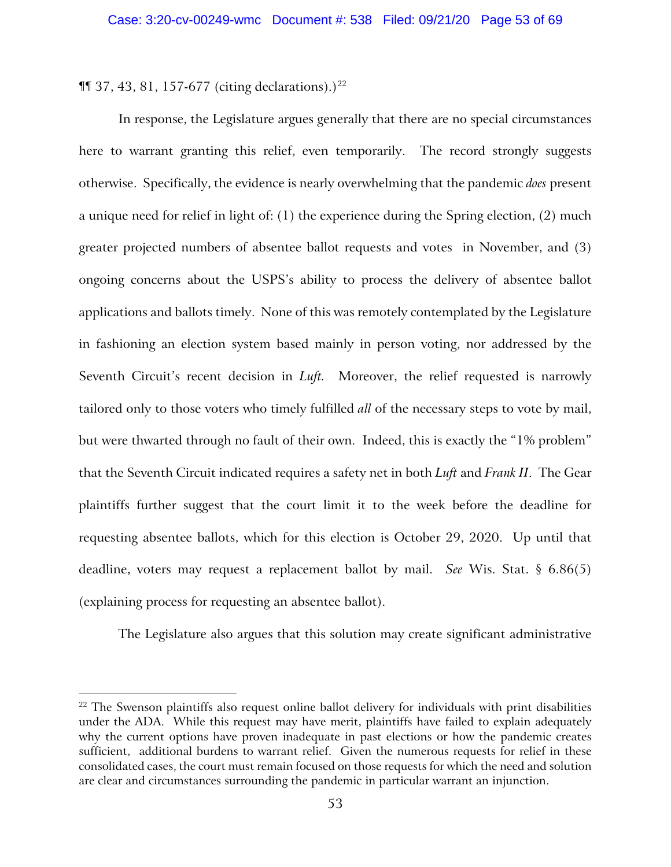$\P$  37, 43, 81, 157-677 (citing declarations).)<sup>[22](#page-52-0)</sup>

In response, the Legislature argues generally that there are no special circumstances here to warrant granting this relief, even temporarily. The record strongly suggests otherwise. Specifically, the evidence is nearly overwhelming that the pandemic *does* present a unique need for relief in light of: (1) the experience during the Spring election, (2) much greater projected numbers of absentee ballot requests and votes in November, and (3) ongoing concerns about the USPS's ability to process the delivery of absentee ballot applications and ballots timely. None of this was remotely contemplated by the Legislature in fashioning an election system based mainly in person voting, nor addressed by the Seventh Circuit's recent decision in *Luft.* Moreover, the relief requested is narrowly tailored only to those voters who timely fulfilled *all* of the necessary steps to vote by mail, but were thwarted through no fault of their own. Indeed, this is exactly the "1% problem" that the Seventh Circuit indicated requires a safety net in both *Luft* and *Frank II*. The Gear plaintiffs further suggest that the court limit it to the week before the deadline for requesting absentee ballots, which for this election is October 29, 2020. Up until that deadline, voters may request a replacement ballot by mail. *See* Wis. Stat. § 6.86(5) (explaining process for requesting an absentee ballot).

The Legislature also argues that this solution may create significant administrative

<span id="page-52-0"></span> $22$  The Swenson plaintiffs also request online ballot delivery for individuals with print disabilities under the ADA. While this request may have merit, plaintiffs have failed to explain adequately why the current options have proven inadequate in past elections or how the pandemic creates sufficient, additional burdens to warrant relief. Given the numerous requests for relief in these consolidated cases, the court must remain focused on those requests for which the need and solution are clear and circumstances surrounding the pandemic in particular warrant an injunction.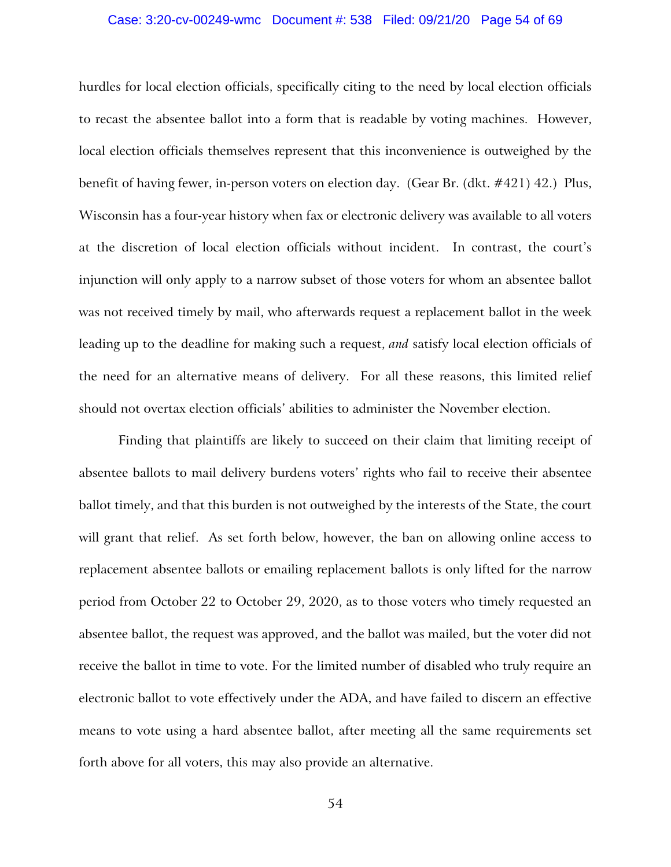### Case: 3:20-cv-00249-wmc Document #: 538 Filed: 09/21/20 Page 54 of 69

hurdles for local election officials, specifically citing to the need by local election officials to recast the absentee ballot into a form that is readable by voting machines. However, local election officials themselves represent that this inconvenience is outweighed by the benefit of having fewer, in-person voters on election day. (Gear Br. (dkt. #421) 42.) Plus, Wisconsin has a four-year history when fax or electronic delivery was available to all voters at the discretion of local election officials without incident. In contrast, the court's injunction will only apply to a narrow subset of those voters for whom an absentee ballot was not received timely by mail, who afterwards request a replacement ballot in the week leading up to the deadline for making such a request, *and* satisfy local election officials of the need for an alternative means of delivery. For all these reasons, this limited relief should not overtax election officials' abilities to administer the November election.

Finding that plaintiffs are likely to succeed on their claim that limiting receipt of absentee ballots to mail delivery burdens voters' rights who fail to receive their absentee ballot timely, and that this burden is not outweighed by the interests of the State, the court will grant that relief. As set forth below, however, the ban on allowing online access to replacement absentee ballots or emailing replacement ballots is only lifted for the narrow period from October 22 to October 29, 2020, as to those voters who timely requested an absentee ballot, the request was approved, and the ballot was mailed, but the voter did not receive the ballot in time to vote. For the limited number of disabled who truly require an electronic ballot to vote effectively under the ADA, and have failed to discern an effective means to vote using a hard absentee ballot, after meeting all the same requirements set forth above for all voters, this may also provide an alternative.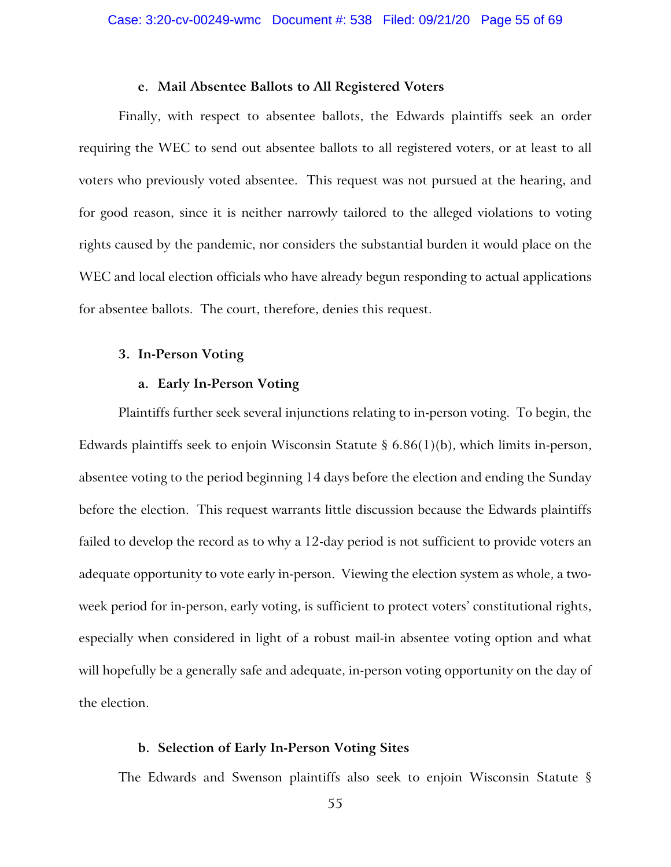### **e. Mail Absentee Ballots to All Registered Voters**

Finally, with respect to absentee ballots, the Edwards plaintiffs seek an order requiring the WEC to send out absentee ballots to all registered voters, or at least to all voters who previously voted absentee. This request was not pursued at the hearing, and for good reason, since it is neither narrowly tailored to the alleged violations to voting rights caused by the pandemic, nor considers the substantial burden it would place on the WEC and local election officials who have already begun responding to actual applications for absentee ballots. The court, therefore, denies this request.

## **3. In-Person Voting**

## **a. Early In-Person Voting**

Plaintiffs further seek several injunctions relating to in-person voting. To begin, the Edwards plaintiffs seek to enjoin Wisconsin Statute  $\S 6.86(1)(b)$ , which limits in-person, absentee voting to the period beginning 14 days before the election and ending the Sunday before the election. This request warrants little discussion because the Edwards plaintiffs failed to develop the record as to why a 12-day period is not sufficient to provide voters an adequate opportunity to vote early in-person. Viewing the election system as whole, a twoweek period for in-person, early voting, is sufficient to protect voters' constitutional rights, especially when considered in light of a robust mail-in absentee voting option and what will hopefully be a generally safe and adequate, in-person voting opportunity on the day of the election.

### **b. Selection of Early In-Person Voting Sites**

The Edwards and Swenson plaintiffs also seek to enjoin Wisconsin Statute §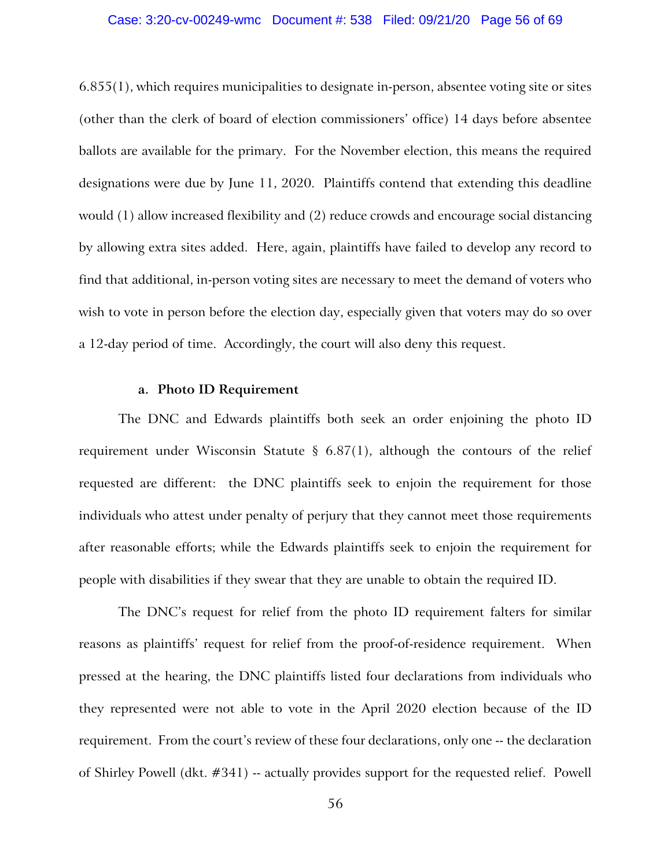### Case: 3:20-cv-00249-wmc Document #: 538 Filed: 09/21/20 Page 56 of 69

 $6.855(1)$ , which requires municipalities to designate in-person, absentee voting site or sites (other than the clerk of board of election commissioners' office) 14 days before absentee ballots are available for the primary. For the November election, this means the required designations were due by June 11, 2020. Plaintiffs contend that extending this deadline would (1) allow increased flexibility and (2) reduce crowds and encourage social distancing by allowing extra sites added. Here, again, plaintiffs have failed to develop any record to find that additional, in-person voting sites are necessary to meet the demand of voters who wish to vote in person before the election day, especially given that voters may do so over a 12-day period of time. Accordingly, the court will also deny this request.

### **a. Photo ID Requirement**

The DNC and Edwards plaintiffs both seek an order enjoining the photo ID requirement under Wisconsin Statute § 6.87(1), although the contours of the relief requested are different: the DNC plaintiffs seek to enjoin the requirement for those individuals who attest under penalty of perjury that they cannot meet those requirements after reasonable efforts; while the Edwards plaintiffs seek to enjoin the requirement for people with disabilities if they swear that they are unable to obtain the required ID.

The DNC's request for relief from the photo ID requirement falters for similar reasons as plaintiffs' request for relief from the proof-of-residence requirement. When pressed at the hearing, the DNC plaintiffs listed four declarations from individuals who they represented were not able to vote in the April 2020 election because of the ID requirement. From the court's review of these four declarations, only one -- the declaration of Shirley Powell (dkt. #341) -- actually provides support for the requested relief. Powell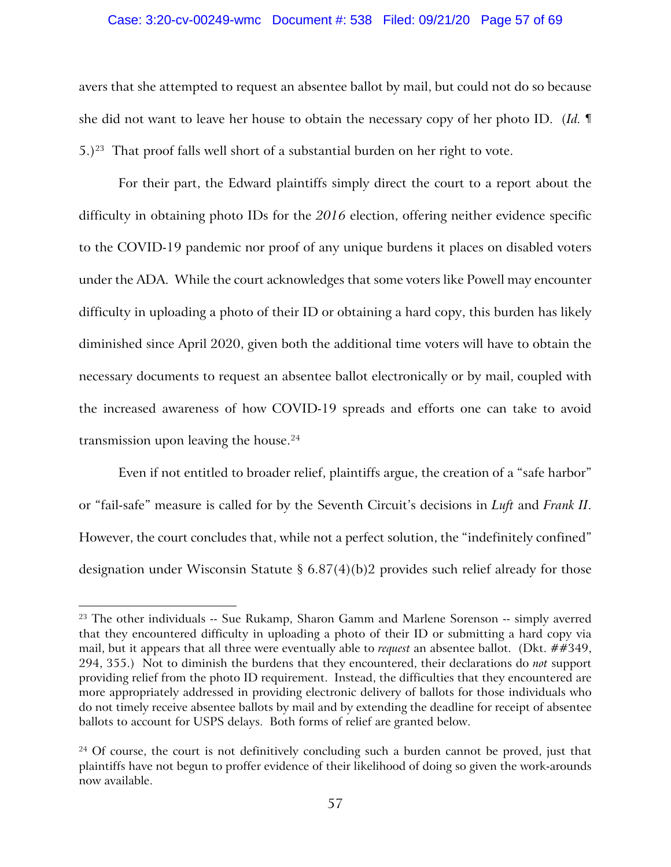### Case: 3:20-cv-00249-wmc Document #: 538 Filed: 09/21/20 Page 57 of 69

avers that she attempted to request an absentee ballot by mail, but could not do so because she did not want to leave her house to obtain the necessary copy of her photo ID. (*Id.* ¶  $5.$ )<sup>[23](#page-56-0)</sup> That proof falls well short of a substantial burden on her right to vote.

For their part, the Edward plaintiffs simply direct the court to a report about the difficulty in obtaining photo IDs for the *2016* election, offering neither evidence specific to the COVID-19 pandemic nor proof of any unique burdens it places on disabled voters under the ADA. While the court acknowledges that some voters like Powell may encounter difficulty in uploading a photo of their ID or obtaining a hard copy, this burden has likely diminished since April 2020, given both the additional time voters will have to obtain the necessary documents to request an absentee ballot electronically or by mail, coupled with the increased awareness of how COVID-19 spreads and efforts one can take to avoid transmission upon leaving the house. $24$ 

Even if not entitled to broader relief, plaintiffs argue, the creation of a "safe harbor" or "fail-safe" measure is called for by the Seventh Circuit's decisions in *Luft* and *Frank II*. However, the court concludes that, while not a perfect solution, the "indefinitely confined" designation under Wisconsin Statute § 6.87(4)(b)2 provides such relief already for those

<span id="page-56-0"></span><sup>&</sup>lt;sup>23</sup> The other individuals -- Sue Rukamp, Sharon Gamm and Marlene Sorenson -- simply averred that they encountered difficulty in uploading a photo of their ID or submitting a hard copy via mail, but it appears that all three were eventually able to *request* an absentee ballot. (Dkt. ##349, 294, 355.) Not to diminish the burdens that they encountered, their declarations do *not* support providing relief from the photo ID requirement. Instead, the difficulties that they encountered are more appropriately addressed in providing electronic delivery of ballots for those individuals who do not timely receive absentee ballots by mail and by extending the deadline for receipt of absentee ballots to account for USPS delays. Both forms of relief are granted below.

<span id="page-56-1"></span><sup>&</sup>lt;sup>24</sup> Of course, the court is not definitively concluding such a burden cannot be proved, just that plaintiffs have not begun to proffer evidence of their likelihood of doing so given the work-arounds now available.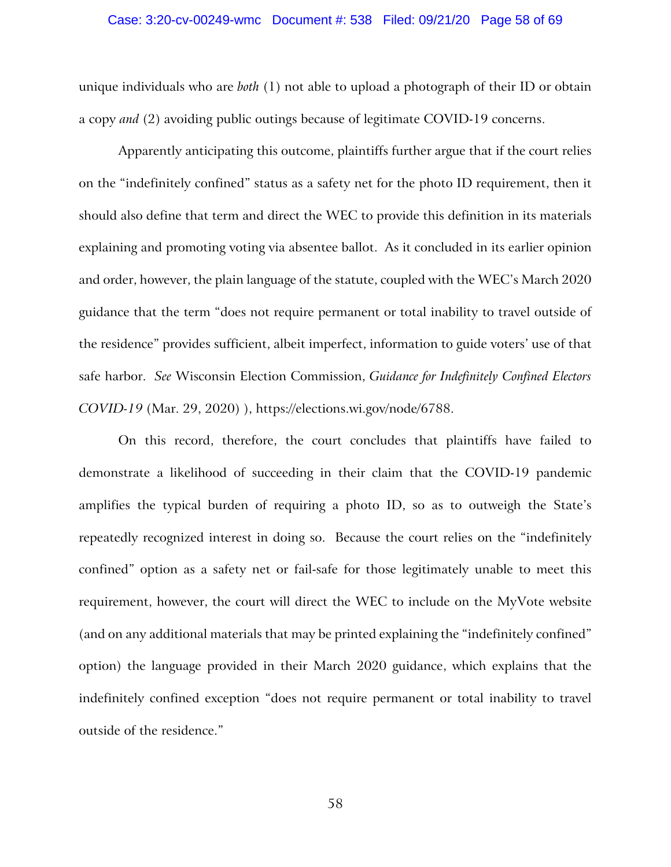### Case: 3:20-cv-00249-wmc Document #: 538 Filed: 09/21/20 Page 58 of 69

unique individuals who are *both* (1) not able to upload a photograph of their ID or obtain a copy *and* (2) avoiding public outings because of legitimate COVID-19 concerns.

Apparently anticipating this outcome, plaintiffs further argue that if the court relies on the "indefinitely confined" status as a safety net for the photo ID requirement, then it should also define that term and direct the WEC to provide this definition in its materials explaining and promoting voting via absentee ballot. As it concluded in its earlier opinion and order, however, the plain language of the statute, coupled with the WEC's March 2020 guidance that the term "does not require permanent or total inability to travel outside of the residence" provides sufficient, albeit imperfect, information to guide voters' use of that safe harbor. *See* Wisconsin Election Commission, *Guidance for Indefinitely Confined Electors COVID-19* (Mar. 29, 2020) ), https://elections.wi.gov/node/6788.

On this record, therefore, the court concludes that plaintiffs have failed to demonstrate a likelihood of succeeding in their claim that the COVID-19 pandemic amplifies the typical burden of requiring a photo ID, so as to outweigh the State's repeatedly recognized interest in doing so. Because the court relies on the "indefinitely confined" option as a safety net or fail-safe for those legitimately unable to meet this requirement, however, the court will direct the WEC to include on the MyVote website (and on any additional materials that may be printed explaining the "indefinitely confined" option) the language provided in their March 2020 guidance, which explains that the indefinitely confined exception "does not require permanent or total inability to travel outside of the residence."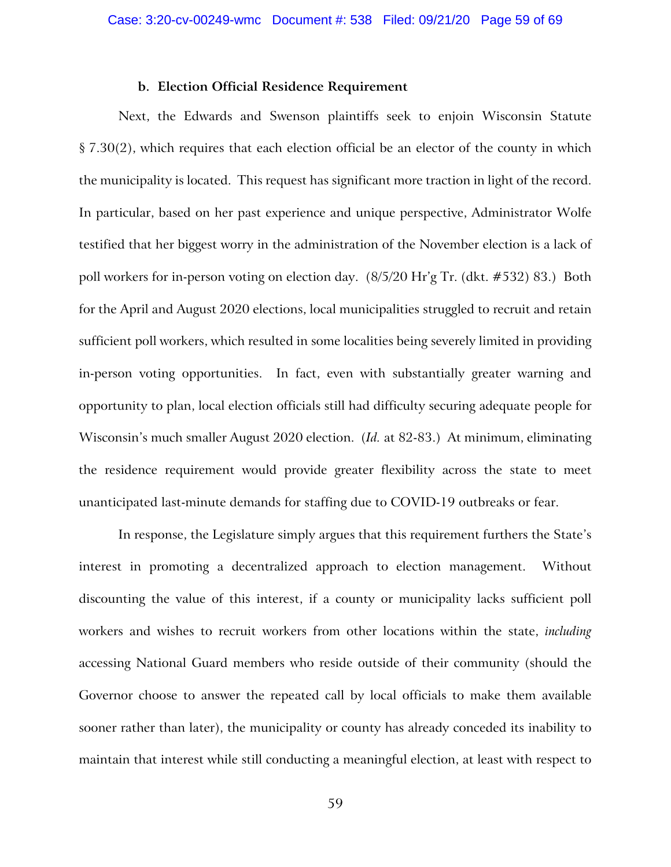### **b. Election Official Residence Requirement**

Next, the Edwards and Swenson plaintiffs seek to enjoin Wisconsin Statute § 7.30(2), which requires that each election official be an elector of the county in which the municipality is located. This request has significant more traction in light of the record. In particular, based on her past experience and unique perspective, Administrator Wolfe testified that her biggest worry in the administration of the November election is a lack of poll workers for in-person voting on election day. (8/5/20 Hr'g Tr. (dkt. #532) 83.) Both for the April and August 2020 elections, local municipalities struggled to recruit and retain sufficient poll workers, which resulted in some localities being severely limited in providing in-person voting opportunities. In fact, even with substantially greater warning and opportunity to plan, local election officials still had difficulty securing adequate people for Wisconsin's much smaller August 2020 election. (*Id.* at 82-83.) At minimum, eliminating the residence requirement would provide greater flexibility across the state to meet unanticipated last-minute demands for staffing due to COVID-19 outbreaks or fear.

In response, the Legislature simply argues that this requirement furthers the State's interest in promoting a decentralized approach to election management. Without discounting the value of this interest, if a county or municipality lacks sufficient poll workers and wishes to recruit workers from other locations within the state, *including* accessing National Guard members who reside outside of their community (should the Governor choose to answer the repeated call by local officials to make them available sooner rather than later), the municipality or county has already conceded its inability to maintain that interest while still conducting a meaningful election, at least with respect to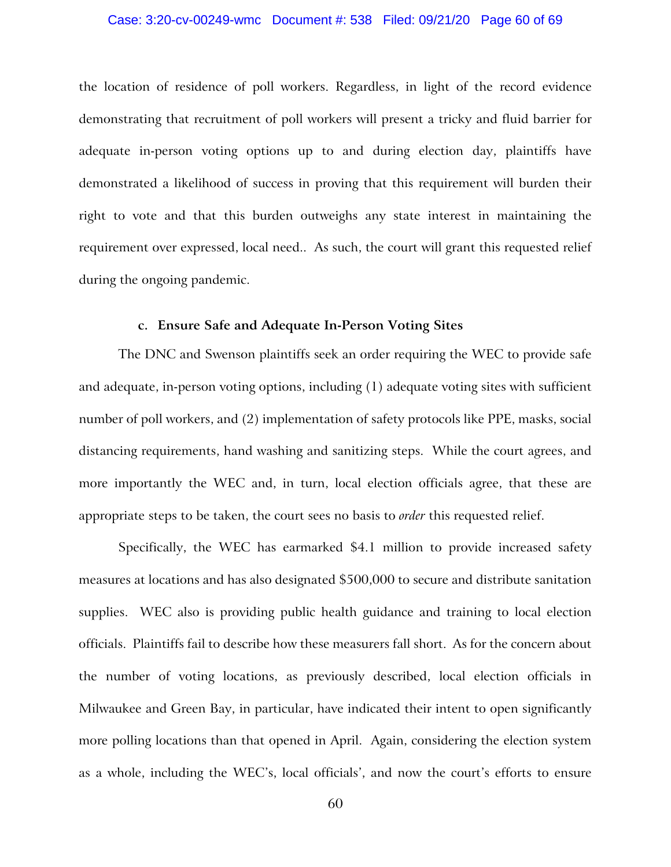### Case: 3:20-cv-00249-wmc Document #: 538 Filed: 09/21/20 Page 60 of 69

the location of residence of poll workers. Regardless, in light of the record evidence demonstrating that recruitment of poll workers will present a tricky and fluid barrier for adequate in-person voting options up to and during election day, plaintiffs have demonstrated a likelihood of success in proving that this requirement will burden their right to vote and that this burden outweighs any state interest in maintaining the requirement over expressed, local need.. As such, the court will grant this requested relief during the ongoing pandemic.

## **c. Ensure Safe and Adequate In-Person Voting Sites**

The DNC and Swenson plaintiffs seek an order requiring the WEC to provide safe and adequate, in-person voting options, including (1) adequate voting sites with sufficient number of poll workers, and (2) implementation of safety protocols like PPE, masks, social distancing requirements, hand washing and sanitizing steps. While the court agrees, and more importantly the WEC and, in turn, local election officials agree, that these are appropriate steps to be taken, the court sees no basis to *order* this requested relief.

Specifically, the WEC has earmarked \$4.1 million to provide increased safety measures at locations and has also designated \$500,000 to secure and distribute sanitation supplies. WEC also is providing public health guidance and training to local election officials. Plaintiffs fail to describe how these measurers fall short. As for the concern about the number of voting locations, as previously described, local election officials in Milwaukee and Green Bay, in particular, have indicated their intent to open significantly more polling locations than that opened in April. Again, considering the election system as a whole, including the WEC's, local officials', and now the court's efforts to ensure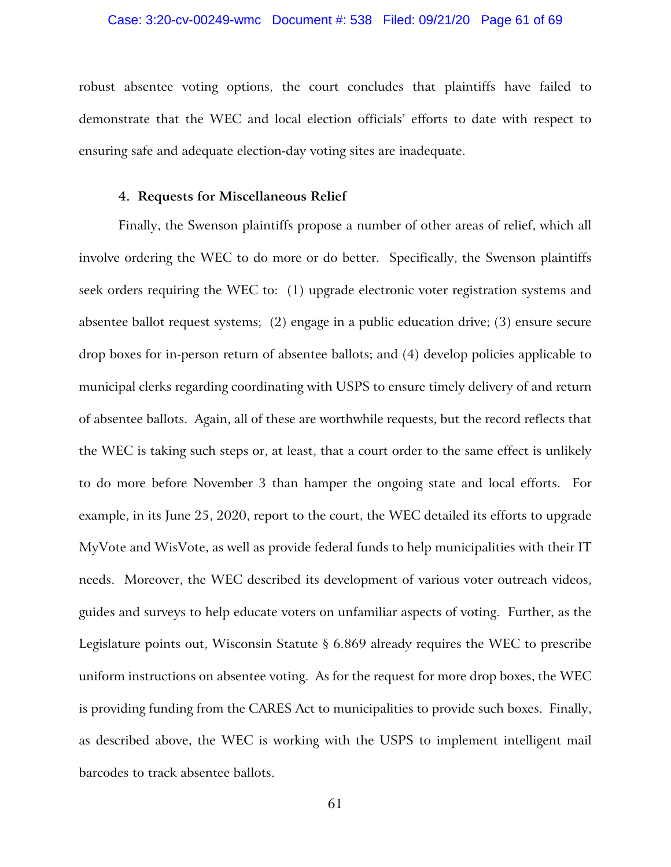### Case: 3:20-cv-00249-wmc Document #: 538 Filed: 09/21/20 Page 61 of 69

robust absentee voting options, the court concludes that plaintiffs have failed to demonstrate that the WEC and local election officials' efforts to date with respect to ensuring safe and adequate election-day voting sites are inadequate.

#### **4. Requests for Miscellaneous Relief**

Finally, the Swenson plaintiffs propose a number of other areas of relief, which all involve ordering the WEC to do more or do better. Specifically, the Swenson plaintiffs seek orders requiring the WEC to: (1) upgrade electronic voter registration systems and absentee ballot request systems; (2) engage in a public education drive; (3) ensure secure drop boxes for in-person return of absentee ballots; and (4) develop policies applicable to municipal clerks regarding coordinating with USPS to ensure timely delivery of and return of absentee ballots. Again, all of these are worthwhile requests, but the record reflects that the WEC is taking such steps or, at least, that a court order to the same effect is unlikely to do more before November 3 than hamper the ongoing state and local efforts. For example, in its June 25, 2020, report to the court, the WEC detailed its efforts to upgrade MyVote and WisVote, as well as provide federal funds to help municipalities with their IT needs. Moreover, the WEC described its development of various voter outreach videos, guides and surveys to help educate voters on unfamiliar aspects of voting. Further, as the Legislature points out, Wisconsin Statute § 6.869 already requires the WEC to prescribe uniform instructions on absentee voting. As for the request for more drop boxes, the WEC is providing funding from the CARES Act to municipalities to provide such boxes. Finally, as described above, the WEC is working with the USPS to implement intelligent mail barcodes to track absentee ballots.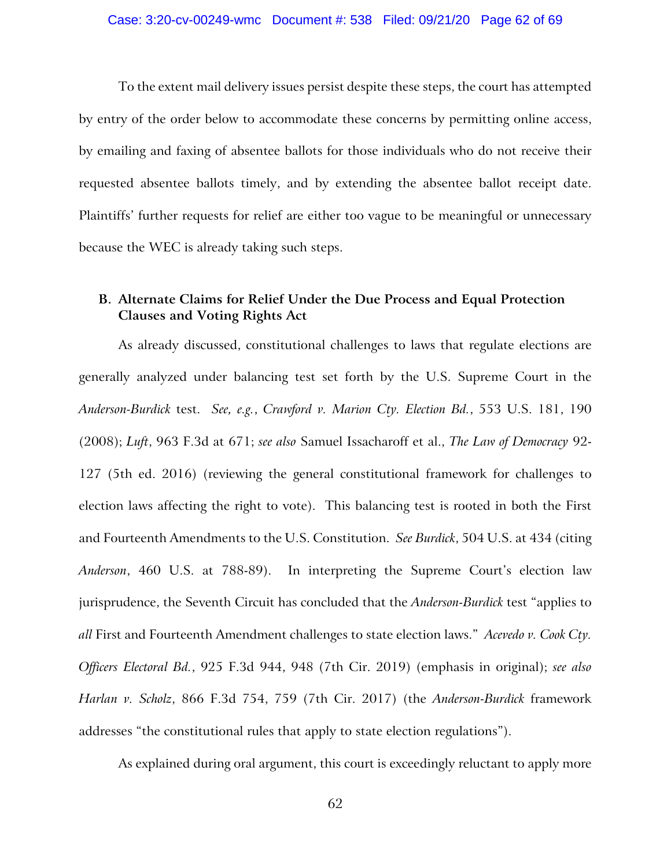### Case: 3:20-cv-00249-wmc Document #: 538 Filed: 09/21/20 Page 62 of 69

To the extent mail delivery issues persist despite these steps, the court has attempted by entry of the order below to accommodate these concerns by permitting online access, by emailing and faxing of absentee ballots for those individuals who do not receive their requested absentee ballots timely, and by extending the absentee ballot receipt date. Plaintiffs' further requests for relief are either too vague to be meaningful or unnecessary because the WEC is already taking such steps.

# **B. Alternate Claims for Relief Under the Due Process and Equal Protection Clauses and Voting Rights Act**

As already discussed, constitutional challenges to laws that regulate elections are generally analyzed under balancing test set forth by the U.S. Supreme Court in the *Anderson-Burdick* test. *See, e.g.*, *Crawford v. Marion Cty. Election Bd.*, 553 U.S. 181, 190 (2008); *Luft*, 963 F.3d at 671; *see also* Samuel Issacharoff et al., *The Law of Democracy* 92- 127 (5th ed. 2016) (reviewing the general constitutional framework for challenges to election laws affecting the right to vote). This balancing test is rooted in both the First and Fourteenth Amendments to the U.S. Constitution. *See Burdick*, 504 U.S. at 434 (citing *Anderson*, 460 U.S. at 788-89). In interpreting the Supreme Court's election law jurisprudence, the Seventh Circuit has concluded that the *Anderson-Burdick* test "applies to *all* First and Fourteenth Amendment challenges to state election laws." *Acevedo v. Cook Cty. Officers Electoral Bd.*, 925 F.3d 944, 948 (7th Cir. 2019) (emphasis in original); *see also Harlan v. Scholz*, 866 F.3d 754, 759 (7th Cir. 2017) (the *Anderson-Burdick* framework addresses "the constitutional rules that apply to state election regulations").

As explained during oral argument, this court is exceedingly reluctant to apply more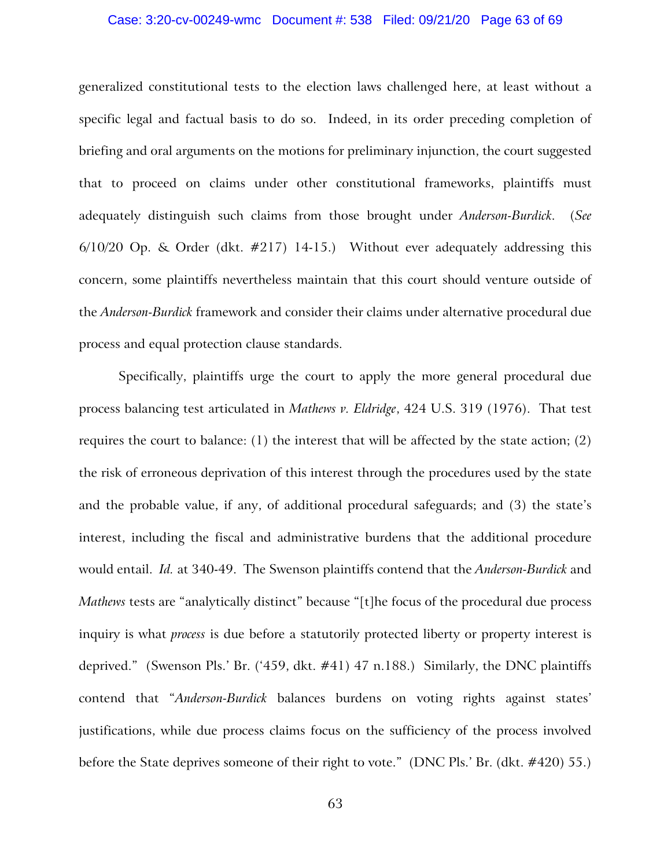### Case: 3:20-cv-00249-wmc Document #: 538 Filed: 09/21/20 Page 63 of 69

generalized constitutional tests to the election laws challenged here, at least without a specific legal and factual basis to do so. Indeed, in its order preceding completion of briefing and oral arguments on the motions for preliminary injunction, the court suggested that to proceed on claims under other constitutional frameworks, plaintiffs must adequately distinguish such claims from those brought under *Anderson-Burdick*. (*See*  6/10/20 Op. & Order (dkt. #217) 14-15.) Without ever adequately addressing this concern, some plaintiffs nevertheless maintain that this court should venture outside of the *Anderson-Burdick* framework and consider their claims under alternative procedural due process and equal protection clause standards.

Specifically, plaintiffs urge the court to apply the more general procedural due process balancing test articulated in *Mathews v. Eldridge*, 424 U.S. 319 (1976). That test requires the court to balance: (1) the interest that will be affected by the state action; (2) the risk of erroneous deprivation of this interest through the procedures used by the state and the probable value, if any, of additional procedural safeguards; and (3) the state's interest, including the fiscal and administrative burdens that the additional procedure would entail. *Id.* at 340-49. The Swenson plaintiffs contend that the *Anderson-Burdick* and *Mathews* tests are "analytically distinct" because "[t]he focus of the procedural due process inquiry is what *process* is due before a statutorily protected liberty or property interest is deprived." (Swenson Pls.' Br. ('459, dkt. #41) 47 n.188.) Similarly, the DNC plaintiffs contend that "*Anderson-Burdick* balances burdens on voting rights against states' justifications, while due process claims focus on the sufficiency of the process involved before the State deprives someone of their right to vote." (DNC Pls.' Br. (dkt. #420) 55.)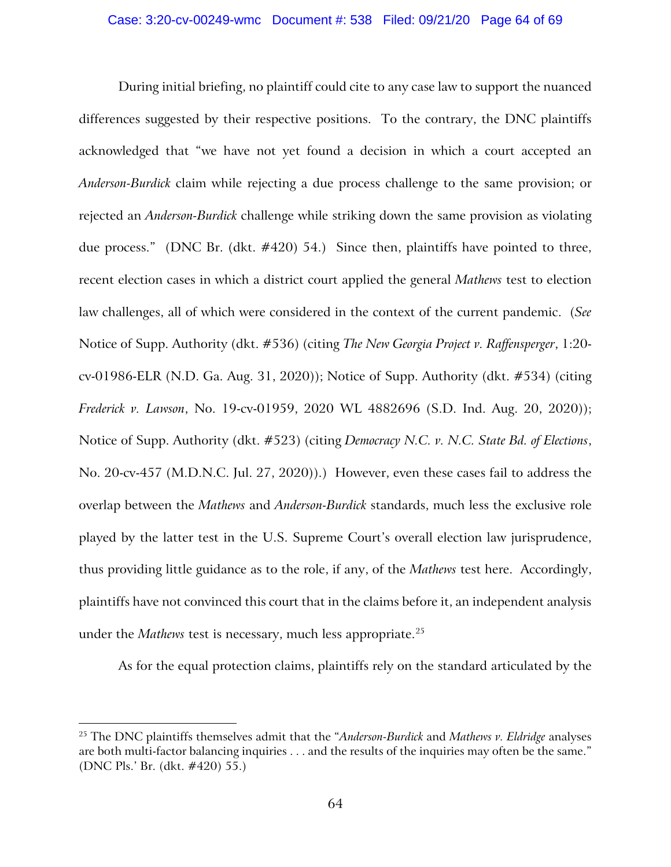During initial briefing, no plaintiff could cite to any case law to support the nuanced differences suggested by their respective positions. To the contrary, the DNC plaintiffs acknowledged that "we have not yet found a decision in which a court accepted an *Anderson-Burdick* claim while rejecting a due process challenge to the same provision; or rejected an *Anderson-Burdick* challenge while striking down the same provision as violating due process." (DNC Br. (dkt. #420) 54.) Since then, plaintiffs have pointed to three, recent election cases in which a district court applied the general *Mathews* test to election law challenges, all of which were considered in the context of the current pandemic. (*See*  Notice of Supp. Authority (dkt. #536) (citing *The New Georgia Project v. Raffensperger*, 1:20 cv-01986-ELR (N.D. Ga. Aug. 31, 2020)); Notice of Supp. Authority (dkt. #534) (citing *Frederick v. Lawson*, No. 19-cv-01959, 2020 WL 4882696 (S.D. Ind. Aug. 20, 2020)); Notice of Supp. Authority (dkt. #523) (citing *Democracy N.C. v. N.C. State Bd. of Elections*, No. 20-cv-457 (M.D.N.C. Jul. 27, 2020)).) However, even these cases fail to address the overlap between the *Mathews* and *Anderson-Burdick* standards, much less the exclusive role played by the latter test in the U.S. Supreme Court's overall election law jurisprudence, thus providing little guidance as to the role, if any, of the *Mathews* test here. Accordingly, plaintiffs have not convinced this court that in the claims before it, an independent analysis under the *Mathews* test is necessary, much less appropriate.<sup>[25](#page-63-0)</sup>

As for the equal protection claims, plaintiffs rely on the standard articulated by the

<span id="page-63-0"></span><sup>25</sup> The DNC plaintiffs themselves admit that the "*Anderson-Burdick* and *Mathews v. Eldridge* analyses are both multi-factor balancing inquiries . . . and the results of the inquiries may often be the same." (DNC Pls.' Br. (dkt. #420) 55.)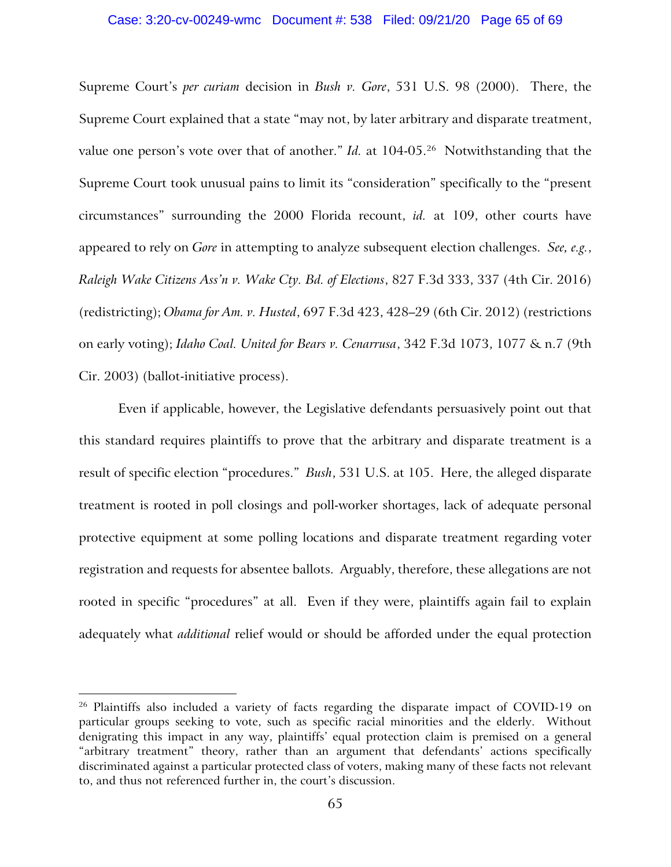### Case: 3:20-cv-00249-wmc Document #: 538 Filed: 09/21/20 Page 65 of 69

Supreme Court's *per curiam* decision in *Bush v. Gore*, 531 U.S. 98 (2000). There, the Supreme Court explained that a state "may not, by later arbitrary and disparate treatment, value one person's vote over that of another." *Id.* at 104-05.<sup>26</sup> Notwithstanding that the Supreme Court took unusual pains to limit its "consideration" specifically to the "present circumstances" surrounding the 2000 Florida recount, *id.* at 109, other courts have appeared to rely on *Gore* in attempting to analyze subsequent election challenges. *See, e.g.*, *Raleigh Wake Citizens Ass'n v. Wake Cty. Bd. of Elections*, 827 F.3d 333, 337 (4th Cir. 2016) (redistricting); *Obama for Am. v. Husted*, 697 F.3d 423, 428–29 (6th Cir. 2012) (restrictions on early voting); *Idaho Coal. United for Bears v. Cenarrusa*, 342 F.3d 1073, 1077 & n.7 (9th Cir. 2003) (ballot-initiative process).

Even if applicable, however, the Legislative defendants persuasively point out that this standard requires plaintiffs to prove that the arbitrary and disparate treatment is a result of specific election "procedures." *Bush*, 531 U.S. at 105. Here, the alleged disparate treatment is rooted in poll closings and poll-worker shortages, lack of adequate personal protective equipment at some polling locations and disparate treatment regarding voter registration and requests for absentee ballots. Arguably, therefore, these allegations are not rooted in specific "procedures" at all. Even if they were, plaintiffs again fail to explain adequately what *additional* relief would or should be afforded under the equal protection

<span id="page-64-0"></span> $26$  Plaintiffs also included a variety of facts regarding the disparate impact of COVID-19 on particular groups seeking to vote, such as specific racial minorities and the elderly. Without denigrating this impact in any way, plaintiffs' equal protection claim is premised on a general "arbitrary treatment" theory, rather than an argument that defendants' actions specifically discriminated against a particular protected class of voters, making many of these facts not relevant to, and thus not referenced further in, the court's discussion.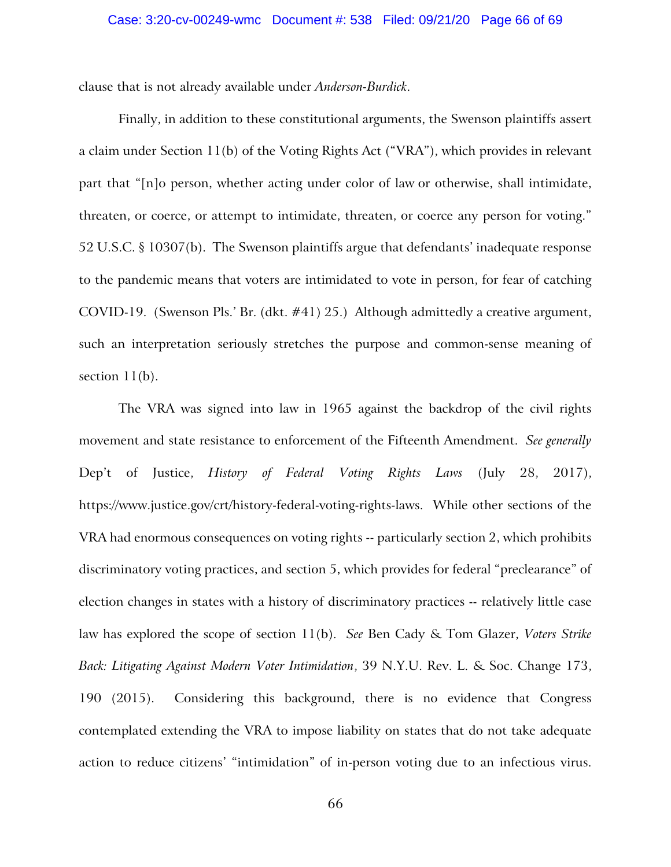clause that is not already available under *Anderson-Burdick*.

Finally, in addition to these constitutional arguments, the Swenson plaintiffs assert a claim under Section 11(b) of the Voting Rights Act ("VRA"), which provides in relevant part that "[n]o person, whether acting under color of law or otherwise, shall intimidate, threaten, or coerce, or attempt to intimidate, threaten, or coerce any person for voting." 52 U.S.C. § 10307(b). The Swenson plaintiffs argue that defendants' inadequate response to the pandemic means that voters are intimidated to vote in person, for fear of catching COVID-19. (Swenson Pls.' Br. (dkt. #41) 25.) Although admittedly a creative argument, such an interpretation seriously stretches the purpose and common-sense meaning of section  $11(b)$ .

The VRA was signed into law in 1965 against the backdrop of the civil rights movement and state resistance to enforcement of the Fifteenth Amendment. *See generally*  Dep't of Justice, *History of Federal Voting Rights Laws* (July 28, 2017), https://www.justice.gov/crt/history-federal-voting-rights-laws. While other sections of the VRA had enormous consequences on voting rights -- particularly section 2, which prohibits discriminatory voting practices, and section 5, which provides for federal "preclearance" of election changes in states with a history of discriminatory practices -- relatively little case law has explored the scope of section 11(b). *See* Ben Cady & Tom Glazer, *Voters Strike Back: Litigating Against Modern Voter Intimidation*, 39 N.Y.U. Rev. L. & Soc. Change 173, 190 (2015). Considering this background, there is no evidence that Congress contemplated extending the VRA to impose liability on states that do not take adequate action to reduce citizens' "intimidation" of in-person voting due to an infectious virus.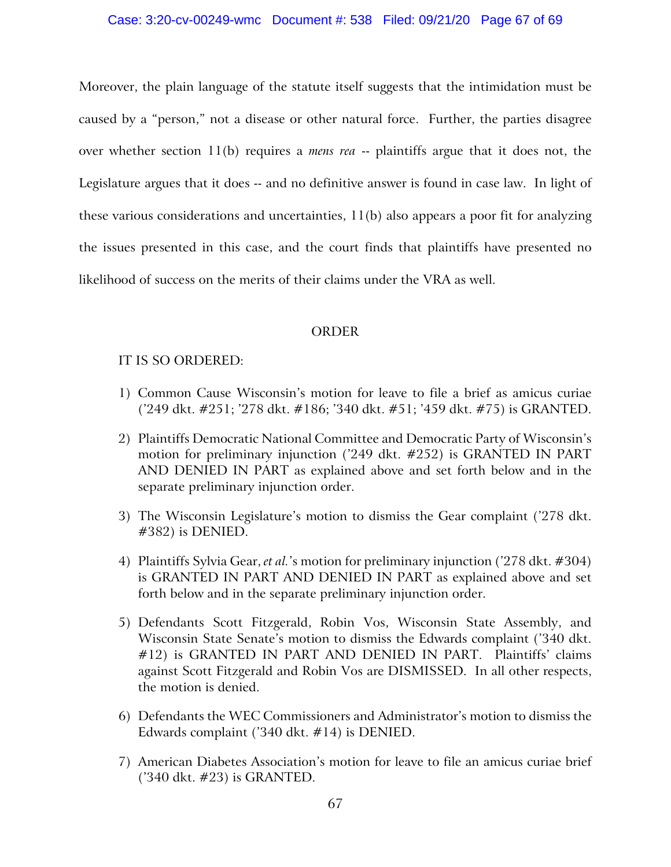### Case: 3:20-cv-00249-wmc Document #: 538 Filed: 09/21/20 Page 67 of 69

Moreover, the plain language of the statute itself suggests that the intimidation must be caused by a "person," not a disease or other natural force. Further, the parties disagree over whether section 11(b) requires a *mens rea* -- plaintiffs argue that it does not, the Legislature argues that it does -- and no definitive answer is found in case law. In light of these various considerations and uncertainties, 11(b) also appears a poor fit for analyzing the issues presented in this case, and the court finds that plaintiffs have presented no likelihood of success on the merits of their claims under the VRA as well.

# ORDER

# IT IS SO ORDERED:

- 1) Common Cause Wisconsin's motion for leave to file a brief as amicus curiae ('249 dkt. #251; '278 dkt. #186; '340 dkt. #51; '459 dkt. #75) is GRANTED.
- 2) Plaintiffs Democratic National Committee and Democratic Party of Wisconsin's motion for preliminary injunction ('249 dkt. #252) is GRANTED IN PART AND DENIED IN PART as explained above and set forth below and in the separate preliminary injunction order.
- 3) The Wisconsin Legislature's motion to dismiss the Gear complaint ('278 dkt. #382) is DENIED.
- 4) Plaintiffs Sylvia Gear, *et al.*'s motion for preliminary injunction ('278 dkt. #304) is GRANTED IN PART AND DENIED IN PART as explained above and set forth below and in the separate preliminary injunction order.
- 5) Defendants Scott Fitzgerald, Robin Vos, Wisconsin State Assembly, and Wisconsin State Senate's motion to dismiss the Edwards complaint ('340 dkt. #12) is GRANTED IN PART AND DENIED IN PART. Plaintiffs' claims against Scott Fitzgerald and Robin Vos are DISMISSED. In all other respects, the motion is denied.
- 6) Defendants the WEC Commissioners and Administrator's motion to dismiss the Edwards complaint ('340 dkt. #14) is DENIED.
- 7) American Diabetes Association's motion for leave to file an amicus curiae brief ('340 dkt. #23) is GRANTED.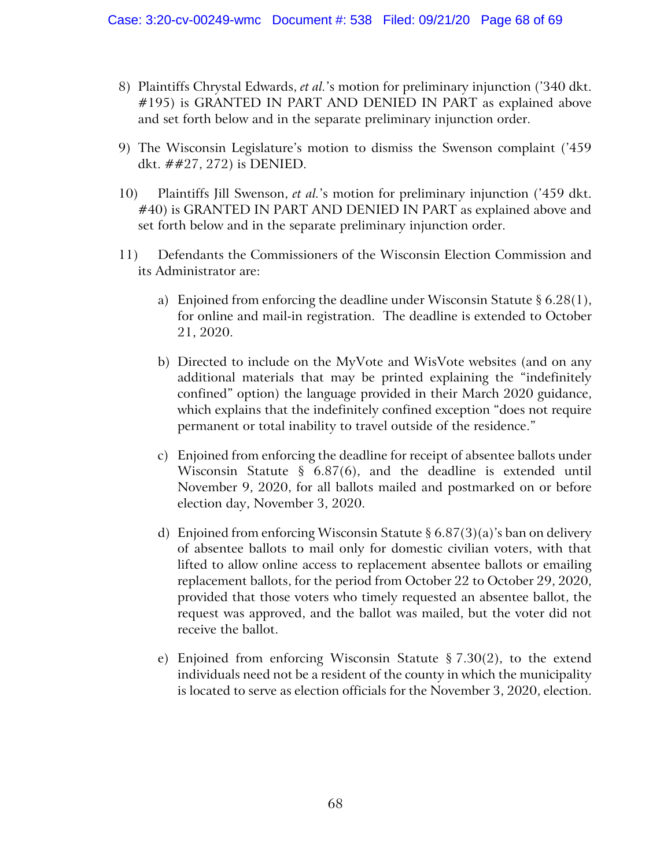- 8) Plaintiffs Chrystal Edwards, *et al.*'s motion for preliminary injunction ('340 dkt. #195) is GRANTED IN PART AND DENIED IN PART as explained above and set forth below and in the separate preliminary injunction order.
- 9) The Wisconsin Legislature's motion to dismiss the Swenson complaint ('459 dkt. ##27, 272) is DENIED.
- 10) Plaintiffs Jill Swenson, *et al.*'s motion for preliminary injunction ('459 dkt. #40) is GRANTED IN PART AND DENIED IN PART as explained above and set forth below and in the separate preliminary injunction order.
- 11) Defendants the Commissioners of the Wisconsin Election Commission and its Administrator are:
	- a) Enjoined from enforcing the deadline under Wisconsin Statute § 6.28(1), for online and mail-in registration. The deadline is extended to October 21, 2020.
	- b) Directed to include on the MyVote and WisVote websites (and on any additional materials that may be printed explaining the "indefinitely confined" option) the language provided in their March 2020 guidance, which explains that the indefinitely confined exception "does not require permanent or total inability to travel outside of the residence."
	- c) Enjoined from enforcing the deadline for receipt of absentee ballots under Wisconsin Statute § 6.87(6), and the deadline is extended until November 9, 2020, for all ballots mailed and postmarked on or before election day, November 3, 2020.
	- d) Enjoined from enforcing Wisconsin Statute  $\S 6.87(3)(a)$ 's ban on delivery of absentee ballots to mail only for domestic civilian voters, with that lifted to allow online access to replacement absentee ballots or emailing replacement ballots, for the period from October 22 to October 29, 2020, provided that those voters who timely requested an absentee ballot, the request was approved, and the ballot was mailed, but the voter did not receive the ballot.
	- e) Enjoined from enforcing Wisconsin Statute § 7.30(2), to the extend individuals need not be a resident of the county in which the municipality is located to serve as election officials for the November 3, 2020, election.